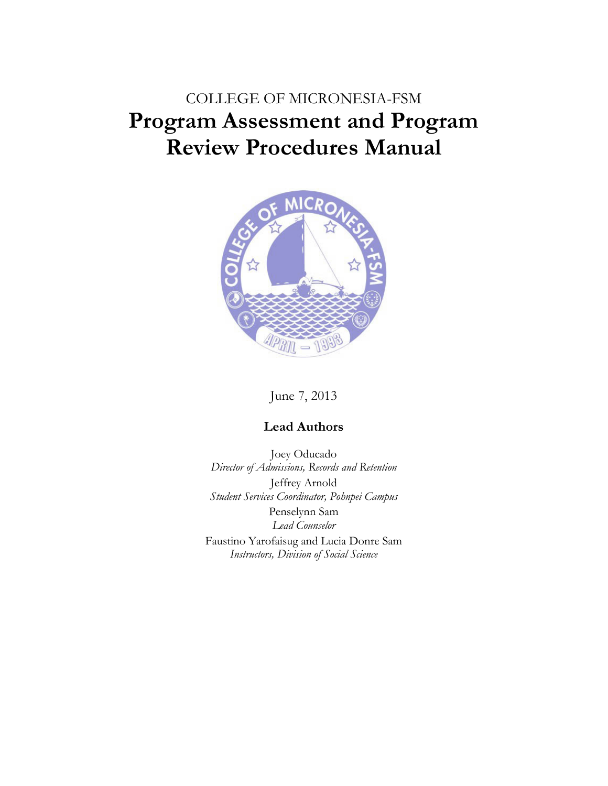# COLLEGE OF MICRONESIA-FSM **Program Assessment and Program Review Procedures Manual**



June 7, 2013

# **Lead Authors**

Joey Oducado *Director of Admissions, Records and Retention* Jeffrey Arnold *Student Services Coordinator, Pohnpei Campus* Penselynn Sam *Lead Counselor* Faustino Yarofaisug and Lucia Donre Sam *Instructors, Division of Social Science*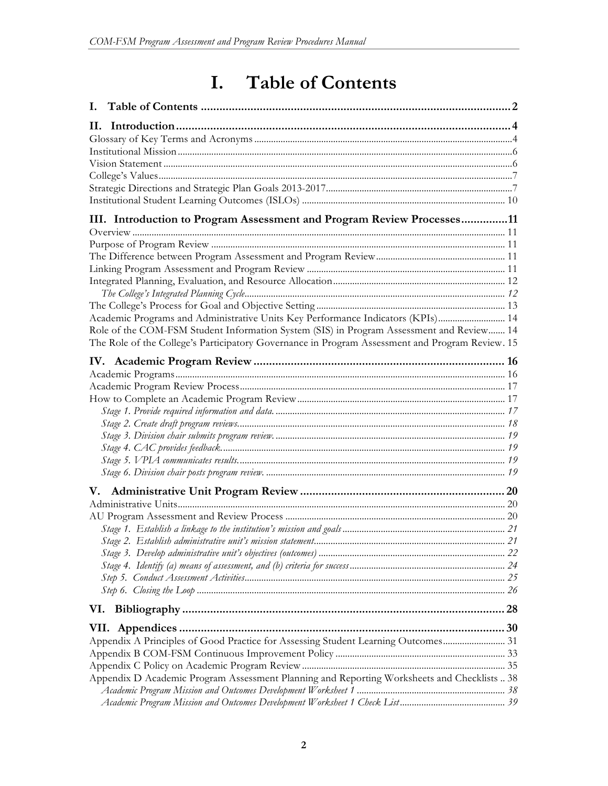# **I. Table of Contents**

| III. Introduction to Program Assessment and Program Review Processes11                          |  |
|-------------------------------------------------------------------------------------------------|--|
|                                                                                                 |  |
|                                                                                                 |  |
|                                                                                                 |  |
|                                                                                                 |  |
|                                                                                                 |  |
|                                                                                                 |  |
|                                                                                                 |  |
| Academic Programs and Administrative Units Key Performance Indicators (KPIs) 14                 |  |
| Role of the COM-FSM Student Information System (SIS) in Program Assessment and Review 14        |  |
| The Role of the College's Participatory Governance in Program Assessment and Program Review. 15 |  |
|                                                                                                 |  |
|                                                                                                 |  |
|                                                                                                 |  |
|                                                                                                 |  |
|                                                                                                 |  |
|                                                                                                 |  |
|                                                                                                 |  |
|                                                                                                 |  |
|                                                                                                 |  |
|                                                                                                 |  |
|                                                                                                 |  |
|                                                                                                 |  |
|                                                                                                 |  |
|                                                                                                 |  |
|                                                                                                 |  |
|                                                                                                 |  |
|                                                                                                 |  |
|                                                                                                 |  |
|                                                                                                 |  |
|                                                                                                 |  |
| VI.                                                                                             |  |
|                                                                                                 |  |
|                                                                                                 |  |
|                                                                                                 |  |
|                                                                                                 |  |
| Appendix D Academic Program Assessment Planning and Reporting Worksheets and Checklists  38     |  |
|                                                                                                 |  |
|                                                                                                 |  |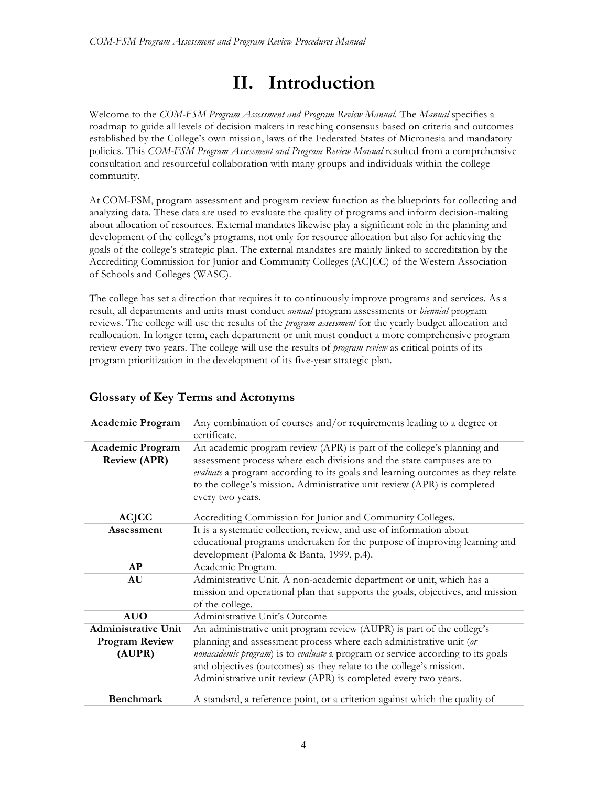# **II. Introduction**

Welcome to the *COM-FSM Program Assessment and Program Review Manual*. The *Manual* specifies a roadmap to guide all levels of decision makers in reaching consensus based on criteria and outcomes established by the College's own mission, laws of the Federated States of Micronesia and mandatory policies. This *COM-FSM Program Assessment and Program Review Manual* resulted from a comprehensive consultation and resourceful collaboration with many groups and individuals within the college community.

At COM-FSM, program assessment and program review function as the blueprints for collecting and analyzing data. These data are used to evaluate the quality of programs and inform decision-making about allocation of resources. External mandates likewise play a significant role in the planning and development of the college's programs, not only for resource allocation but also for achieving the goals of the college's strategic plan. The external mandates are mainly linked to accreditation by the Accrediting Commission for Junior and Community Colleges (ACJCC) of the Western Association of Schools and Colleges (WASC).

The college has set a direction that requires it to continuously improve programs and services. As a result, all departments and units must conduct *annual* program assessments or *biennial* program reviews. The college will use the results of the *program assessment* for the yearly budget allocation and reallocation. In longer term, each department or unit must conduct a more comprehensive program review every two years. The college will use the results of *program review* as critical points of its program prioritization in the development of its five-year strategic plan.

# **Glossary of Key Terms and Acronyms**

| <b>Academic Program</b>                                       | Any combination of courses and/or requirements leading to a degree or<br>certificate.                                                                                                                                                                                                                                                                                  |
|---------------------------------------------------------------|------------------------------------------------------------------------------------------------------------------------------------------------------------------------------------------------------------------------------------------------------------------------------------------------------------------------------------------------------------------------|
| <b>Academic Program</b><br><b>Review (APR)</b>                | An academic program review (APR) is part of the college's planning and<br>assessment process where each divisions and the state campuses are to<br>evaluate a program according to its goals and learning outcomes as they relate<br>to the college's mission. Administrative unit review (APR) is completed<br>every two years.                                       |
| <b>ACJCC</b>                                                  | Accrediting Commission for Junior and Community Colleges.                                                                                                                                                                                                                                                                                                              |
| Assessment                                                    | It is a systematic collection, review, and use of information about<br>educational programs undertaken for the purpose of improving learning and<br>development (Paloma & Banta, 1999, p.4).                                                                                                                                                                           |
| AP                                                            | Academic Program.                                                                                                                                                                                                                                                                                                                                                      |
| AU                                                            | Administrative Unit. A non-academic department or unit, which has a<br>mission and operational plan that supports the goals, objectives, and mission<br>of the college.                                                                                                                                                                                                |
| <b>AUO</b>                                                    | Administrative Unit's Outcome                                                                                                                                                                                                                                                                                                                                          |
| <b>Administrative Unit</b><br><b>Program Review</b><br>(AUPR) | An administrative unit program review (AUPR) is part of the college's<br>planning and assessment process where each administrative unit (or<br>nonacademic program) is to evaluate a program or service according to its goals<br>and objectives (outcomes) as they relate to the college's mission.<br>Administrative unit review (APR) is completed every two years. |
| Benchmark                                                     | A standard, a reference point, or a criterion against which the quality of                                                                                                                                                                                                                                                                                             |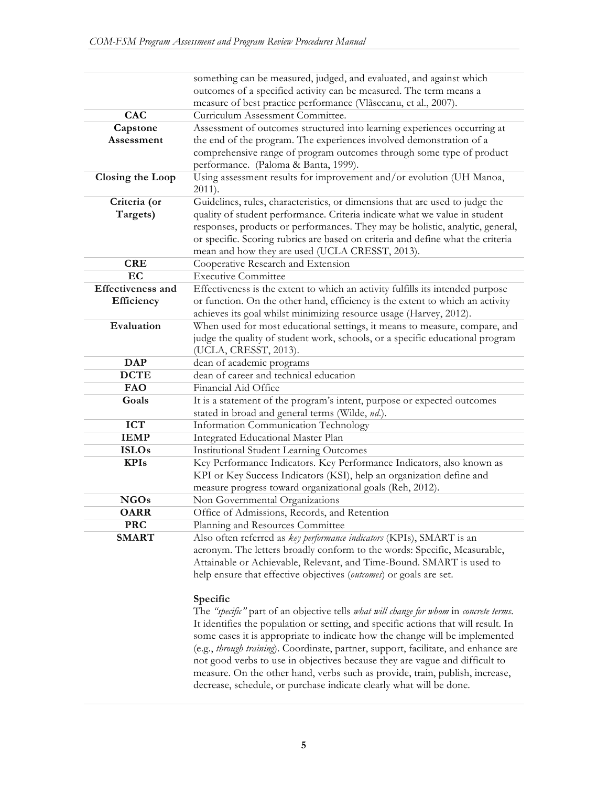|                          | something can be measured, judged, and evaluated, and against which                                                                                                                                                                                                                                                                                                                                                                                                                                                                                                        |  |
|--------------------------|----------------------------------------------------------------------------------------------------------------------------------------------------------------------------------------------------------------------------------------------------------------------------------------------------------------------------------------------------------------------------------------------------------------------------------------------------------------------------------------------------------------------------------------------------------------------------|--|
|                          | outcomes of a specified activity can be measured. The term means a                                                                                                                                                                                                                                                                                                                                                                                                                                                                                                         |  |
|                          | measure of best practice performance (Vlãsceanu, et al., 2007).                                                                                                                                                                                                                                                                                                                                                                                                                                                                                                            |  |
| <b>CAC</b>               | Curriculum Assessment Committee.                                                                                                                                                                                                                                                                                                                                                                                                                                                                                                                                           |  |
| Capstone                 | Assessment of outcomes structured into learning experiences occurring at                                                                                                                                                                                                                                                                                                                                                                                                                                                                                                   |  |
| Assessment               | the end of the program. The experiences involved demonstration of a                                                                                                                                                                                                                                                                                                                                                                                                                                                                                                        |  |
|                          | comprehensive range of program outcomes through some type of product<br>performance. (Paloma & Banta, 1999).                                                                                                                                                                                                                                                                                                                                                                                                                                                               |  |
| Closing the Loop         | Using assessment results for improvement and/or evolution (UH Manoa,<br>$2011$ ).                                                                                                                                                                                                                                                                                                                                                                                                                                                                                          |  |
| Criteria (or<br>Targets) | Guidelines, rules, characteristics, or dimensions that are used to judge the<br>quality of student performance. Criteria indicate what we value in student<br>responses, products or performances. They may be holistic, analytic, general,<br>or specific. Scoring rubrics are based on criteria and define what the criteria<br>mean and how they are used (UCLA CRESST, 2013).                                                                                                                                                                                          |  |
| <b>CRE</b>               | Cooperative Research and Extension                                                                                                                                                                                                                                                                                                                                                                                                                                                                                                                                         |  |
| EC                       | <b>Executive Committee</b>                                                                                                                                                                                                                                                                                                                                                                                                                                                                                                                                                 |  |
| <b>Effectiveness and</b> | Effectiveness is the extent to which an activity fulfills its intended purpose                                                                                                                                                                                                                                                                                                                                                                                                                                                                                             |  |
| Efficiency               | or function. On the other hand, efficiency is the extent to which an activity                                                                                                                                                                                                                                                                                                                                                                                                                                                                                              |  |
|                          | achieves its goal whilst minimizing resource usage (Harvey, 2012).                                                                                                                                                                                                                                                                                                                                                                                                                                                                                                         |  |
| Evaluation               | When used for most educational settings, it means to measure, compare, and                                                                                                                                                                                                                                                                                                                                                                                                                                                                                                 |  |
|                          | judge the quality of student work, schools, or a specific educational program<br>(UCLA, CRESST, 2013).                                                                                                                                                                                                                                                                                                                                                                                                                                                                     |  |
| <b>DAP</b>               | dean of academic programs                                                                                                                                                                                                                                                                                                                                                                                                                                                                                                                                                  |  |
| <b>DCTE</b>              | dean of career and technical education                                                                                                                                                                                                                                                                                                                                                                                                                                                                                                                                     |  |
| <b>FAO</b>               | Financial Aid Office                                                                                                                                                                                                                                                                                                                                                                                                                                                                                                                                                       |  |
| Goals                    | It is a statement of the program's intent, purpose or expected outcomes                                                                                                                                                                                                                                                                                                                                                                                                                                                                                                    |  |
|                          | stated in broad and general terms (Wilde, nd.).                                                                                                                                                                                                                                                                                                                                                                                                                                                                                                                            |  |
| <b>ICT</b>               | Information Communication Technology                                                                                                                                                                                                                                                                                                                                                                                                                                                                                                                                       |  |
| <b>IEMP</b>              | Integrated Educational Master Plan                                                                                                                                                                                                                                                                                                                                                                                                                                                                                                                                         |  |
| <b>ISLOs</b>             | <b>Institutional Student Learning Outcomes</b>                                                                                                                                                                                                                                                                                                                                                                                                                                                                                                                             |  |
| <b>KPIs</b>              | Key Performance Indicators. Key Performance Indicators, also known as<br>KPI or Key Success Indicators (KSI), help an organization define and<br>measure progress toward organizational goals (Reh, 2012).                                                                                                                                                                                                                                                                                                                                                                 |  |
| <b>NGOs</b>              | Non Governmental Organizations                                                                                                                                                                                                                                                                                                                                                                                                                                                                                                                                             |  |
| <b>OARR</b>              | Office of Admissions, Records, and Retention                                                                                                                                                                                                                                                                                                                                                                                                                                                                                                                               |  |
| <b>PRC</b>               | Planning and Resources Committee                                                                                                                                                                                                                                                                                                                                                                                                                                                                                                                                           |  |
| <b>SMART</b>             | Also often referred as key performance indicators (KPIs), SMART is an<br>acronym. The letters broadly conform to the words: Specific, Measurable,<br>Attainable or Achievable, Relevant, and Time-Bound. SMART is used to<br>help ensure that effective objectives (outcomes) or goals are set.<br>Specific<br>The "specific" part of an objective tells what will change for whom in concrete terms.<br>It identifies the population or setting, and specific actions that will result. In<br>some cases it is appropriate to indicate how the change will be implemented |  |

some cases it is appropriate to indicate how the change will be implemented (e.g., *through training*). Coordinate, partner, support, facilitate, and enhance are not good verbs to use in objectives because they are vague and difficult to measure. On the other hand, verbs such as provide, train, publish, increase, decrease, schedule, or purchase indicate clearly what will be done.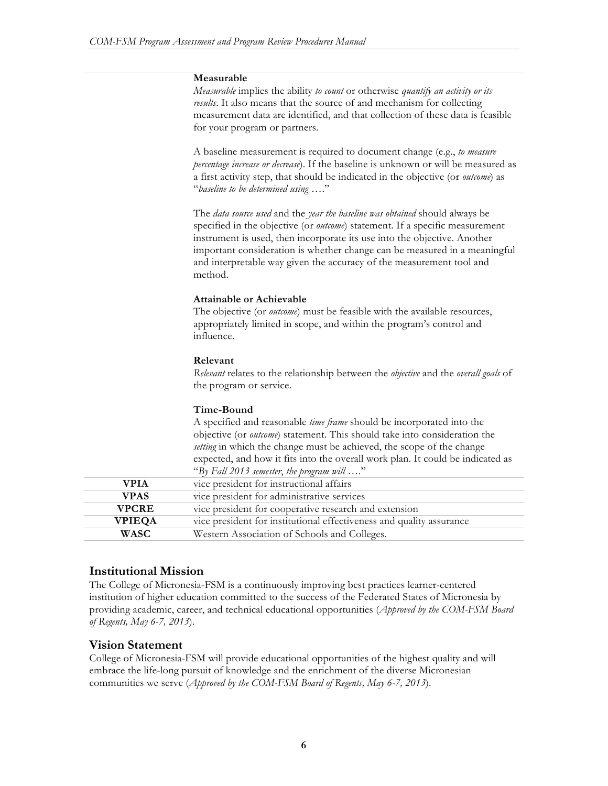### **Measurable**

*Measurable* implies the ability *to count* or otherwise *quantify an activity or its results*. It also means that the source of and mechanism for collecting measurement data are identified, and that collection of these data is feasible for your program or partners.

A baseline measurement is required to document change (e.g., *to measure percentage increase or decrease*). If the baseline is unknown or will be measured as a first activity step, that should be indicated in the objective (or *outcome*) as "*baseline to be determined using …*."

The *data source used* and the *year the baseline was obtained* should always be specified in the objective (or *outcome*) statement. If a specific measurement instrument is used, then incorporate its use into the objective. Another important consideration is whether change can be measured in a meaningful and interpretable way given the accuracy of the measurement tool and method.

## **Attainable or Achievable**

The objective (or *outcome*) must be feasible with the available resources, appropriately limited in scope, and within the program's control and influence.

### **Relevant**

*Relevant* relates to the relationship between the *objective* and the *overall goals* of the program or service.

## **Time-Bound**

A specified and reasonable *time frame* should be incorporated into the objective (or *outcome*) statement. This should take into consideration the *setting* in which the change must be achieved, the scope of the change expected, and how it fits into the overall work plan. It could be indicated as "*By Fall 2013 semester*, *the program will* …."

|               | $D_f$ + and $E_0$ is somewhat, the program were $\cdots$             |
|---------------|----------------------------------------------------------------------|
| VPIA          | vice president for instructional affairs                             |
| <b>VPAS</b>   | vice president for administrative services                           |
| <b>VPCRE</b>  | vice president for cooperative research and extension                |
| <b>VPIEOA</b> | vice president for institutional effectiveness and quality assurance |
| <b>WASC</b>   | Western Association of Schools and Colleges.                         |

# **Institutional Mission**

The College of Micronesia-FSM is a continuously improving best practices learner-centered institution of higher education committed to the success of the Federated States of Micronesia by providing academic, career, and technical educational opportunities (*Approved by the COM-FSM Board of Regents, May 6-7, 2013*).

# **Vision Statement**

College of Micronesia-FSM will provide educational opportunities of the highest quality and will embrace the life-long pursuit of knowledge and the enrichment of the diverse Micronesian communities we serve (*Approved by the COM-FSM Board of Regents, May 6-7, 2013*).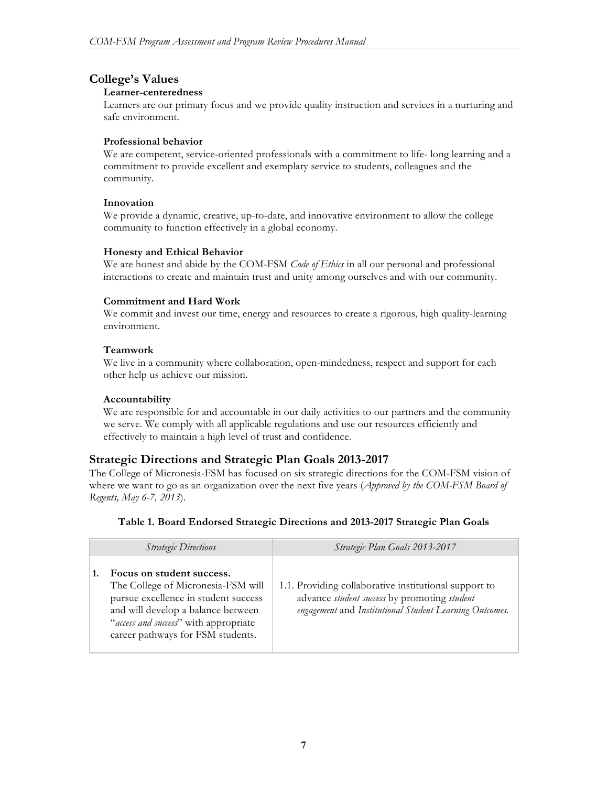# **College's Values**

# **Learner-centeredness**

Learners are our primary focus and we provide quality instruction and services in a nurturing and safe environment.

# **Professional behavior**

We are competent, service-oriented professionals with a commitment to life- long learning and a commitment to provide excellent and exemplary service to students, colleagues and the community.

# **Innovation**

We provide a dynamic, creative, up-to-date, and innovative environment to allow the college community to function effectively in a global economy.

# **Honesty and Ethical Behavior**

We are honest and abide by the COM-FSM *Code of Ethics* in all our personal and professional interactions to create and maintain trust and unity among ourselves and with our community.

# **Commitment and Hard Work**

We commit and invest our time, energy and resources to create a rigorous, high quality-learning environment.

# **Teamwork**

We live in a community where collaboration, open-mindedness, respect and support for each other help us achieve our mission.

# **Accountability**

We are responsible for and accountable in our daily activities to our partners and the community we serve. We comply with all applicable regulations and use our resources efficiently and effectively to maintain a high level of trust and confidence.

# **Strategic Directions and Strategic Plan Goals 2013-2017**

The College of Micronesia-FSM has focused on six strategic directions for the COM-FSM vision of where we want to go as an organization over the next five years (*Approved by the COM-FSM Board of Regents, May 6-7, 2013*).

|  | Table 1. Board Endorsed Strategic Directions and 2013-2017 Strategic Plan Goals |
|--|---------------------------------------------------------------------------------|
|  |                                                                                 |

| <b>Strategic Directions</b>                                                                                                                                                                                                 | Strategic Plan Goals 2013-2017                                                                                                                                   |
|-----------------------------------------------------------------------------------------------------------------------------------------------------------------------------------------------------------------------------|------------------------------------------------------------------------------------------------------------------------------------------------------------------|
| Focus on student success.<br>The College of Micronesia-FSM will<br>pursue excellence in student success<br>and will develop a balance between<br>"access and success" with appropriate<br>career pathways for FSM students. | 1.1. Providing collaborative institutional support to<br>advance student success by promoting student<br>engagement and Institutional Student Learning Outcomes. |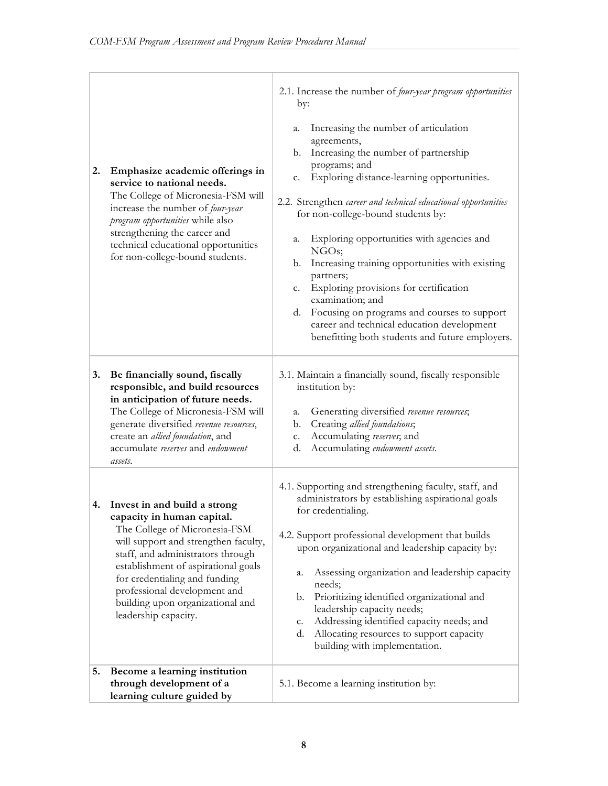| 2. | Emphasize academic offerings in<br>service to national needs.<br>The College of Micronesia-FSM will<br>increase the number of four-year<br>program opportunities while also<br>strengthening the career and<br>technical educational opportunities<br>for non-college-bound students.                                                        | 2.1. Increase the number of four-year program opportunities<br>by:<br>Increasing the number of articulation<br>a.<br>agreements,<br>Increasing the number of partnership<br>b.<br>programs; and<br>Exploring distance-learning opportunities.<br>c.<br>2.2. Strengthen career and technical educational opportunities<br>for non-college-bound students by:<br>Exploring opportunities with agencies and<br>a.<br>NGOs;<br>Increasing training opportunities with existing<br>b.<br>partners;<br>c. Exploring provisions for certification<br>examination; and<br>Focusing on programs and courses to support<br>d.<br>career and technical education development<br>benefitting both students and future employers. |
|----|----------------------------------------------------------------------------------------------------------------------------------------------------------------------------------------------------------------------------------------------------------------------------------------------------------------------------------------------|----------------------------------------------------------------------------------------------------------------------------------------------------------------------------------------------------------------------------------------------------------------------------------------------------------------------------------------------------------------------------------------------------------------------------------------------------------------------------------------------------------------------------------------------------------------------------------------------------------------------------------------------------------------------------------------------------------------------|
| 3. | Be financially sound, fiscally<br>responsible, and build resources<br>in anticipation of future needs.<br>The College of Micronesia-FSM will<br>generate diversified revenue resources,<br>create an allied foundation, and<br>accumulate reserves and endowment<br>assets.                                                                  | 3.1. Maintain a financially sound, fiscally responsible<br>institution by:<br>Generating diversified revenue resources;<br>a.<br>Creating allied foundations;<br>b.<br>Accumulating reserves; and<br>c.<br>d.<br>Accumulating endowment assets.                                                                                                                                                                                                                                                                                                                                                                                                                                                                      |
| 4. | Invest in and build a strong<br>capacity in human capital.<br>The College of Micronesia-FSM<br>will support and strengthen faculty,<br>staff, and administrators through<br>establishment of aspirational goals<br>for credentialing and funding<br>professional development and<br>building upon organizational and<br>leadership capacity. | 4.1. Supporting and strengthening faculty, staff, and<br>administrators by establishing aspirational goals<br>for credentialing.<br>4.2. Support professional development that builds<br>upon organizational and leadership capacity by:<br>Assessing organization and leadership capacity<br>а.<br>needs;<br>Prioritizing identified organizational and<br>b.<br>leadership capacity needs;<br>Addressing identified capacity needs; and<br>c.<br>Allocating resources to support capacity<br>d.<br>building with implementation.                                                                                                                                                                                   |
| 5. | Become a learning institution<br>through development of a<br>learning culture guided by                                                                                                                                                                                                                                                      | 5.1. Become a learning institution by:                                                                                                                                                                                                                                                                                                                                                                                                                                                                                                                                                                                                                                                                               |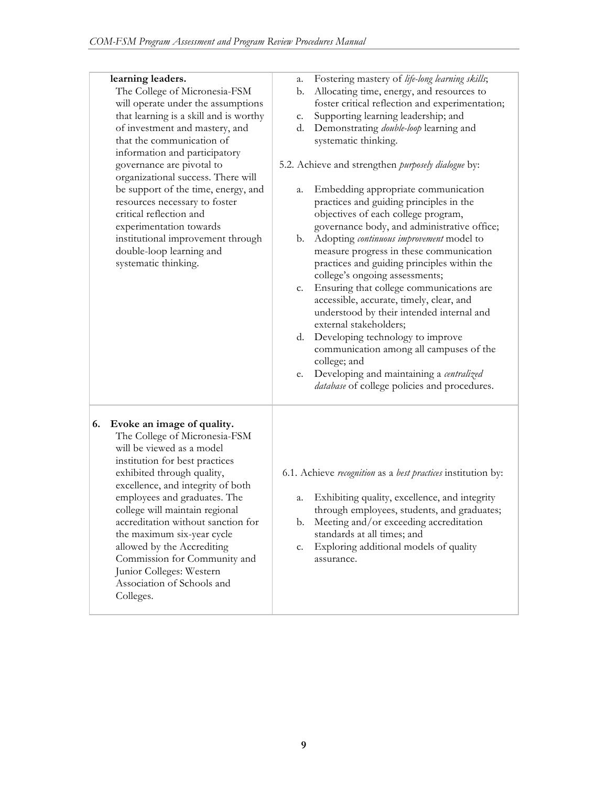| learning leaders.<br>The College of Micronesia-FSM<br>will operate under the assumptions<br>that learning is a skill and is worthy<br>of investment and mastery, and<br>that the communication of<br>information and participatory<br>governance are pivotal to<br>organizational success. There will<br>be support of the time, energy, and<br>resources necessary to foster<br>critical reflection and<br>experimentation towards<br>institutional improvement through<br>double-loop learning and<br>systematic thinking. | Fostering mastery of life-long learning skills;<br>a.<br>Allocating time, energy, and resources to<br>b.<br>foster critical reflection and experimentation;<br>Supporting learning leadership; and<br>c.<br>Demonstrating double-loop learning and<br>d.<br>systematic thinking.<br>5.2. Achieve and strengthen purposely dialogue by:<br>Embedding appropriate communication<br>a.<br>practices and guiding principles in the<br>objectives of each college program,<br>governance body, and administrative office;<br>Adopting continuous improvement model to<br>b.<br>measure progress in these communication<br>practices and guiding principles within the<br>college's ongoing assessments;<br>Ensuring that college communications are<br>c.<br>accessible, accurate, timely, clear, and<br>understood by their intended internal and<br>external stakeholders;<br>Developing technology to improve<br>d.<br>communication among all campuses of the<br>college; and<br>Developing and maintaining a centralized<br>e.<br>database of college policies and procedures. |
|------------------------------------------------------------------------------------------------------------------------------------------------------------------------------------------------------------------------------------------------------------------------------------------------------------------------------------------------------------------------------------------------------------------------------------------------------------------------------------------------------------------------------|--------------------------------------------------------------------------------------------------------------------------------------------------------------------------------------------------------------------------------------------------------------------------------------------------------------------------------------------------------------------------------------------------------------------------------------------------------------------------------------------------------------------------------------------------------------------------------------------------------------------------------------------------------------------------------------------------------------------------------------------------------------------------------------------------------------------------------------------------------------------------------------------------------------------------------------------------------------------------------------------------------------------------------------------------------------------------------|
| Evoke an image of quality.<br>6.<br>The College of Micronesia-FSM<br>will be viewed as a model<br>institution for best practices<br>exhibited through quality,<br>excellence, and integrity of both<br>employees and graduates. The<br>college will maintain regional<br>accreditation without sanction for<br>the maximum six-year cycle<br>allowed by the Accrediting<br>Commission for Community and<br>Junior Colleges: Western<br>Association of Schools and<br>Colleges.                                               | 6.1. Achieve recognition as a best practices institution by:<br>Exhibiting quality, excellence, and integrity<br>a.<br>through employees, students, and graduates;<br>Meeting and/or exceeding accreditation<br>b.<br>standards at all times; and<br>Exploring additional models of quality<br>c.<br>assurance.                                                                                                                                                                                                                                                                                                                                                                                                                                                                                                                                                                                                                                                                                                                                                                |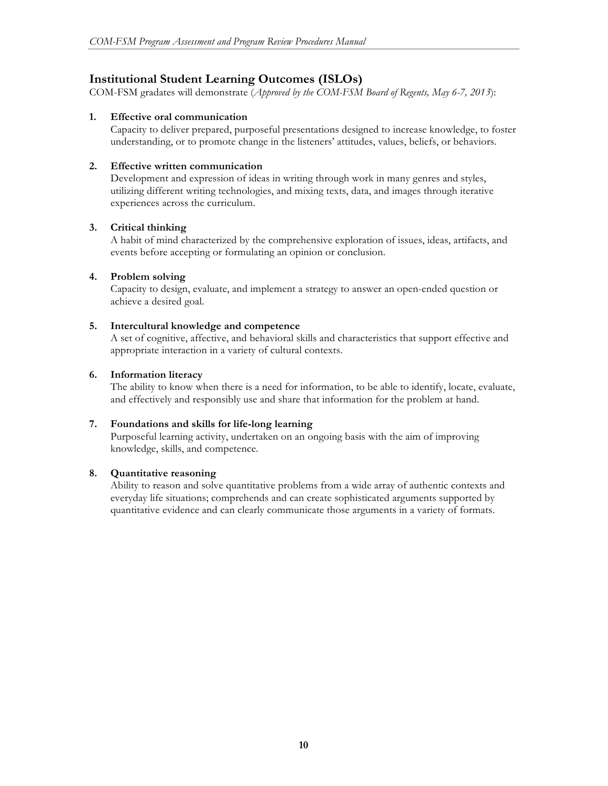# **Institutional Student Learning Outcomes (ISLOs)**

COM-FSM gradates will demonstrate (*Approved by the COM-FSM Board of Regents, May 6-7, 2013*):

## **1. Effective oral communication**

Capacity to deliver prepared, purposeful presentations designed to increase knowledge, to foster understanding, or to promote change in the listeners' attitudes, values, beliefs, or behaviors.

# **2. Effective written communication**

Development and expression of ideas in writing through work in many genres and styles, utilizing different writing technologies, and mixing texts, data, and images through iterative experiences across the curriculum.

# **3. Critical thinking**

A habit of mind characterized by the comprehensive exploration of issues, ideas, artifacts, and events before accepting or formulating an opinion or conclusion.

# **4. Problem solving**

Capacity to design, evaluate, and implement a strategy to answer an open-ended question or achieve a desired goal.

## **5. Intercultural knowledge and competence**

A set of cognitive, affective, and behavioral skills and characteristics that support effective and appropriate interaction in a variety of cultural contexts.

## **6. Information literacy**

The ability to know when there is a need for information, to be able to identify, locate, evaluate, and effectively and responsibly use and share that information for the problem at hand.

## **7. Foundations and skills for life-long learning**

Purposeful learning activity, undertaken on an ongoing basis with the aim of improving knowledge, skills, and competence.

## **8. Quantitative reasoning**

Ability to reason and solve quantitative problems from a wide array of authentic contexts and everyday life situations; comprehends and can create sophisticated arguments supported by quantitative evidence and can clearly communicate those arguments in a variety of formats.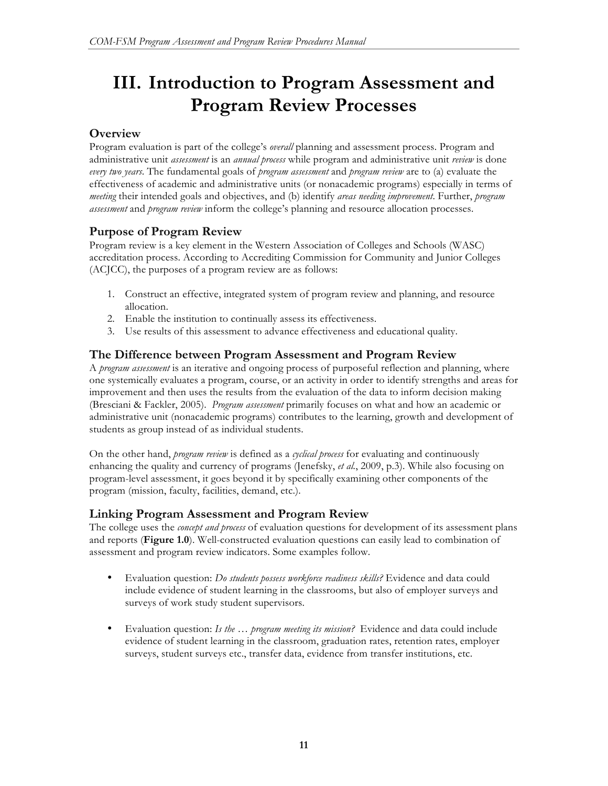# **III. Introduction to Program Assessment and Program Review Processes**

# **Overview**

Program evaluation is part of the college's *overall* planning and assessment process. Program and administrative unit *assessment* is an *annual process* while program and administrative unit *review* is done *every two years*. The fundamental goals of *program assessment* and *program review* are to (a) evaluate the effectiveness of academic and administrative units (or nonacademic programs) especially in terms of *meeting* their intended goals and objectives, and (b) identify *areas needing improvement*. Further, *program assessment* and *program review* inform the college's planning and resource allocation processes.

# **Purpose of Program Review**

Program review is a key element in the Western Association of Colleges and Schools (WASC) accreditation process. According to Accrediting Commission for Community and Junior Colleges (ACJCC), the purposes of a program review are as follows:

- 1. Construct an effective, integrated system of program review and planning, and resource allocation.
- 2. Enable the institution to continually assess its effectiveness.
- 3. Use results of this assessment to advance effectiveness and educational quality.

# **The Difference between Program Assessment and Program Review**

A *program assessment* is an iterative and ongoing process of purposeful reflection and planning, where one systemically evaluates a program, course, or an activity in order to identify strengths and areas for improvement and then uses the results from the evaluation of the data to inform decision making (Bresciani & Fackler, 2005). *Program assessment* primarily focuses on what and how an academic or administrative unit (nonacademic programs) contributes to the learning, growth and development of students as group instead of as individual students.

On the other hand, *program review* is defined as a *cyclical process* for evaluating and continuously enhancing the quality and currency of programs (Jenefsky, *et al.*, 2009, p.3). While also focusing on program-level assessment, it goes beyond it by specifically examining other components of the program (mission, faculty, facilities, demand, etc.).

# **Linking Program Assessment and Program Review**

The college uses the *concept and process* of evaluation questions for development of its assessment plans and reports (**Figure 1.0**). Well-constructed evaluation questions can easily lead to combination of assessment and program review indicators. Some examples follow.

- Evaluation question: *Do students possess workforce readiness skills?* Evidence and data could include evidence of student learning in the classrooms, but also of employer surveys and surveys of work study student supervisors.
- Evaluation question: *Is the … program meeting its mission?* Evidence and data could include evidence of student learning in the classroom, graduation rates, retention rates, employer surveys, student surveys etc., transfer data, evidence from transfer institutions, etc.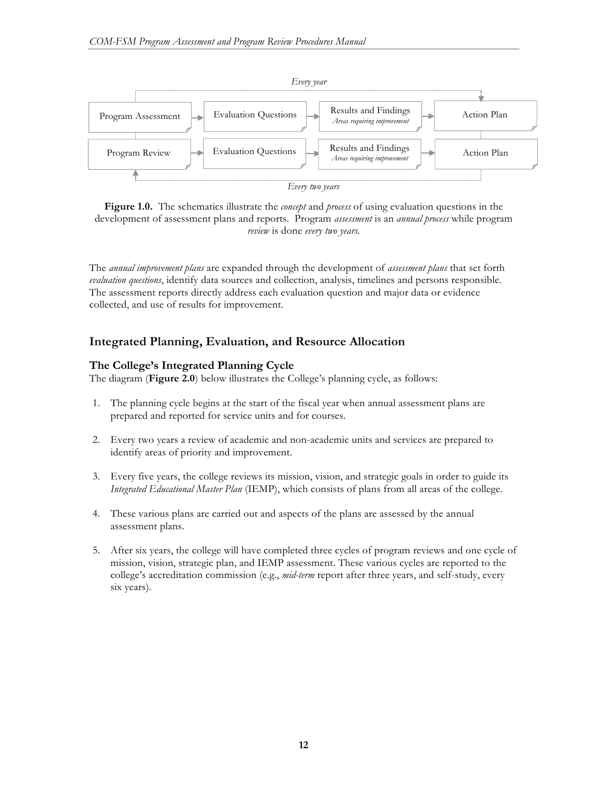

**Figure 1.0.** The schematics illustrate the *concept* and *process* of using evaluation questions in the development of assessment plans and reports. Program *assessment* is an *annual process* while program *review* is done *every two years.* 

The *annual improvement plans* are expanded through the development of *assessment plans* that set forth *evaluation questions*, identify data sources and collection, analysis, timelines and persons responsible. The assessment reports directly address each evaluation question and major data or evidence collected, and use of results for improvement.

# **Integrated Planning, Evaluation, and Resource Allocation**

# **The College's Integrated Planning Cycle**

The diagram (**Figure 2.0**) below illustrates the College's planning cycle, as follows:

- 1. The planning cycle begins at the start of the fiscal year when annual assessment plans are prepared and reported for service units and for courses.
- 2. Every two years a review of academic and non-academic units and services are prepared to identify areas of priority and improvement.
- 3. Every five years, the college reviews its mission, vision, and strategic goals in order to guide its *Integrated Educational Master Plan* (IEMP), which consists of plans from all areas of the college.
- 4. These various plans are carried out and aspects of the plans are assessed by the annual assessment plans.
- 5. After six years, the college will have completed three cycles of program reviews and one cycle of mission, vision, strategic plan, and IEMP assessment. These various cycles are reported to the college's accreditation commission (e.g., *mid-term* report after three years, and self-study, every six years).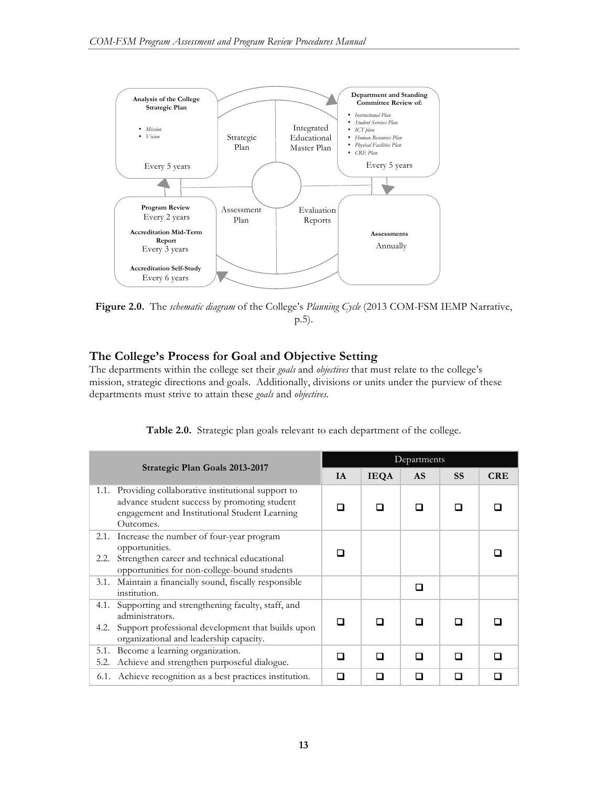

**Figure 2.0.** The *schematic diagram* of the College's *Planning Cycle* (2013 COM-FSM IEMP Narrative, p.5).

# **The College's Process for Goal and Objective Setting**

The departments within the college set their *goals* and *objectives* that must relate to the college's mission, strategic directions and goals. Additionally, divisions or units under the purview of these departments must strive to attain these *goals* and *objectives.*

| Strategic Plan Goals 2013-2017                                                                                                                                                      |  | Departments |           |           |            |
|-------------------------------------------------------------------------------------------------------------------------------------------------------------------------------------|--|-------------|-----------|-----------|------------|
|                                                                                                                                                                                     |  | <b>IEQA</b> | <b>AS</b> | <b>SS</b> | <b>CRE</b> |
| Providing collaborative institutional support to<br>1.1.<br>advance student success by promoting student<br>engagement and Institutional Student Learning<br>Outcomes.              |  |             |           |           |            |
| Increase the number of four-year program<br>2.1.<br>opportunities.<br>Strengthen career and technical educational<br>2.2.<br>opportunities for non-college-bound students           |  |             |           |           |            |
| Maintain a financially sound, fiscally responsible<br>3.1.<br>institution.                                                                                                          |  |             |           |           |            |
| Supporting and strengthening faculty, staff, and<br>4.1.<br>administrators.<br>Support professional development that builds upon<br>4.2.<br>organizational and leadership capacity. |  |             |           |           |            |
| Become a learning organization.<br>5.1.<br>Achieve and strengthen purposeful dialogue.<br>5.2.                                                                                      |  | П           | П         |           |            |
| 6.1. Achieve recognition as a best practices institution.                                                                                                                           |  | П           |           |           |            |

**Table 2.0.** Strategic plan goals relevant to each department of the college.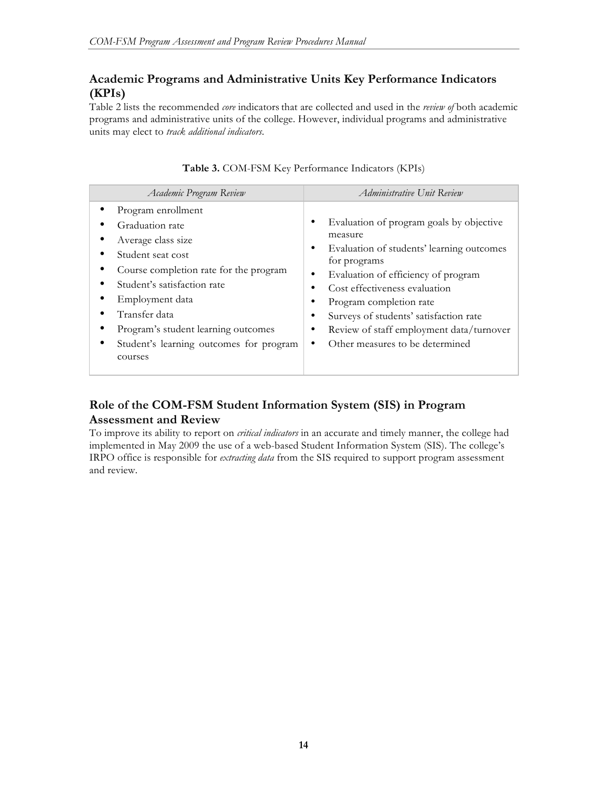# **Academic Programs and Administrative Units Key Performance Indicators (KPIs)**

Table 2 lists the recommended *core* indicatorsthat are collected and used in the *review of* both academic programs and administrative units of the college. However, individual programs and administrative units may elect to *track additional indicators*.

| Academic Program Review                                                                                                                                                                                                                                                                    | <i>Administrative Unit Review</i>                                                                                                                                                                                                                                                                                                            |
|--------------------------------------------------------------------------------------------------------------------------------------------------------------------------------------------------------------------------------------------------------------------------------------------|----------------------------------------------------------------------------------------------------------------------------------------------------------------------------------------------------------------------------------------------------------------------------------------------------------------------------------------------|
| Program enrollment<br>Graduation rate<br>Average class size<br>Student seat cost<br>Course completion rate for the program<br>Student's satisfaction rate<br>Employment data<br>Transfer data<br>Program's student learning outcomes<br>Student's learning outcomes for program<br>courses | Evaluation of program goals by objective<br>measure<br>Evaluation of students' learning outcomes<br>for programs<br>Evaluation of efficiency of program<br>Cost effectiveness evaluation<br>Program completion rate<br>Surveys of students' satisfaction rate<br>Review of staff employment data/turnover<br>Other measures to be determined |
|                                                                                                                                                                                                                                                                                            |                                                                                                                                                                                                                                                                                                                                              |

| Table 3. COM-FSM Key Performance Indicators (KPIs) |  |
|----------------------------------------------------|--|
|----------------------------------------------------|--|

# **Role of the COM-FSM Student Information System (SIS) in Program Assessment and Review**

To improve its ability to report on *critical indicators* in an accurate and timely manner, the college had implemented in May 2009 the use of a web-based Student Information System (SIS). The college's IRPO office is responsible for *extracting data* from the SIS required to support program assessment and review.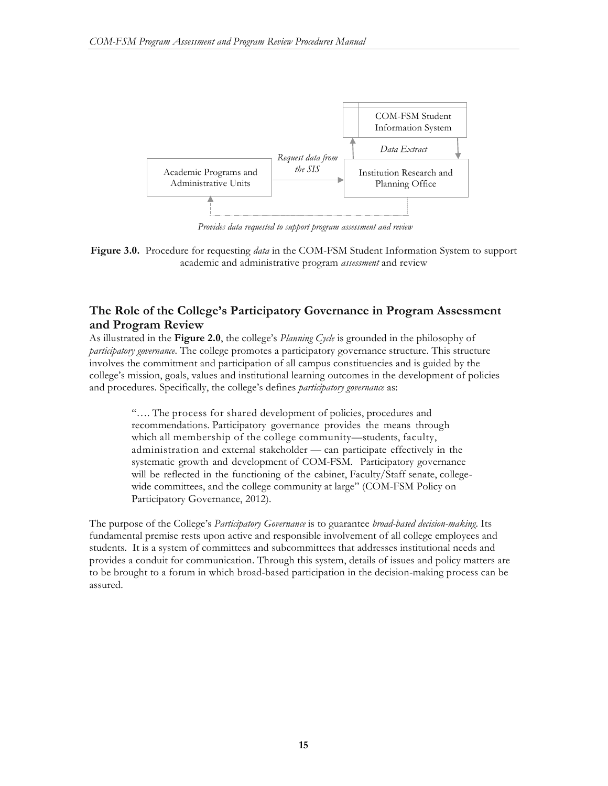

*Provides data requested to support program assessment and review*

**Figure 3.0.** Procedure for requesting *data* in the COM-FSM Student Information System to support academic and administrative program *assessment* and review

# **The Role of the College's Participatory Governance in Program Assessment and Program Review**

As illustrated in the **Figure 2.0**, the college's *Planning Cycle* is grounded in the philosophy of *participatory governance*. The college promotes a participatory governance structure. This structure involves the commitment and participation of all campus constituencies and is guided by the college's mission, goals, values and institutional learning outcomes in the development of policies and procedures. Specifically, the college's defines *participatory governance* as:

> "…. The process for shared development of policies, procedures and recommendations. Participatory governance provides the means through which all membership of the college community—students, faculty, administration and external stakeholder — can participate effectively in the systematic growth and development of COM-FSM. Participatory governance will be reflected in the functioning of the cabinet, Faculty/Staff senate, collegewide committees, and the college community at large" (COM-FSM Policy on Participatory Governance, 2012).

The purpose of the College's *Participatory Governance* is to guarantee *broad-based decision-making*. Its fundamental premise rests upon active and responsible involvement of all college employees and students. It is a system of committees and subcommittees that addresses institutional needs and provides a conduit for communication. Through this system, details of issues and policy matters are to be brought to a forum in which broad-based participation in the decision-making process can be assured.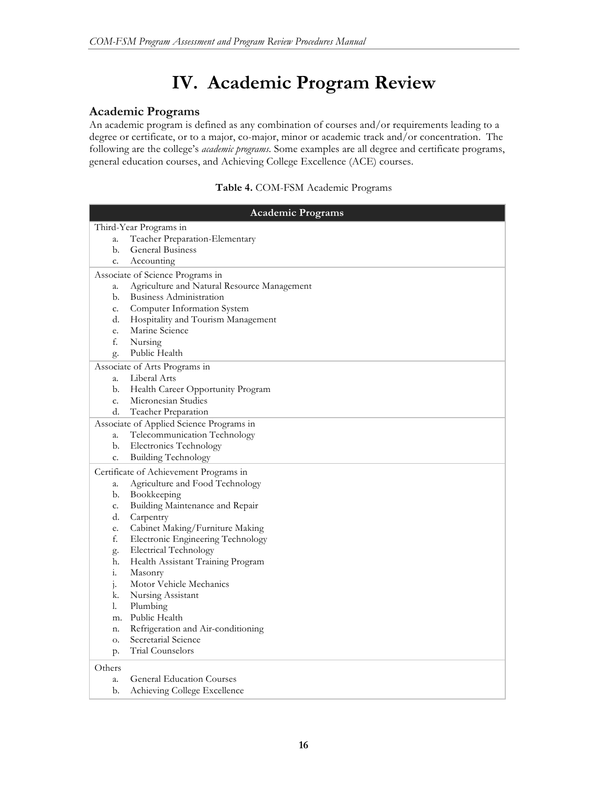# **IV. Academic Program Review**

# **Academic Programs**

An academic program is defined as any combination of courses and/or requirements leading to a degree or certificate, or to a major, co-major, minor or academic track and/or concentration. The following are the college's *academic programs.* Some examples are all degree and certificate programs, general education courses, and Achieving College Excellence (ACE) courses.

|                      | <b>Academic Programs</b>                    |
|----------------------|---------------------------------------------|
|                      | Third-Year Programs in                      |
| а.                   | Teacher Preparation-Elementary              |
| b.                   | <b>General Business</b>                     |
| c.                   | Accounting                                  |
|                      | Associate of Science Programs in            |
| a.                   | Agriculture and Natural Resource Management |
| b.                   | Business Administration                     |
| c.                   | Computer Information System                 |
| d.                   | Hospitality and Tourism Management          |
| e.                   | Marine Science                              |
| f.                   | Nursing                                     |
| g.                   | Public Health                               |
|                      | Associate of Arts Programs in               |
| а.                   | Liberal Arts                                |
| b.                   | Health Career Opportunity Program           |
| c.                   | Micronesian Studies                         |
| d.                   | Teacher Preparation                         |
|                      | Associate of Applied Science Programs in    |
| a.                   | Telecommunication Technology                |
| b.                   | Electronics Technology                      |
| c.                   | <b>Building Technology</b>                  |
|                      | Certificate of Achievement Programs in      |
| a.                   | Agriculture and Food Technology             |
| b.                   | Bookkeeping                                 |
| c.                   | Building Maintenance and Repair             |
| d.                   | Carpentry                                   |
| e.                   | Cabinet Making/Furniture Making             |
| f.                   | Electronic Engineering Technology           |
| g.                   | <b>Electrical Technology</b>                |
| h.                   | Health Assistant Training Program           |
| $\dot{\mathbf{i}}$ . | Masonry                                     |
| $\mathbf{j}$ .       | Motor Vehicle Mechanics                     |
| k.                   | Nursing Assistant                           |
| l.                   | Plumbing                                    |
| m.                   | Public Health                               |
| n.                   | Refrigeration and Air-conditioning          |
| О.                   | Secretarial Science                         |
| p.                   | Trial Counselors                            |
| Others               |                                             |
| a.                   | <b>General Education Courses</b>            |
| b.                   | Achieving College Excellence                |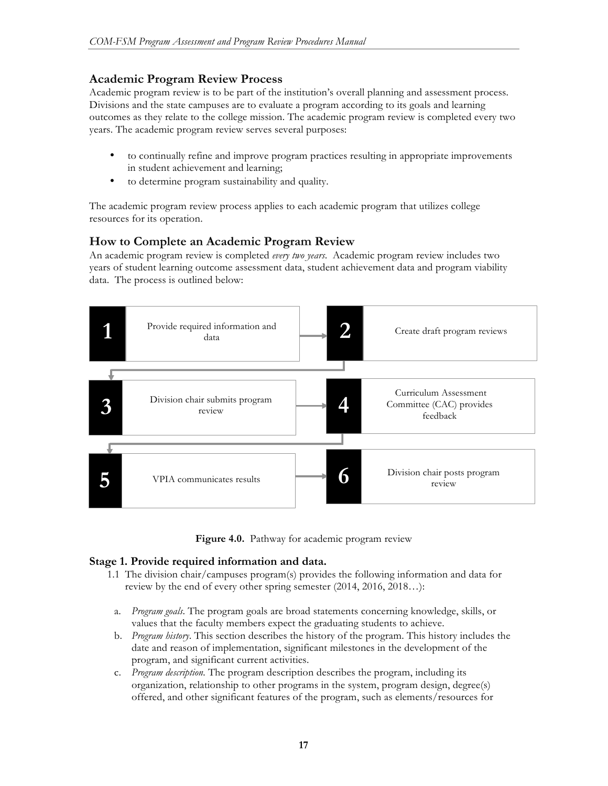# **Academic Program Review Process**

Academic program review is to be part of the institution's overall planning and assessment process. Divisions and the state campuses are to evaluate a program according to its goals and learning outcomes as they relate to the college mission. The academic program review is completed every two years. The academic program review serves several purposes:

- to continually refine and improve program practices resulting in appropriate improvements in student achievement and learning;
- to determine program sustainability and quality.

The academic program review process applies to each academic program that utilizes college resources for its operation.

# **How to Complete an Academic Program Review**

An academic program review is completed *every two years*. Academic program review includes two years of student learning outcome assessment data, student achievement data and program viability data. The process is outlined below:





# **Stage 1. Provide required information and data.**

- 1.1 The division chair/campuses program(s) provides the following information and data for review by the end of every other spring semester (2014, 2016, 2018…):
- a. *Program goals*. The program goals are broad statements concerning knowledge, skills, or values that the faculty members expect the graduating students to achieve.
- b. *Program history*. This section describes the history of the program. This history includes the date and reason of implementation, significant milestones in the development of the program, and significant current activities.
- c. *Program description.* The program description describes the program, including its organization, relationship to other programs in the system, program design, degree(s) offered, and other significant features of the program, such as elements/resources for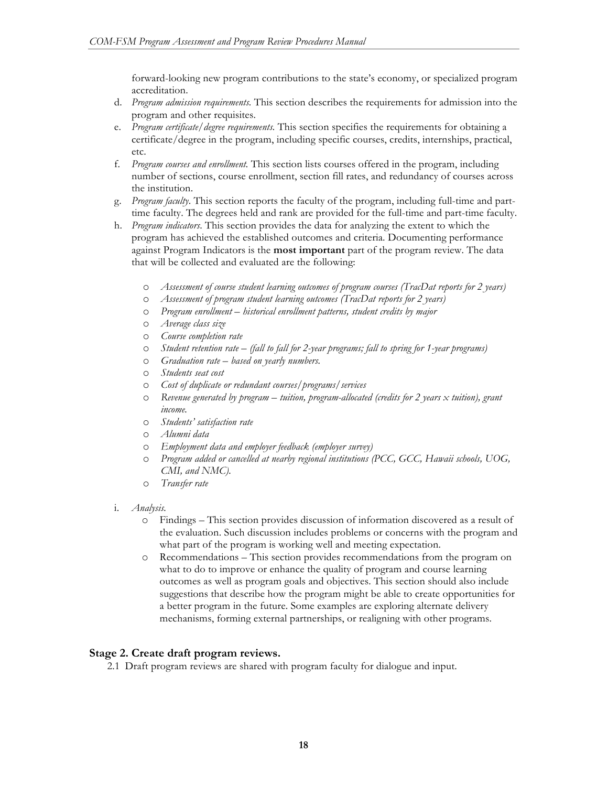forward-looking new program contributions to the state's economy, or specialized program accreditation.

- d. *Program admission requirements.* This section describes the requirements for admission into the program and other requisites.
- e. *Program certificate/degree requirements.* This section specifies the requirements for obtaining a certificate/degree in the program, including specific courses, credits, internships, practical, etc.
- f. *Program courses and enrollment.* This section lists courses offered in the program, including number of sections, course enrollment, section fill rates, and redundancy of courses across the institution.
- g. *Program faculty*. This section reports the faculty of the program, including full-time and parttime faculty. The degrees held and rank are provided for the full-time and part-time faculty.
- h. *Program indicators*. This section provides the data for analyzing the extent to which the program has achieved the established outcomes and criteria. Documenting performance against Program Indicators is the **most important** part of the program review. The data that will be collected and evaluated are the following:
	- o *Assessment of course student learning outcomes of program courses (TracDat reports for 2 years)*
	- o *Assessment of program student learning outcomes (TracDat reports for 2 years)*
	- o *Program enrollment – historical enrollment patterns, student credits by major*
	- o *Average class size*
	- o *Course completion rate*
	- o *Student retention rate – (fall to fall for 2-year programs; fall to spring for 1-year programs)*
	- o *Graduation rate – based on yearly numbers.*
	- o *Students seat cost*
	- o *Cost of duplicate or redundant courses/programs/services*
	- o *Revenue generated by program – tuition, program-allocated (credits for 2 years x tuition), grant income.*
	- o *Students' satisfaction rate*
	- o *Alumni data*
	- o *Employment data and employer feedback (employer survey)*
	- o *Program added or cancelled at nearby regional institutions (PCC, GCC, Hawaii schools, UOG, CMI, and NMC).*
	- o *Transfer rate*
- i. *Analysis.* 
	- o Findings This section provides discussion of information discovered as a result of the evaluation. Such discussion includes problems or concerns with the program and what part of the program is working well and meeting expectation.
	- o Recommendations This section provides recommendations from the program on what to do to improve or enhance the quality of program and course learning outcomes as well as program goals and objectives. This section should also include suggestions that describe how the program might be able to create opportunities for a better program in the future. Some examples are exploring alternate delivery mechanisms, forming external partnerships, or realigning with other programs.

## **Stage 2. Create draft program reviews.**

2.1 Draft program reviews are shared with program faculty for dialogue and input.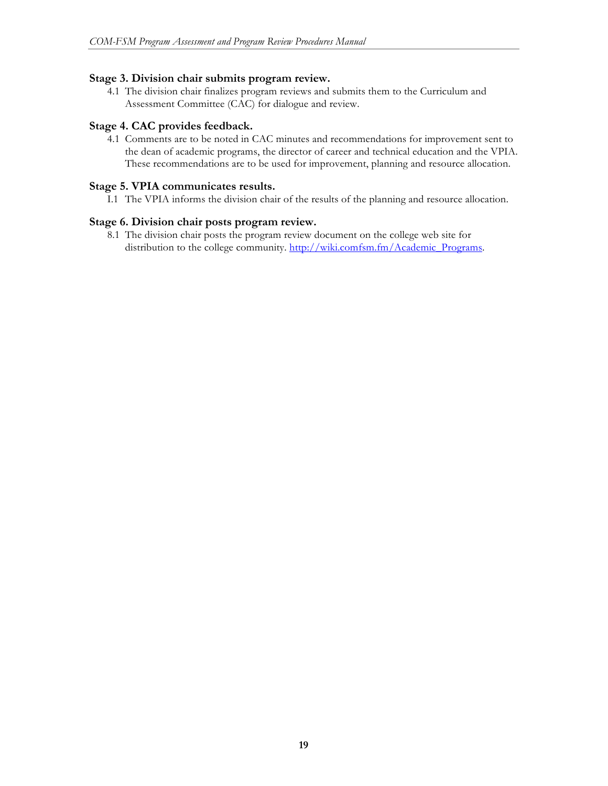# **Stage 3. Division chair submits program review.**

4.1 The division chair finalizes program reviews and submits them to the Curriculum and Assessment Committee (CAC) for dialogue and review.

# **Stage 4. CAC provides feedback.**

4.1 Comments are to be noted in CAC minutes and recommendations for improvement sent to the dean of academic programs, the director of career and technical education and the VPIA. These recommendations are to be used for improvement, planning and resource allocation.

## **Stage 5. VPIA communicates results.**

I.1 The VPIA informs the division chair of the results of the planning and resource allocation.

## **Stage 6. Division chair posts program review.**

8.1 The division chair posts the program review document on the college web site for distribution to the college community. http://wiki.comfsm.fm/Academic\_Programs.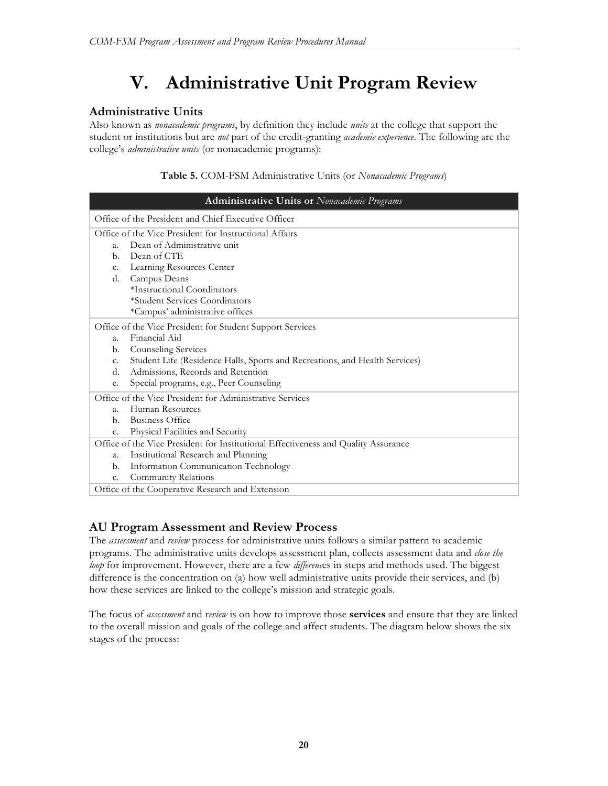# **V. Administrative Unit Program Review**

# **Administrative Units**

Also known as *nonacademic programs*, by definition they include *units* at the college that support the student or institutions but are *not* part of the credit-granting *academic experience*. The following are the college's *administrative units* (or nonacademic programs):

| <b>Administrative Units or Nonacademic Programs</b>                                        |  |  |  |  |  |
|--------------------------------------------------------------------------------------------|--|--|--|--|--|
| Office of the President and Chief Executive Officer                                        |  |  |  |  |  |
| Office of the Vice President for Instructional Affairs                                     |  |  |  |  |  |
| Dean of Administrative unit<br>$a_{\cdot}$                                                 |  |  |  |  |  |
| Dean of CTE<br>$h_{-}$                                                                     |  |  |  |  |  |
| Learning Resources Center<br>C <sub>1</sub>                                                |  |  |  |  |  |
| Campus Deans<br>d.                                                                         |  |  |  |  |  |
| *Instructional Coordinators                                                                |  |  |  |  |  |
| *Student Services Coordinators                                                             |  |  |  |  |  |
| *Campus' administrative offices                                                            |  |  |  |  |  |
| Office of the Vice President for Student Support Services                                  |  |  |  |  |  |
| Financial Aid<br>$a_{\cdot}$                                                               |  |  |  |  |  |
| Counseling Services<br>b.                                                                  |  |  |  |  |  |
| Student Life (Residence Halls, Sports and Recreations, and Health Services)<br>$C_{\star}$ |  |  |  |  |  |
| Admissions, Records and Retention<br>d.                                                    |  |  |  |  |  |
| Special programs, e.g., Peer Counseling<br>e.                                              |  |  |  |  |  |
| Office of the Vice President for Administrative Services                                   |  |  |  |  |  |
| Human Resources<br>$a_{\cdot}$                                                             |  |  |  |  |  |
| Business Office<br>b.                                                                      |  |  |  |  |  |
| Physical Facilities and Security<br>C <sub>1</sub>                                         |  |  |  |  |  |
| Office of the Vice President for Institutional Effectiveness and Quality Assurance         |  |  |  |  |  |
| Institutional Research and Planning<br>a.                                                  |  |  |  |  |  |
| Information Communication Technology<br>b.                                                 |  |  |  |  |  |
| Community Relations<br>$C_{\star}$                                                         |  |  |  |  |  |
| Office of the Cooperative Research and Extension                                           |  |  |  |  |  |

# **Table 5.** COM-FSM Administrative Units (or *Nonacademic Programs*)

# **AU Program Assessment and Review Process**

The *assessment* and *review* process for administrative units follows a similar pattern to academic programs. The administrative units develops assessment plan, collects assessment data and *close the loop* for improvement. However, there are a few *differenc*es in steps and methods used. The biggest difference is the concentration on (a) how well administrative units provide their services, and (b) how these services are linked to the college's mission and strategic goals.

The focus of *assessment* and r*eview* is on how to improve those **services** and ensure that they are linked to the overall mission and goals of the college and affect students. The diagram below shows the six stages of the process: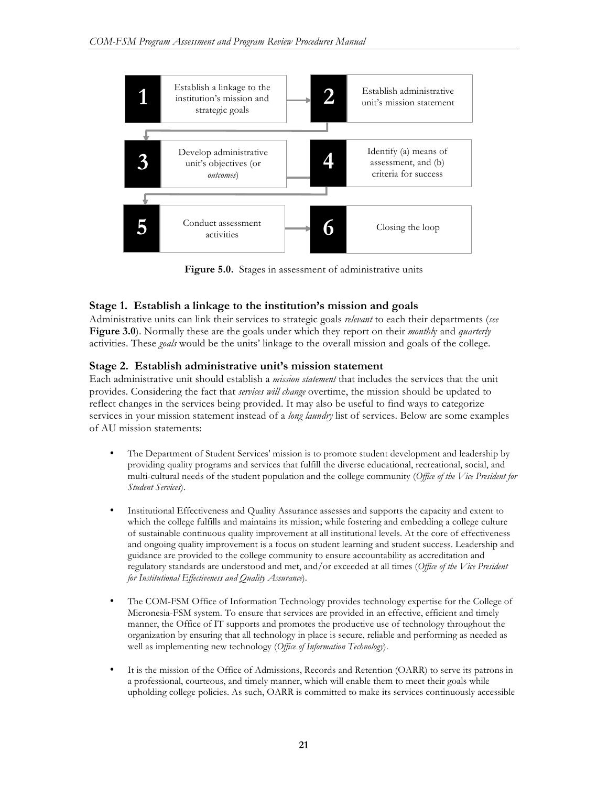

**Figure 5.0.** Stages in assessment of administrative units

# **Stage 1. Establish a linkage to the institution's mission and goals**

Administrative units can link their services to strategic goals *relevant* to each their departments (*see*  **Figure 3.0**). Normally these are the goals under which they report on their *monthl*y and *quarterly* activities. These *goals* would be the units' linkage to the overall mission and goals of the college.

# **Stage 2. Establish administrative unit's mission statement**

Each administrative unit should establish a *mission statement* that includes the services that the unit provides. Considering the fact that *services will change* overtime, the mission should be updated to reflect changes in the services being provided. It may also be useful to find ways to categorize services in your mission statement instead of a *long laundry* list of services. Below are some examples of AU mission statements:

- The Department of Student Services' mission is to promote student development and leadership by providing quality programs and services that fulfill the diverse educational, recreational, social, and multi-cultural needs of the student population and the college community (*Office of the Vice President for Student Services*).
- Institutional Effectiveness and Quality Assurance assesses and supports the capacity and extent to which the college fulfills and maintains its mission; while fostering and embedding a college culture of sustainable continuous quality improvement at all institutional levels. At the core of effectiveness and ongoing quality improvement is a focus on student learning and student success. Leadership and guidance are provided to the college community to ensure accountability as accreditation and regulatory standards are understood and met, and/or exceeded at all times (*Office of the Vice President for Institutional Effectiveness and Quality Assurance*).
- The COM-FSM Office of Information Technology provides technology expertise for the College of Micronesia-FSM system. To ensure that services are provided in an effective, efficient and timely manner, the Office of IT supports and promotes the productive use of technology throughout the organization by ensuring that all technology in place is secure, reliable and performing as needed as well as implementing new technology (*Office of Information Technology*).
- It is the mission of the Office of Admissions, Records and Retention (OARR) to serve its patrons in a professional, courteous, and timely manner, which will enable them to meet their goals while upholding college policies. As such, OARR is committed to make its services continuously accessible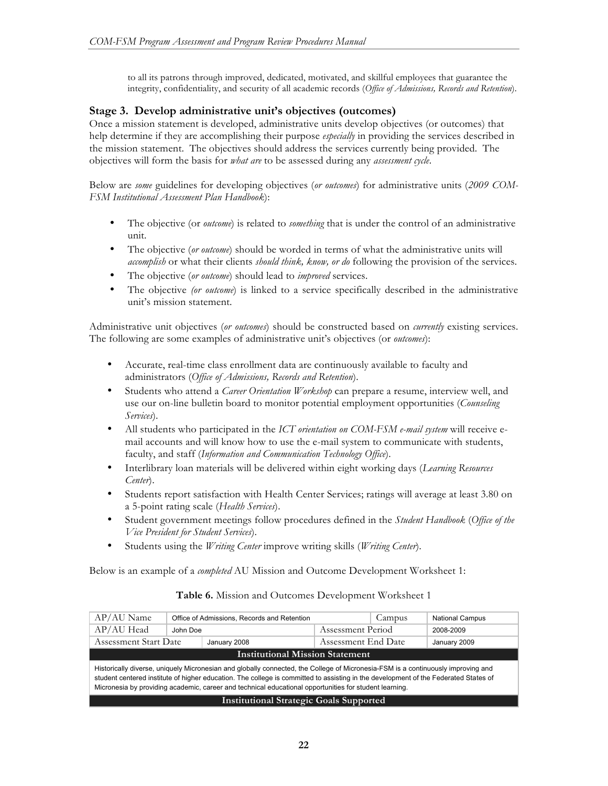to all its patrons through improved, dedicated, motivated, and skillful employees that guarantee the integrity, confidentiality, and security of all academic records (*Office of Admissions, Records and Retention*).

# **Stage 3. Develop administrative unit's objectives (outcomes)**

Once a mission statement is developed, administrative units develop objectives (or outcomes) that help determine if they are accomplishing their purpose *especially* in providing the services described in the mission statement. The objectives should address the services currently being provided. The objectives will form the basis for *what are* to be assessed during any *assessment cycle*.

Below are *some* guidelines for developing objectives (*or outcomes*) for administrative units (*2009 COM-FSM Institutional Assessment Plan Handbook*):

- The objective (or *outcome*) is related to *something* that is under the control of an administrative unit.
- The objective (*or outcome*) should be worded in terms of what the administrative units will *accomplish* or what their clients *should think, know, or do* following the provision of the services.
- The objective (*or outcome*) should lead to *improved* services.
- The objective *(or outcome*) is linked to a service specifically described in the administrative unit's mission statement.

Administrative unit objectives (*or outcomes*) should be constructed based on *currently* existing services. The following are some examples of administrative unit's objectives (or *outcomes*):

- Accurate, real-time class enrollment data are continuously available to faculty and administrators (*Office of Admissions, Records and Retention*).
- Students who attend a *Career Orientation Workshop* can prepare a resume, interview well, and use our on-line bulletin board to monitor potential employment opportunities (*Counseling Services*).
- All students who participated in the *ICT orientation on COM-FSM e-mail system* will receive email accounts and will know how to use the e-mail system to communicate with students, faculty, and staff (*Information and Communication Technology Office*).
- Interlibrary loan materials will be delivered within eight working days (*Learning Resources Center*).
- Students report satisfaction with Health Center Services; ratings will average at least 3.80 on a 5-point rating scale (*Health Services*).
- Student government meetings follow procedures defined in the *Student Handbook* (*Office of the Vice President for Student Services*).
- Students using the *Writing Center* improve writing skills (*Writing Center*)*.*

Below is an example of a *completed* AU Mission and Outcome Development Worksheet 1:

## **Table 6.** Mission and Outcomes Development Worksheet 1

| AP/AU Name                                                                                                                                                                                                                                                                                                                                                                        | Office of Admissions, Records and Retention |                     |                   | Campus       | <b>National Campus</b> |  |
|-----------------------------------------------------------------------------------------------------------------------------------------------------------------------------------------------------------------------------------------------------------------------------------------------------------------------------------------------------------------------------------|---------------------------------------------|---------------------|-------------------|--------------|------------------------|--|
| AP/AU Head                                                                                                                                                                                                                                                                                                                                                                        | John Doe                                    |                     | Assessment Period |              | 2008-2009              |  |
| Assessment Start Date<br>January 2008                                                                                                                                                                                                                                                                                                                                             |                                             | Assessment End Date |                   | January 2009 |                        |  |
| <b>Institutional Mission Statement</b>                                                                                                                                                                                                                                                                                                                                            |                                             |                     |                   |              |                        |  |
| Historically diverse, uniquely Micronesian and globally connected, the College of Micronesia-FSM is a continuously improving and<br>student centered institute of higher education. The college is committed to assisting in the development of the Federated States of<br>Micronesia by providing academic, career and technical educational opportunities for student learning. |                                             |                     |                   |              |                        |  |
| <b>Institutional Strategic Goals Supported</b>                                                                                                                                                                                                                                                                                                                                    |                                             |                     |                   |              |                        |  |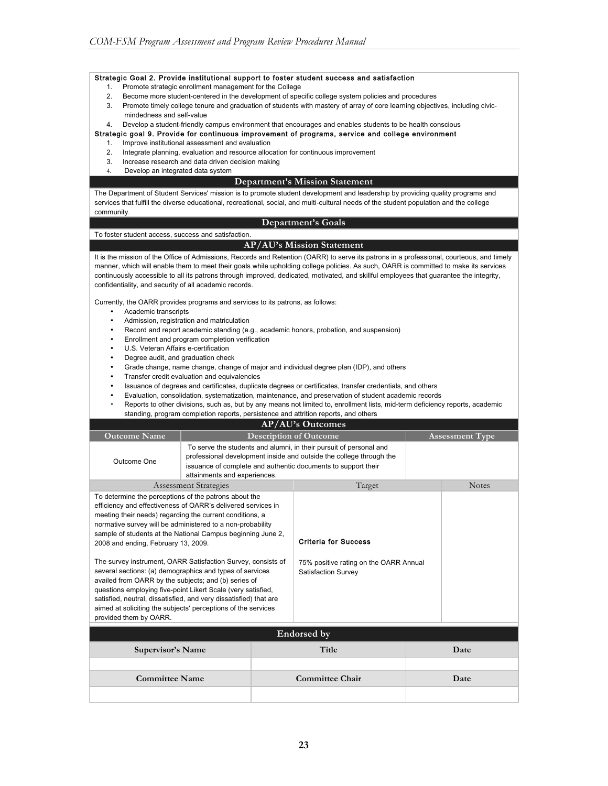#### Strategic Goal 2. Provide institutional support to foster student success and satisfaction

- 1. Promote strategic enrollment management for the College
- 2. Become more student-centered in the development of specific college system policies and procedures
- 3. Promote timely college tenure and graduation of students with mastery of array of core learning objectives, including civicmindedness and self-value
- 4. Develop a student-friendly campus environment that encourages and enables students to be health conscious

#### Strategic goal 9. Provide for continuous improvement of programs, service and college environment

- 1. Improve institutional assessment and evaluation
- 2. Integrate planning, evaluation and resource allocation for continuous improvement
- 3. Increase research and data driven decision making
- 4. Develop an integrated data system

#### **Department's Mission Statement**

The Department of Student Services' mission is to promote student development and leadership by providing quality programs and services that fulfill the diverse educational, recreational, social, and multi-cultural needs of the student population and the college community*.*

#### **Department's Goals**

#### To foster student access, success and satisfaction.

#### **AP/AU's Mission Statement**

It is the mission of the Office of Admissions, Records and Retention (OARR) to serve its patrons in a professional, courteous, and timely manner, which will enable them to meet their goals while upholding college policies. As such, OARR is committed to make its services continuously accessible to all its patrons through improved, dedicated, motivated, and skillful employees that guarantee the integrity, confidentiality, and security of all academic records.

Currently, the OARR provides programs and services to its patrons, as follows:

- Academic transcripts
- Admission, registration and matriculation
- Record and report academic standing (e.g., academic honors, probation, and suspension)
- Enrollment and program completion verification
- U.S. Veteran Affairs e-certification
- Degree audit, and graduation check
- Grade change, name change, change of major and individual degree plan (IDP), and others
- Transfer credit evaluation and equivalencies
- Issuance of degrees and certificates, duplicate degrees or certificates, transfer credentials, and others
- Evaluation, consolidation, systematization, maintenance, and preservation of student academic records
- Reports to other divisions, such as, but by any means not limited to, enrollment lists, mid-term deficiency reports, academic standing, program completion reports, persistence and attrition reports, and others

| <b>AP/AU's Outcomes</b>                                                                                                                                  |                                                                                                                                                                                                                                                                                                                                |                                                               |                        |              |  |  |  |
|----------------------------------------------------------------------------------------------------------------------------------------------------------|--------------------------------------------------------------------------------------------------------------------------------------------------------------------------------------------------------------------------------------------------------------------------------------------------------------------------------|---------------------------------------------------------------|------------------------|--------------|--|--|--|
| <b>Outcome Name</b>                                                                                                                                      | <b>Description of Outcome</b>                                                                                                                                                                                                                                                                                                  |                                                               | <b>Assessment Type</b> |              |  |  |  |
| Outcome One                                                                                                                                              | To serve the students and alumni, in their pursuit of personal and<br>professional development inside and outside the college through the<br>issuance of complete and authentic documents to support their<br>attainments and experiences.                                                                                     |                                                               |                        |              |  |  |  |
|                                                                                                                                                          | Assessment Strategies                                                                                                                                                                                                                                                                                                          | Target                                                        |                        | <b>Notes</b> |  |  |  |
| To determine the perceptions of the patrons about the<br>meeting their needs) regarding the current conditions, a<br>2008 and ending, February 13, 2009. | efficiency and effectiveness of OARR's delivered services in<br>normative survey will be administered to a non-probability<br>sample of students at the National Campus beginning June 2,                                                                                                                                      | <b>Criteria for Success</b>                                   |                        |              |  |  |  |
| availed from OARR by the subjects; and (b) series of<br>provided them by OARR.                                                                           | The survey instrument, OARR Satisfaction Survey, consists of<br>several sections: (a) demographics and types of services<br>questions employing five-point Likert Scale (very satisfied,<br>satisfied, neutral, dissatisfied, and very dissatisfied) that are<br>aimed at soliciting the subjects' perceptions of the services | 75% positive rating on the OARR Annual<br>Satisfaction Survey |                        |              |  |  |  |
| <b>Endorsed by</b>                                                                                                                                       |                                                                                                                                                                                                                                                                                                                                |                                                               |                        |              |  |  |  |

| Endorsed by           |                        |      |  |  |  |  |
|-----------------------|------------------------|------|--|--|--|--|
| Supervisor's Name     | Title                  | Date |  |  |  |  |
|                       |                        |      |  |  |  |  |
| <b>Committee Name</b> | <b>Committee Chair</b> | Date |  |  |  |  |
|                       |                        |      |  |  |  |  |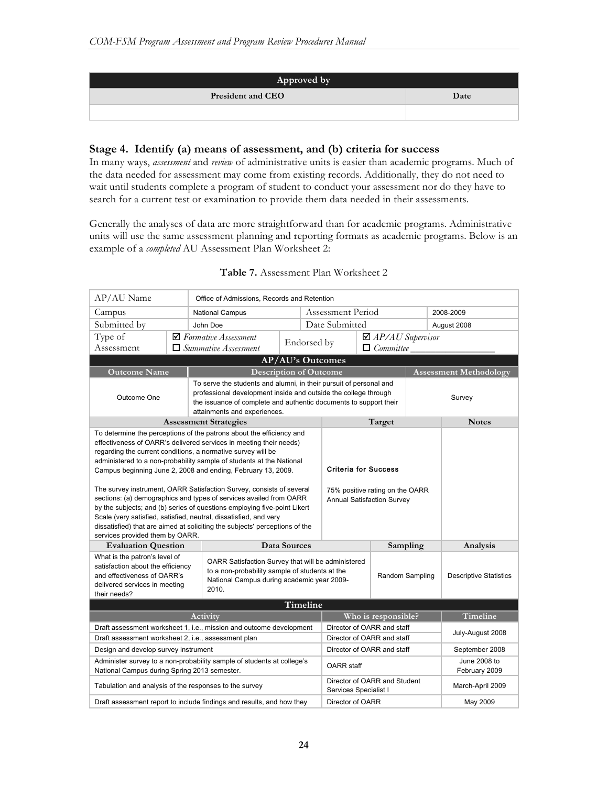| Approved by       |      |
|-------------------|------|
| President and CEO | Date |
|                   |      |

## **Stage 4. Identify (a) means of assessment, and (b) criteria for success**

In many ways, *assessment* and *review* of administrative units is easier than academic programs. Much of the data needed for assessment may come from existing records. Additionally, they do not need to wait until students complete a program of student to conduct your assessment nor do they have to search for a current test or examination to provide them data needed in their assessments.

Generally the analyses of data are more straightforward than for academic programs. Administrative units will use the same assessment planning and reporting formats as academic programs. Below is an example of a *completed* AU Assessment Plan Worksheet 2:

| AP/AU Name<br>Office of Admissions, Records and Retention                                                                                                                                                                                                                                                                                                                                                                                                                                                                                                                                                                                                                                                                                                           |                                                                                                                                                             |                                                                                                     |                                                          |                           |                               |                               |  |
|---------------------------------------------------------------------------------------------------------------------------------------------------------------------------------------------------------------------------------------------------------------------------------------------------------------------------------------------------------------------------------------------------------------------------------------------------------------------------------------------------------------------------------------------------------------------------------------------------------------------------------------------------------------------------------------------------------------------------------------------------------------------|-------------------------------------------------------------------------------------------------------------------------------------------------------------|-----------------------------------------------------------------------------------------------------|----------------------------------------------------------|---------------------------|-------------------------------|-------------------------------|--|
| Campus                                                                                                                                                                                                                                                                                                                                                                                                                                                                                                                                                                                                                                                                                                                                                              | <b>National Campus</b>                                                                                                                                      |                                                                                                     | Assessment Period                                        |                           |                               | 2008-2009                     |  |
| Submitted by                                                                                                                                                                                                                                                                                                                                                                                                                                                                                                                                                                                                                                                                                                                                                        | John Doe                                                                                                                                                    |                                                                                                     | Date Submitted                                           |                           | August 2008                   |                               |  |
| Type of                                                                                                                                                                                                                                                                                                                                                                                                                                                                                                                                                                                                                                                                                                                                                             | $\blacktriangleright$ Formative Assessment                                                                                                                  | Endorsed by                                                                                         |                                                          | $\Delta AP/AU$ Supervisor |                               |                               |  |
| Assessment                                                                                                                                                                                                                                                                                                                                                                                                                                                                                                                                                                                                                                                                                                                                                          | $\Box$ Summative Assessment                                                                                                                                 |                                                                                                     |                                                          | $\Box$ Committee          |                               |                               |  |
|                                                                                                                                                                                                                                                                                                                                                                                                                                                                                                                                                                                                                                                                                                                                                                     |                                                                                                                                                             | <b>AP/AU's Outcomes</b>                                                                             |                                                          |                           |                               |                               |  |
| <b>Outcome Name</b>                                                                                                                                                                                                                                                                                                                                                                                                                                                                                                                                                                                                                                                                                                                                                 |                                                                                                                                                             | <b>Description of Outcome</b>                                                                       |                                                          |                           |                               | <b>Assessment Methodology</b> |  |
| To serve the students and alumni, in their pursuit of personal and<br>professional development inside and outside the college through<br>Outcome One<br>the issuance of complete and authentic documents to support their<br>attainments and experiences.                                                                                                                                                                                                                                                                                                                                                                                                                                                                                                           |                                                                                                                                                             |                                                                                                     |                                                          |                           |                               | Survey                        |  |
|                                                                                                                                                                                                                                                                                                                                                                                                                                                                                                                                                                                                                                                                                                                                                                     | <b>Assessment Strategies</b>                                                                                                                                |                                                                                                     |                                                          | Target                    |                               | <b>Notes</b>                  |  |
| To determine the perceptions of the patrons about the efficiency and<br>effectiveness of OARR's delivered services in meeting their needs)<br>regarding the current conditions, a normative survey will be<br>administered to a non-probability sample of students at the National<br>Campus beginning June 2, 2008 and ending, February 13, 2009.<br>The survey instrument, OARR Satisfaction Survey, consists of several<br>sections: (a) demographics and types of services availed from OARR<br>by the subjects; and (b) series of questions employing five-point Likert<br>Scale (very satisfied, satisfied, neutral, dissatisfied, and very<br>dissatisfied) that are aimed at soliciting the subjects' perceptions of the<br>services provided them by OARR. |                                                                                                                                                             | <b>Criteria for Success</b><br>75% positive rating on the OARR<br><b>Annual Satisfaction Survey</b> |                                                          |                           |                               |                               |  |
| <b>Evaluation Question</b>                                                                                                                                                                                                                                                                                                                                                                                                                                                                                                                                                                                                                                                                                                                                          |                                                                                                                                                             | Data Sources                                                                                        |                                                          |                           | Sampling                      | Analysis                      |  |
| What is the patron's level of<br>satisfaction about the efficiency<br>and effectiveness of OARR's<br>delivered services in meeting<br>their needs?                                                                                                                                                                                                                                                                                                                                                                                                                                                                                                                                                                                                                  | OARR Satisfaction Survey that will be administered<br>to a non-probability sample of students at the<br>National Campus during academic year 2009-<br>2010. |                                                                                                     |                                                          |                           | Random Sampling               | <b>Descriptive Statistics</b> |  |
|                                                                                                                                                                                                                                                                                                                                                                                                                                                                                                                                                                                                                                                                                                                                                                     |                                                                                                                                                             | Timeline                                                                                            |                                                          |                           |                               |                               |  |
|                                                                                                                                                                                                                                                                                                                                                                                                                                                                                                                                                                                                                                                                                                                                                                     | Activity                                                                                                                                                    |                                                                                                     |                                                          | Who is responsible?       |                               | <b>Timeline</b>               |  |
| Draft assessment worksheet 1, i.e., mission and outcome development<br>Draft assessment worksheet 2, i.e., assessment plan                                                                                                                                                                                                                                                                                                                                                                                                                                                                                                                                                                                                                                          |                                                                                                                                                             |                                                                                                     | Director of OARR and staff<br>Director of OARR and staff |                           | July-August 2008              |                               |  |
| Design and develop survey instrument                                                                                                                                                                                                                                                                                                                                                                                                                                                                                                                                                                                                                                                                                                                                |                                                                                                                                                             |                                                                                                     | Director of OARR and staff                               |                           | September 2008                |                               |  |
| Administer survey to a non-probability sample of students at college's<br>National Campus during Spring 2013 semester.                                                                                                                                                                                                                                                                                                                                                                                                                                                                                                                                                                                                                                              |                                                                                                                                                             |                                                                                                     | OARR staff                                               |                           | June 2008 to<br>February 2009 |                               |  |
| Tabulation and analysis of the responses to the survey                                                                                                                                                                                                                                                                                                                                                                                                                                                                                                                                                                                                                                                                                                              |                                                                                                                                                             |                                                                                                     | Director of OARR and Student<br>Services Specialist I    |                           |                               | March-April 2009              |  |
| Draft assessment report to include findings and results, and how they                                                                                                                                                                                                                                                                                                                                                                                                                                                                                                                                                                                                                                                                                               |                                                                                                                                                             |                                                                                                     | Director of OARR                                         |                           |                               | May 2009                      |  |

### **Table 7.** Assessment Plan Worksheet 2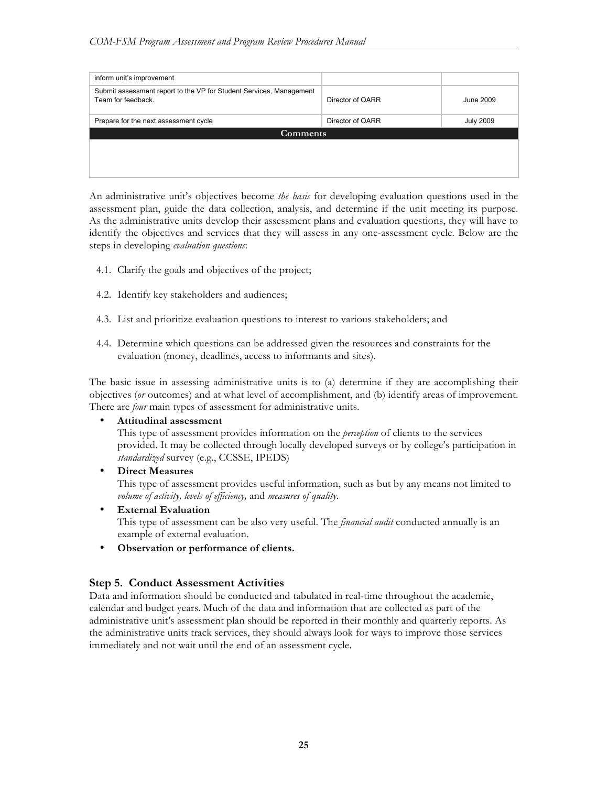| Director of OARR | June 2009        |
|------------------|------------------|
| Director of OARR | <b>July 2009</b> |
| Comments         |                  |
|                  |                  |
|                  |                  |

An administrative unit's objectives become *the basis* for developing evaluation questions used in the assessment plan, guide the data collection, analysis, and determine if the unit meeting its purpose. As the administrative units develop their assessment plans and evaluation questions, they will have to identify the objectives and services that they will assess in any one-assessment cycle. Below are the steps in developing *evaluation questions*:

- 4.1. Clarify the goals and objectives of the project;
- 4.2. Identify key stakeholders and audiences;
- 4.3. List and prioritize evaluation questions to interest to various stakeholders; and
- 4.4. Determine which questions can be addressed given the resources and constraints for the evaluation (money, deadlines, access to informants and sites).

The basic issue in assessing administrative units is to (a) determine if they are accomplishing their objectives (*or* outcomes) and at what level of accomplishment, and (b) identify areas of improvement. There are *four* main types of assessment for administrative units.

## • **Attitudinal assessment**

This type of assessment provides information on the *perception* of clients to the services provided. It may be collected through locally developed surveys or by college's participation in *standardized* survey (e.g., CCSSE, IPEDS)

• **Direct Measures**

This type of assessment provides useful information, such as but by any means not limited to *volume of activity, levels of efficiency,* and *measures of quality*.

• **External Evaluation**

This type of assessment can be also very useful. The *financial audit* conducted annually is an example of external evaluation.

• **Observation or performance of clients.**

# **Step 5. Conduct Assessment Activities**

Data and information should be conducted and tabulated in real-time throughout the academic, calendar and budget years. Much of the data and information that are collected as part of the administrative unit's assessment plan should be reported in their monthly and quarterly reports. As the administrative units track services, they should always look for ways to improve those services immediately and not wait until the end of an assessment cycle.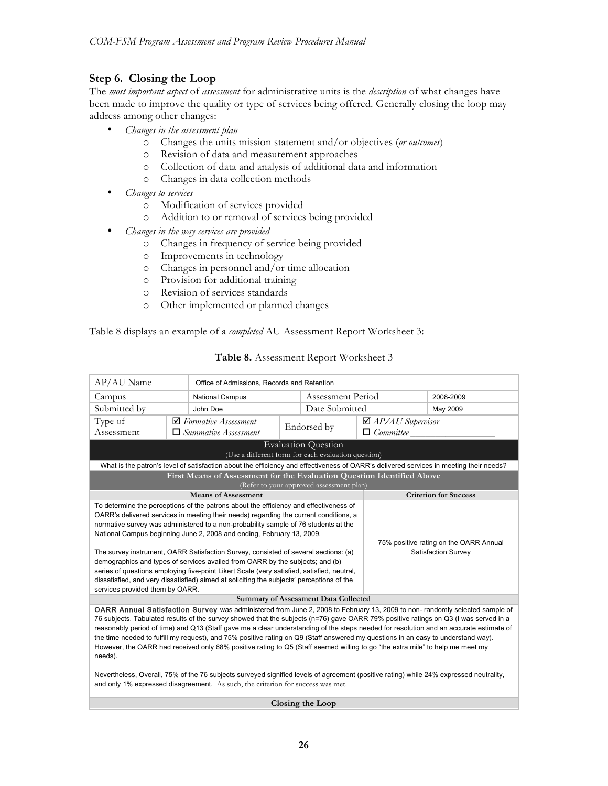# **Step 6. Closing the Loop**

The *most important aspect* of *assessment* for administrative units is the *description* of what changes have been made to improve the quality or type of services being offered. Generally closing the loop may address among other changes:

- *Changes in the assessment plan*
	- o Changes the units mission statement and/or objectives (*or outcomes*)
	- o Revision of data and measurement approaches
	- o Collection of data and analysis of additional data and information
	- o Changes in data collection methods
- *Changes to services*
	- o Modification of services provided
	- o Addition to or removal of services being provided
- *Changes in the way services are provided*
	- o Changes in frequency of service being provided
	- o Improvements in technology
	- o Changes in personnel and/or time allocation
	- o Provision for additional training
	- o Revision of services standards
	- o Other implemented or planned changes

Table 8 displays an example of a *completed* AU Assessment Report Worksheet 3:

| AP/AU Name                                                                                                                                                                                                                                                                                                                                                                                                                                                                                                                                                                                                                                                                                                                                           |  | Office of Admissions, Records and Retention                                                                                            |                   |                                                                                   |                           |                                                               |
|------------------------------------------------------------------------------------------------------------------------------------------------------------------------------------------------------------------------------------------------------------------------------------------------------------------------------------------------------------------------------------------------------------------------------------------------------------------------------------------------------------------------------------------------------------------------------------------------------------------------------------------------------------------------------------------------------------------------------------------------------|--|----------------------------------------------------------------------------------------------------------------------------------------|-------------------|-----------------------------------------------------------------------------------|---------------------------|---------------------------------------------------------------|
| Campus                                                                                                                                                                                                                                                                                                                                                                                                                                                                                                                                                                                                                                                                                                                                               |  | <b>National Campus</b>                                                                                                                 | Assessment Period |                                                                                   |                           | 2008-2009                                                     |
| Submitted by                                                                                                                                                                                                                                                                                                                                                                                                                                                                                                                                                                                                                                                                                                                                         |  | John Doe                                                                                                                               |                   | Date Submitted                                                                    |                           | May 2009                                                      |
| Type of                                                                                                                                                                                                                                                                                                                                                                                                                                                                                                                                                                                                                                                                                                                                              |  | $\blacktriangleright$ Formative Assessment                                                                                             |                   |                                                                                   | $\Delta AP/AU$ Supervisor |                                                               |
| Assessment                                                                                                                                                                                                                                                                                                                                                                                                                                                                                                                                                                                                                                                                                                                                           |  | $\Box$ Summative Assessment                                                                                                            |                   | Endorsed by<br>$\Box$ Committee                                                   |                           |                                                               |
|                                                                                                                                                                                                                                                                                                                                                                                                                                                                                                                                                                                                                                                                                                                                                      |  |                                                                                                                                        |                   | <b>Evaluation Question</b><br>(Use a different form for each evaluation question) |                           |                                                               |
|                                                                                                                                                                                                                                                                                                                                                                                                                                                                                                                                                                                                                                                                                                                                                      |  | What is the patron's level of satisfaction about the efficiency and effectiveness of OARR's delivered services in meeting their needs? |                   |                                                                                   |                           |                                                               |
|                                                                                                                                                                                                                                                                                                                                                                                                                                                                                                                                                                                                                                                                                                                                                      |  | First Means of Assessment for the Evaluation Question Identified Above                                                                 |                   | (Refer to your approved assessment plan)                                          |                           |                                                               |
| <b>Means of Assessment</b>                                                                                                                                                                                                                                                                                                                                                                                                                                                                                                                                                                                                                                                                                                                           |  |                                                                                                                                        |                   |                                                                                   |                           | <b>Criterion for Success</b>                                  |
| To determine the perceptions of the patrons about the efficiency and effectiveness of<br>OARR's delivered services in meeting their needs) regarding the current conditions, a<br>normative survey was administered to a non-probability sample of 76 students at the<br>National Campus beginning June 2, 2008 and ending, February 13, 2009.<br>The survey instrument, OARR Satisfaction Survey, consisted of several sections: (a)<br>demographics and types of services availed from OARR by the subjects; and (b)<br>series of questions employing five-point Likert Scale (very satisfied, satisfied, neutral,<br>dissatisfied, and very dissatisfied) aimed at soliciting the subjects' perceptions of the<br>services provided them by OARR. |  |                                                                                                                                        |                   |                                                                                   |                           | 75% positive rating on the OARR Annual<br>Satisfaction Survey |
|                                                                                                                                                                                                                                                                                                                                                                                                                                                                                                                                                                                                                                                                                                                                                      |  |                                                                                                                                        |                   | <b>Summary of Assessment Data Collected</b>                                       |                           |                                                               |
| OARR Annual Satisfaction Survey was administered from June 2, 2008 to February 13, 2009 to non-randomly selected sample of<br>76 subjects. Tabulated results of the survey showed that the subjects (n=76) gave OARR 79% positive ratings on Q3 (I was served in a<br>reasonably period of time) and Q13 (Staff gave me a clear understanding of the steps needed for resolution and an accurate estimate of<br>the time needed to fulfill my request) and 75% nositive rating on 09 (Staff answered my questions in an easy to understand way)                                                                                                                                                                                                      |  |                                                                                                                                        |                   |                                                                                   |                           |                                                               |

### **Table 8.** Assessment Report Worksheet 3

the time needed to fulfill my request), and 75% positive rating on Q9 (Staff answered my questions in an easy to understand way). However, the OARR had received only 68% positive rating to Q5 (Staff seemed willing to go "the extra mile" to help me meet my needs).

Nevertheless, Overall, 75% of the 76 subjects surveyed signified levels of agreement (positive rating) while 24% expressed neutrality, and only 1% expressed disagreement. As such, the criterion for success was met.

#### **Closing the Loop**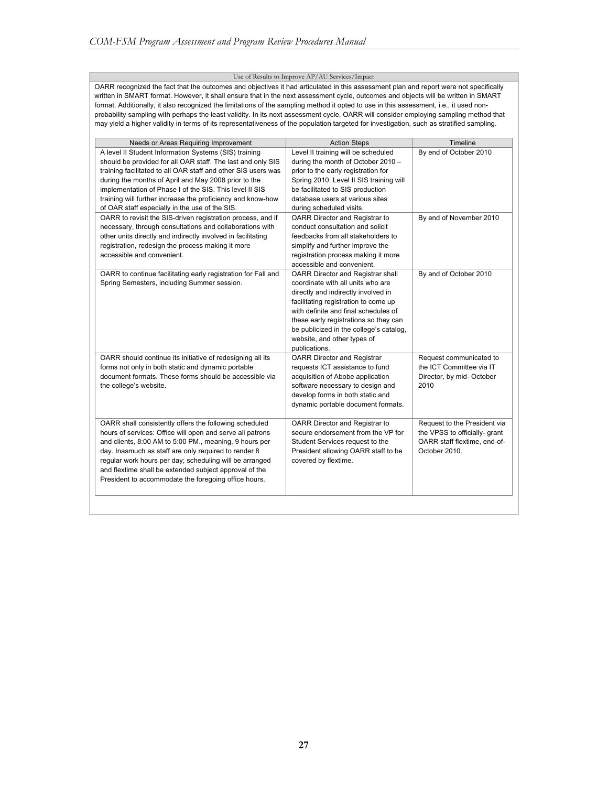#### Use of Results to Improve AP/AU Services/Impact

OARR recognized the fact that the outcomes and objectives it had articulated in this assessment plan and report were not specifically written in SMART format. However, it shall ensure that in the next assessment cycle, outcomes and objects will be written in SMART format. Additionally, it also recognized the limitations of the sampling method it opted to use in this assessment, i.e., it used nonprobability sampling with perhaps the least validity. In its next assessment cycle, OARR will consider employing sampling method that may yield a higher validity in terms of its representativeness of the population targeted for investigation, such as stratified sampling.

| Needs or Areas Requiring Improvement                          | <b>Action Steps</b>                     | Timeline                      |
|---------------------------------------------------------------|-----------------------------------------|-------------------------------|
| A level II Student Information Systems (SIS) training         | Level II training will be scheduled     | By end of October 2010        |
| should be provided for all OAR staff. The last and only SIS   | during the month of October 2010 -      |                               |
| training facilitated to all OAR staff and other SIS users was | prior to the early registration for     |                               |
| during the months of April and May 2008 prior to the          | Spring 2010. Level II SIS training will |                               |
| implementation of Phase I of the SIS. This level II SIS       | be facilitated to SIS production        |                               |
| training will further increase the proficiency and know-how   | database users at various sites         |                               |
| of OAR staff especially in the use of the SIS.                | during scheduled visits.                |                               |
| OARR to revisit the SIS-driven registration process, and if   | OARR Director and Registrar to          | By end of November 2010       |
| necessary, through consultations and collaborations with      | conduct consultation and solicit        |                               |
| other units directly and indirectly involved in facilitating  | feedbacks from all stakeholders to      |                               |
| registration, redesign the process making it more             | simplify and further improve the        |                               |
| accessible and convenient.                                    | registration process making it more     |                               |
|                                                               | accessible and convenient.              |                               |
| OARR to continue facilitating early registration for Fall and | OARR Director and Registrar shall       | By and of October 2010        |
| Spring Semesters, including Summer session.                   | coordinate with all units who are       |                               |
|                                                               | directly and indirectly involved in     |                               |
|                                                               | facilitating registration to come up    |                               |
|                                                               | with definite and final schedules of    |                               |
|                                                               | these early registrations so they can   |                               |
|                                                               | be publicized in the college's catalog, |                               |
|                                                               | website, and other types of             |                               |
|                                                               | publications.                           |                               |
| OARR should continue its initiative of redesigning all its    | <b>OARR Director and Registrar</b>      | Request communicated to       |
| forms not only in both static and dynamic portable            | requests ICT assistance to fund         | the ICT Committee via IT      |
| document formats. These forms should be accessible via        | acquisition of Abobe application        | Director, by mid- October     |
| the college's website.                                        | software necessary to design and        | 2010                          |
|                                                               | develop forms in both static and        |                               |
|                                                               | dynamic portable document formats.      |                               |
|                                                               |                                         |                               |
| OARR shall consistently offers the following scheduled        | OARR Director and Registrar to          | Request to the President via  |
| hours of services: Office will open and serve all patrons     | secure endorsement from the VP for      | the VPSS to officially- grant |
| and clients, 8:00 AM to 5:00 PM., meaning, 9 hours per        | Student Services request to the         | OARR staff flextime, end-of-  |
| day. Inasmuch as staff are only required to render 8          | President allowing OARR staff to be     | October 2010.                 |
| regular work hours per day; scheduling will be arranged       | covered by flextime.                    |                               |
| and flextime shall be extended subject approval of the        |                                         |                               |
| President to accommodate the foregoing office hours.          |                                         |                               |
|                                                               |                                         |                               |
|                                                               |                                         |                               |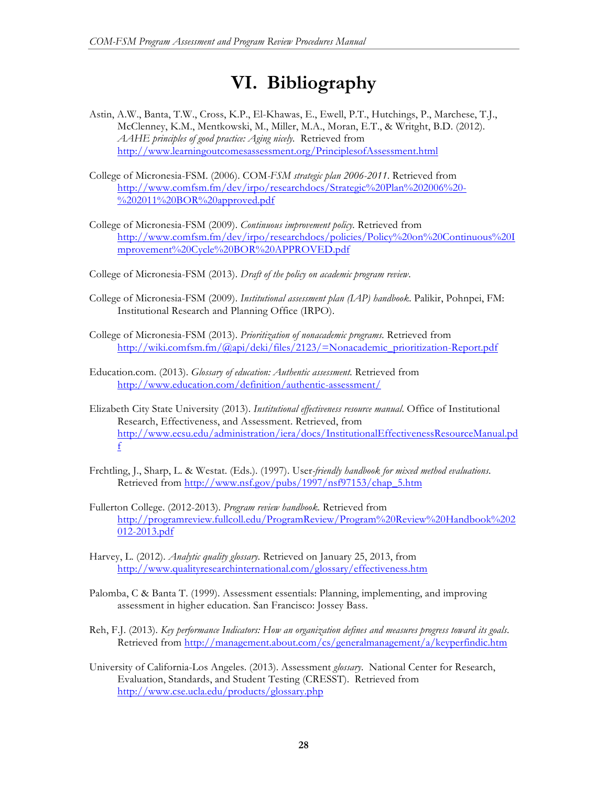# **VI. Bibliography**

- Astin, A.W., Banta, T.W., Cross, K.P., El-Khawas, E., Ewell, P.T., Hutchings, P., Marchese, T.J., McClenney, K.M., Mentkowski, M., Miller, M.A., Moran, E.T., & Writght, B.D. (2012). *AAHE principles of good practice: Aging nicely.* Retrieved from http://www.learningoutcomesassessment.org/PrinciplesofAssessment.html
- College of Micronesia-FSM. (2006). COM*-FSM strategic plan 2006-2011*. Retrieved from http://www.comfsm.fm/dev/irpo/researchdocs/Strategic%20Plan%202006%20- %202011%20BOR%20approved.pdf
- College of Micronesia-FSM (2009). *Continuous improvement policy.* Retrieved from http://www.comfsm.fm/dev/irpo/researchdocs/policies/Policy%20on%20Continuous%20I mprovement%20Cycle%20BOR%20APPROVED.pdf
- College of Micronesia-FSM (2013). *Draft of the policy on academic program review*.
- College of Micronesia-FSM (2009). *Institutional assessment plan (IAP) handbook*. Palikir, Pohnpei, FM: Institutional Research and Planning Office (IRPO).
- College of Micronesia-FSM (2013). *Prioritization of nonacademic programs.* Retrieved from http://wiki.comfsm.fm/@api/deki/files/2123/=Nonacademic\_prioritization-Report.pdf
- Education.com. (2013). *Glossary of education: Authentic assessment.* Retrieved from http://www.education.com/definition/authentic-assessment/
- Elizabeth City State University (2013). *Institutional effectiveness resource manual*. Office of Institutional Research, Effectiveness, and Assessment. Retrieved, from http://www.ecsu.edu/administration/iera/docs/InstitutionalEffectivenessResourceManual.pd f
- Frchtling, J., Sharp, L. & Westat. (Eds.). (1997). User*-friendly handbook for mixed method evaluations*. Retrieved from http://www.nsf.gov/pubs/1997/nsf97153/chap\_5.htm
- Fullerton College. (2012-2013). *Program review handbook.* Retrieved from http://programreview.fullcoll.edu/ProgramReview/Program%20Review%20Handbook%202 012-2013.pdf
- Harvey, L. (2012). *Analytic quality glossary.* Retrieved on January 25, 2013, from http://www.qualityresearchinternational.com/glossary/effectiveness.htm
- Palomba, C & Banta T. (1999). Assessment essentials: Planning, implementing, and improving assessment in higher education. San Francisco: Jossey Bass.
- Reh, F.J. (2013). *Key performance Indicators: How an organization defines and measures progress toward its goals*. Retrieved from http://management.about.com/cs/generalmanagement/a/keyperfindic.htm
- University of California-Los Angeles. (2013). Assessment *glossary*. National Center for Research, Evaluation, Standards, and Student Testing (CRESST). Retrieved from http://www.cse.ucla.edu/products/glossary.php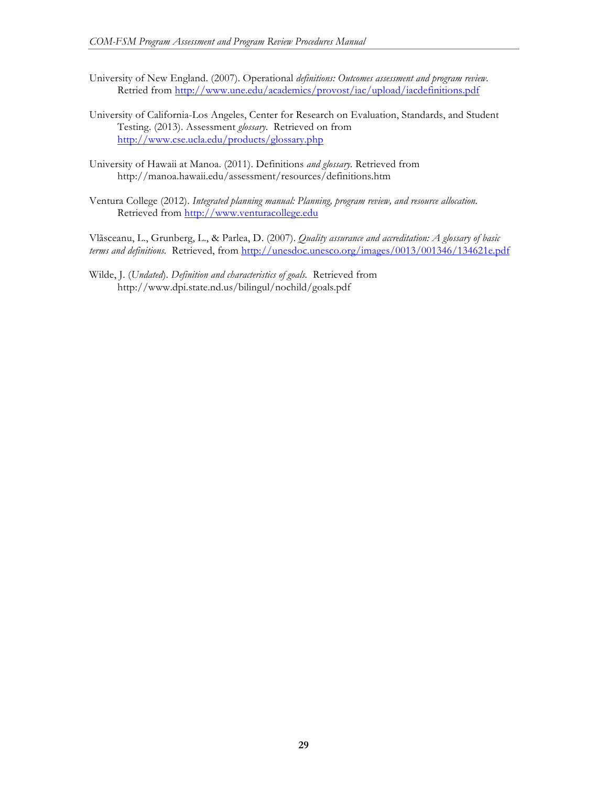- University of New England. (2007). Operational *definitions: Outcomes assessment and program review.* Retried from http://www.une.edu/academics/provost/iac/upload/iacdefinitions.pdf
- University of California-Los Angeles, Center for Research on Evaluation, Standards, and Student Testing. (2013). Assessment *glossary.* Retrieved on from http://www.cse.ucla.edu/products/glossary.php
- University of Hawaii at Manoa. (2011). Definitions *and glossary.* Retrieved from http://manoa.hawaii.edu/assessment/resources/definitions.htm
- Ventura College (2012). *Integrated planning manual: Planning, program review, and resource allocation.*  Retrieved from http://www.venturacollege.edu

Vlãsceanu, L., Grunberg, L., & Parlea, D. (2007). *Quality assurance and accreditation: A glossary of basic terms and definitions.* Retrieved, from http://unesdoc.unesco.org/images/0013/001346/134621e.pdf

Wilde, J. (*Undated*). *Definition and characteristics of goals.* Retrieved from http://www.dpi.state.nd.us/bilingul/nochild/goals.pdf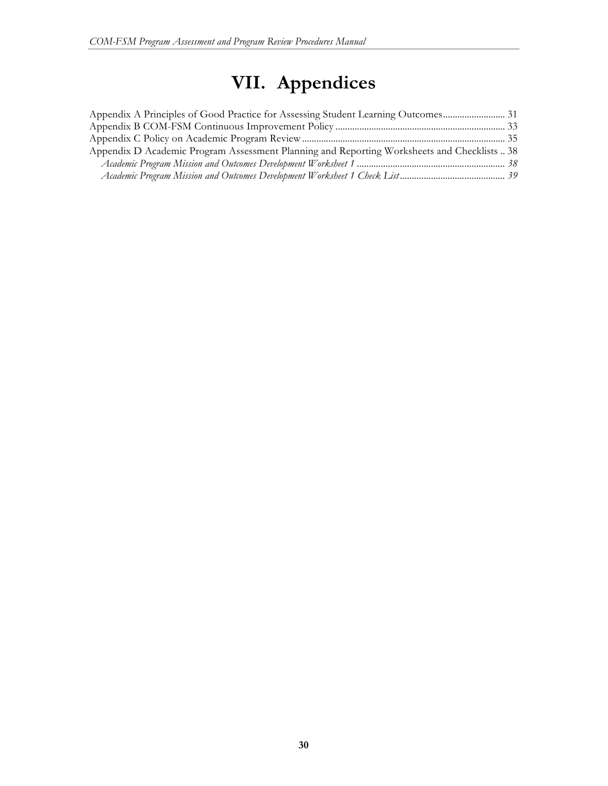# **VII. Appendices**

| Appendix A Principles of Good Practice for Assessing Student Learning Outcomes 31           |  |
|---------------------------------------------------------------------------------------------|--|
|                                                                                             |  |
|                                                                                             |  |
| Appendix D Academic Program Assessment Planning and Reporting Worksheets and Checklists  38 |  |
|                                                                                             |  |
|                                                                                             |  |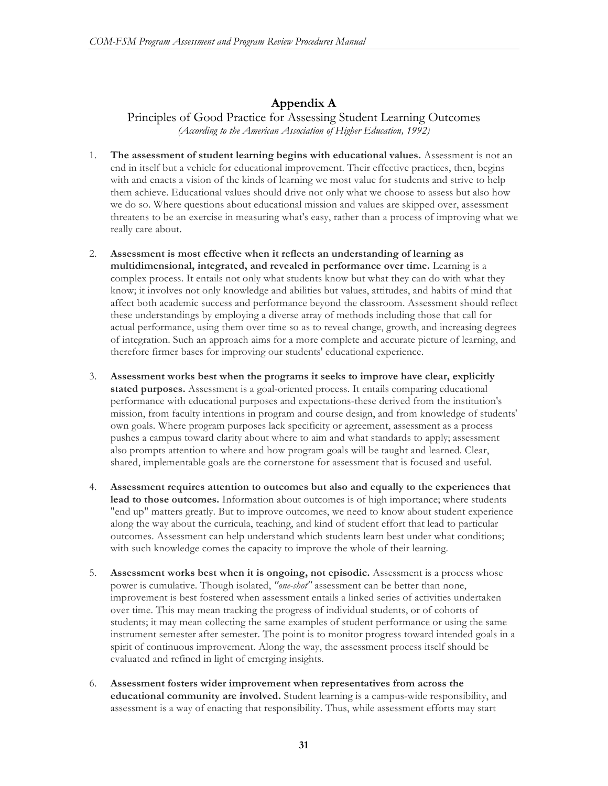# **Appendix A**

Principles of Good Practice for Assessing Student Learning Outcomes *(According to the American Association of Higher Education, 1992)*

- 1. **The assessment of student learning begins with educational values.** Assessment is not an end in itself but a vehicle for educational improvement. Their effective practices, then, begins with and enacts a vision of the kinds of learning we most value for students and strive to help them achieve. Educational values should drive not only what we choose to assess but also how we do so. Where questions about educational mission and values are skipped over, assessment threatens to be an exercise in measuring what's easy, rather than a process of improving what we really care about.
- 2. **Assessment is most effective when it reflects an understanding of learning as multidimensional, integrated, and revealed in performance over time.** Learning is a complex process. It entails not only what students know but what they can do with what they know; it involves not only knowledge and abilities but values, attitudes, and habits of mind that affect both academic success and performance beyond the classroom. Assessment should reflect these understandings by employing a diverse array of methods including those that call for actual performance, using them over time so as to reveal change, growth, and increasing degrees of integration. Such an approach aims for a more complete and accurate picture of learning, and therefore firmer bases for improving our students' educational experience.
- 3. **Assessment works best when the programs it seeks to improve have clear, explicitly stated purposes.** Assessment is a goal-oriented process. It entails comparing educational performance with educational purposes and expectations-these derived from the institution's mission, from faculty intentions in program and course design, and from knowledge of students' own goals. Where program purposes lack specificity or agreement, assessment as a process pushes a campus toward clarity about where to aim and what standards to apply; assessment also prompts attention to where and how program goals will be taught and learned. Clear, shared, implementable goals are the cornerstone for assessment that is focused and useful.
- 4. **Assessment requires attention to outcomes but also and equally to the experiences that lead to those outcomes.** Information about outcomes is of high importance; where students "end up" matters greatly. But to improve outcomes, we need to know about student experience along the way about the curricula, teaching, and kind of student effort that lead to particular outcomes. Assessment can help understand which students learn best under what conditions; with such knowledge comes the capacity to improve the whole of their learning.
- 5. **Assessment works best when it is ongoing, not episodic.** Assessment is a process whose power is cumulative. Though isolated, *"one-shot"* assessment can be better than none, improvement is best fostered when assessment entails a linked series of activities undertaken over time. This may mean tracking the progress of individual students, or of cohorts of students; it may mean collecting the same examples of student performance or using the same instrument semester after semester. The point is to monitor progress toward intended goals in a spirit of continuous improvement. Along the way, the assessment process itself should be evaluated and refined in light of emerging insights.
- 6. **Assessment fosters wider improvement when representatives from across the educational community are involved.** Student learning is a campus-wide responsibility, and assessment is a way of enacting that responsibility. Thus, while assessment efforts may start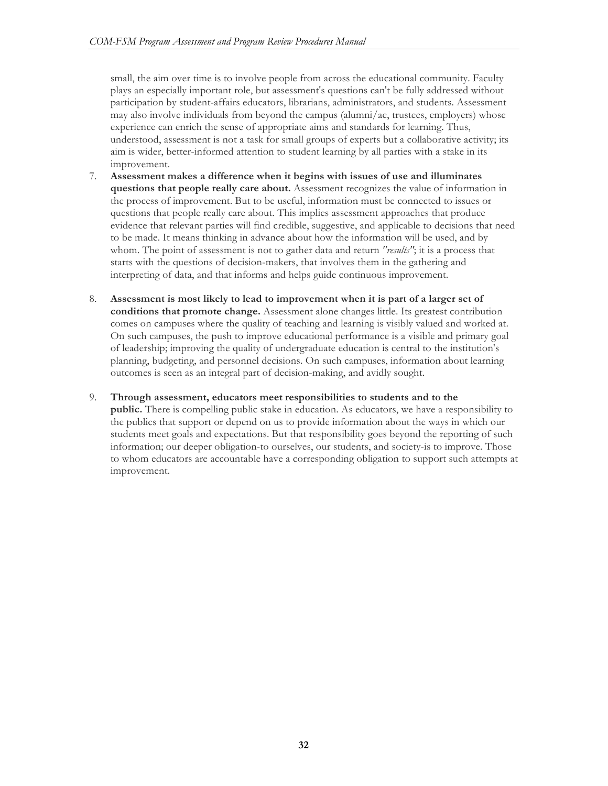small, the aim over time is to involve people from across the educational community. Faculty plays an especially important role, but assessment's questions can't be fully addressed without participation by student-affairs educators, librarians, administrators, and students. Assessment may also involve individuals from beyond the campus (alumni/ae, trustees, employers) whose experience can enrich the sense of appropriate aims and standards for learning. Thus, understood, assessment is not a task for small groups of experts but a collaborative activity; its aim is wider, better-informed attention to student learning by all parties with a stake in its improvement.

- 7. **Assessment makes a difference when it begins with issues of use and illuminates questions that people really care about.** Assessment recognizes the value of information in the process of improvement. But to be useful, information must be connected to issues or questions that people really care about. This implies assessment approaches that produce evidence that relevant parties will find credible, suggestive, and applicable to decisions that need to be made. It means thinking in advance about how the information will be used, and by whom. The point of assessment is not to gather data and return *"results"*; it is a process that starts with the questions of decision-makers, that involves them in the gathering and interpreting of data, and that informs and helps guide continuous improvement.
- 8. **Assessment is most likely to lead to improvement when it is part of a larger set of conditions that promote change.** Assessment alone changes little. Its greatest contribution comes on campuses where the quality of teaching and learning is visibly valued and worked at. On such campuses, the push to improve educational performance is a visible and primary goal of leadership; improving the quality of undergraduate education is central to the institution's planning, budgeting, and personnel decisions. On such campuses, information about learning outcomes is seen as an integral part of decision-making, and avidly sought.

## 9. **Through assessment, educators meet responsibilities to students and to the**

**public.** There is compelling public stake in education. As educators, we have a responsibility to the publics that support or depend on us to provide information about the ways in which our students meet goals and expectations. But that responsibility goes beyond the reporting of such information; our deeper obligation-to ourselves, our students, and society-is to improve. Those to whom educators are accountable have a corresponding obligation to support such attempts at improvement.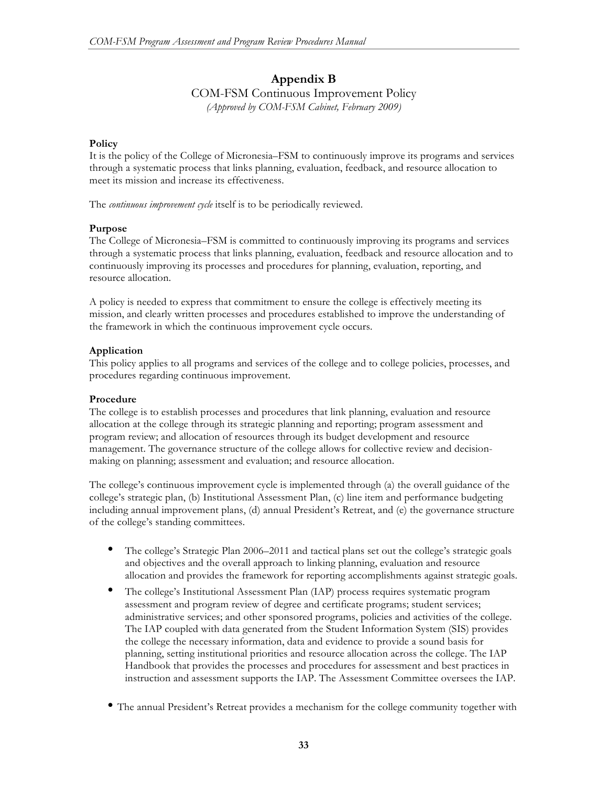# **Appendix B**

# COM-FSM Continuous Improvement Policy

*(Approved by COM-FSM Cabinet, February 2009)*

## **Policy**

It is the policy of the College of Micronesia–FSM to continuously improve its programs and services through a systematic process that links planning, evaluation, feedback, and resource allocation to meet its mission and increase its effectiveness.

The *continuous improvement cycle* itself is to be periodically reviewed.

# **Purpose**

The College of Micronesia–FSM is committed to continuously improving its programs and services through a systematic process that links planning, evaluation, feedback and resource allocation and to continuously improving its processes and procedures for planning, evaluation, reporting, and resource allocation.

A policy is needed to express that commitment to ensure the college is effectively meeting its mission, and clearly written processes and procedures established to improve the understanding of the framework in which the continuous improvement cycle occurs.

# **Application**

This policy applies to all programs and services of the college and to college policies, processes, and procedures regarding continuous improvement.

# **Procedure**

The college is to establish processes and procedures that link planning, evaluation and resource allocation at the college through its strategic planning and reporting; program assessment and program review; and allocation of resources through its budget development and resource management. The governance structure of the college allows for collective review and decisionmaking on planning; assessment and evaluation; and resource allocation.

The college's continuous improvement cycle is implemented through (a) the overall guidance of the college's strategic plan, (b) Institutional Assessment Plan, (c) line item and performance budgeting including annual improvement plans, (d) annual President's Retreat, and (e) the governance structure of the college's standing committees.

- The college's Strategic Plan 2006–2011 and tactical plans set out the college's strategic goals and objectives and the overall approach to linking planning, evaluation and resource allocation and provides the framework for reporting accomplishments against strategic goals.
- The college's Institutional Assessment Plan (IAP) process requires systematic program assessment and program review of degree and certificate programs; student services; administrative services; and other sponsored programs, policies and activities of the college. The IAP coupled with data generated from the Student Information System (SIS) provides the college the necessary information, data and evidence to provide a sound basis for planning, setting institutional priorities and resource allocation across the college. The IAP Handbook that provides the processes and procedures for assessment and best practices in instruction and assessment supports the IAP. The Assessment Committee oversees the IAP.
- The annual President's Retreat provides a mechanism for the college community together with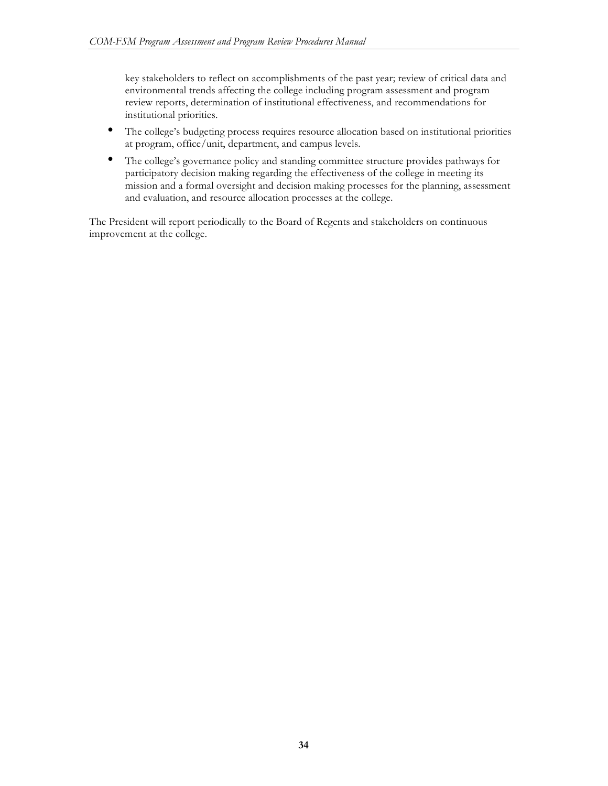key stakeholders to reflect on accomplishments of the past year; review of critical data and environmental trends affecting the college including program assessment and program review reports, determination of institutional effectiveness, and recommendations for institutional priorities.

- The college's budgeting process requires resource allocation based on institutional priorities at program, office/unit, department, and campus levels.
- The college's governance policy and standing committee structure provides pathways for participatory decision making regarding the effectiveness of the college in meeting its mission and a formal oversight and decision making processes for the planning, assessment and evaluation, and resource allocation processes at the college.

The President will report periodically to the Board of Regents and stakeholders on continuous improvement at the college.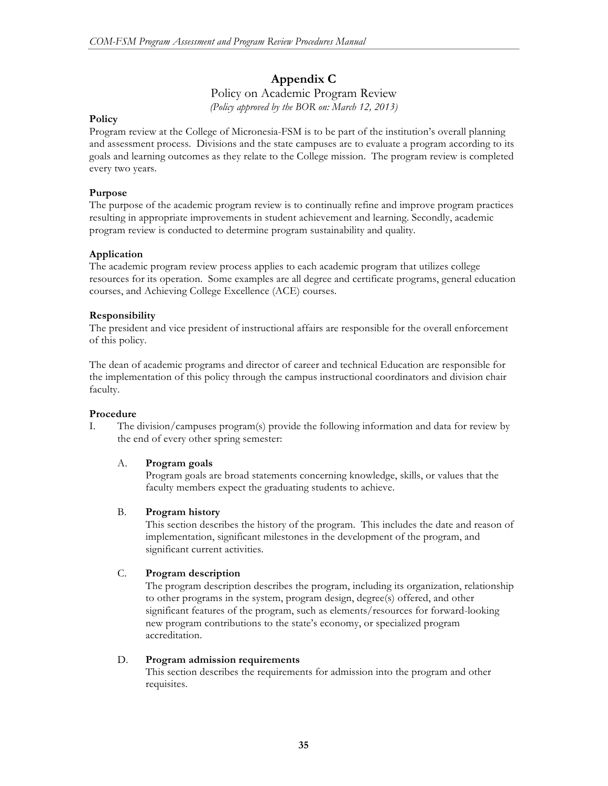# **Appendix C**

# Policy on Academic Program Review

*(Policy approved by the BOR on: March 12, 2013)* 

## **Policy**

Program review at the College of Micronesia-FSM is to be part of the institution's overall planning and assessment process. Divisions and the state campuses are to evaluate a program according to its goals and learning outcomes as they relate to the College mission. The program review is completed every two years.

# **Purpose**

The purpose of the academic program review is to continually refine and improve program practices resulting in appropriate improvements in student achievement and learning. Secondly, academic program review is conducted to determine program sustainability and quality.

# **Application**

The academic program review process applies to each academic program that utilizes college resources for its operation. Some examples are all degree and certificate programs, general education courses, and Achieving College Excellence (ACE) courses.

# **Responsibility**

The president and vice president of instructional affairs are responsible for the overall enforcement of this policy.

The dean of academic programs and director of career and technical Education are responsible for the implementation of this policy through the campus instructional coordinators and division chair faculty.

## **Procedure**

I. The division/campuses program(s) provide the following information and data for review by the end of every other spring semester:

## A. **Program goals**

Program goals are broad statements concerning knowledge, skills, or values that the faculty members expect the graduating students to achieve.

## B. **Program history**

This section describes the history of the program. This includes the date and reason of implementation, significant milestones in the development of the program, and significant current activities.

# C. **Program description**

The program description describes the program, including its organization, relationship to other programs in the system, program design, degree(s) offered, and other significant features of the program, such as elements/resources for forward-looking new program contributions to the state's economy, or specialized program accreditation.

## D. **Program admission requirements**

This section describes the requirements for admission into the program and other requisites.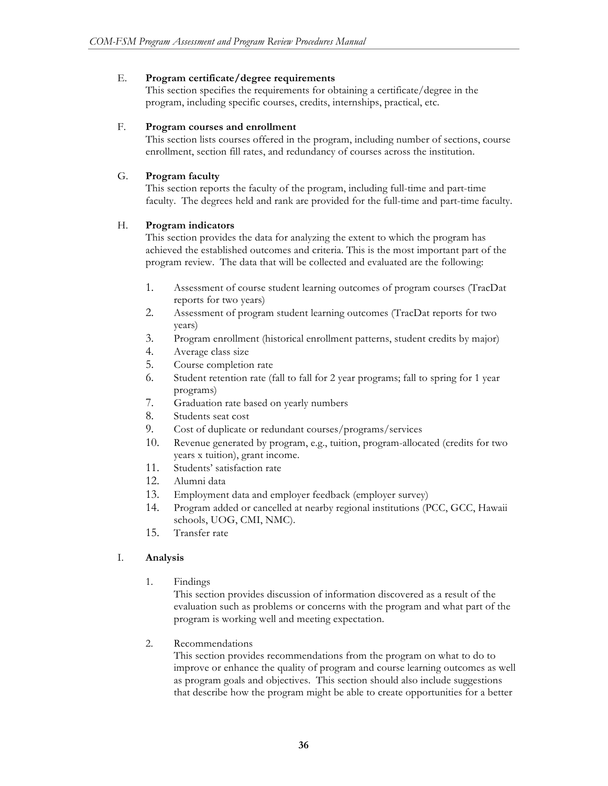## E. **Program certificate/degree requirements**

This section specifies the requirements for obtaining a certificate/degree in the program, including specific courses, credits, internships, practical, etc.

## F. **Program courses and enrollment**

This section lists courses offered in the program, including number of sections, course enrollment, section fill rates, and redundancy of courses across the institution.

# G. **Program faculty**

This section reports the faculty of the program, including full-time and part-time faculty. The degrees held and rank are provided for the full-time and part-time faculty.

# H. **Program indicators**

This section provides the data for analyzing the extent to which the program has achieved the established outcomes and criteria. This is the most important part of the program review. The data that will be collected and evaluated are the following:

- 1. Assessment of course student learning outcomes of program courses (TracDat reports for two years)
- 2. Assessment of program student learning outcomes (TracDat reports for two years)
- 3. Program enrollment (historical enrollment patterns, student credits by major)
- 4. Average class size
- 5. Course completion rate
- 6. Student retention rate (fall to fall for 2 year programs; fall to spring for 1 year programs)
- 7. Graduation rate based on yearly numbers
- 8. Students seat cost
- 9. Cost of duplicate or redundant courses/programs/services
- 10. Revenue generated by program, e.g., tuition, program-allocated (credits for two years x tuition), grant income.
- 11. Students' satisfaction rate
- 12. Alumni data
- 13. Employment data and employer feedback (employer survey)
- 14. Program added or cancelled at nearby regional institutions (PCC, GCC, Hawaii schools, UOG, CMI, NMC).
- 15. Transfer rate

# I. **Analysis**

1. Findings

This section provides discussion of information discovered as a result of the evaluation such as problems or concerns with the program and what part of the program is working well and meeting expectation.

2. Recommendations

This section provides recommendations from the program on what to do to improve or enhance the quality of program and course learning outcomes as well as program goals and objectives. This section should also include suggestions that describe how the program might be able to create opportunities for a better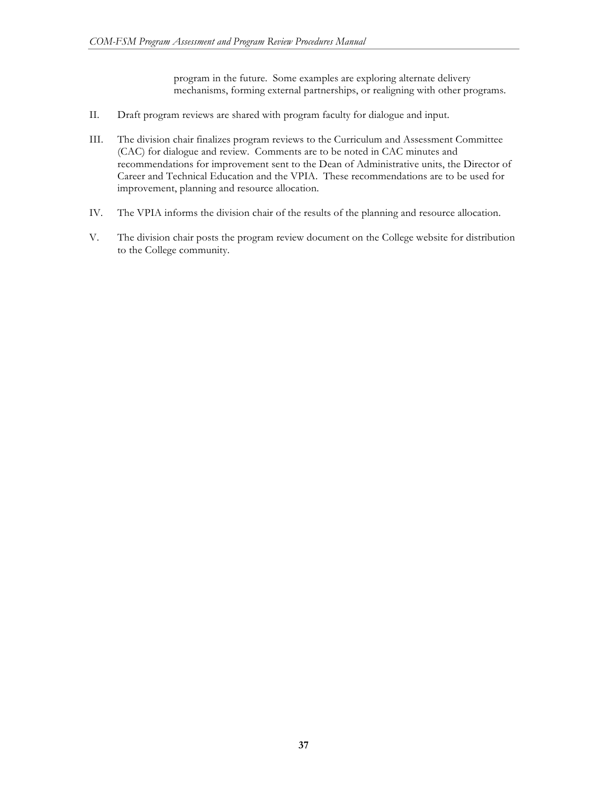program in the future. Some examples are exploring alternate delivery mechanisms, forming external partnerships, or realigning with other programs.

- II. Draft program reviews are shared with program faculty for dialogue and input.
- III. The division chair finalizes program reviews to the Curriculum and Assessment Committee (CAC) for dialogue and review. Comments are to be noted in CAC minutes and recommendations for improvement sent to the Dean of Administrative units, the Director of Career and Technical Education and the VPIA. These recommendations are to be used for improvement, planning and resource allocation.
- IV. The VPIA informs the division chair of the results of the planning and resource allocation.
- V. The division chair posts the program review document on the College website for distribution to the College community.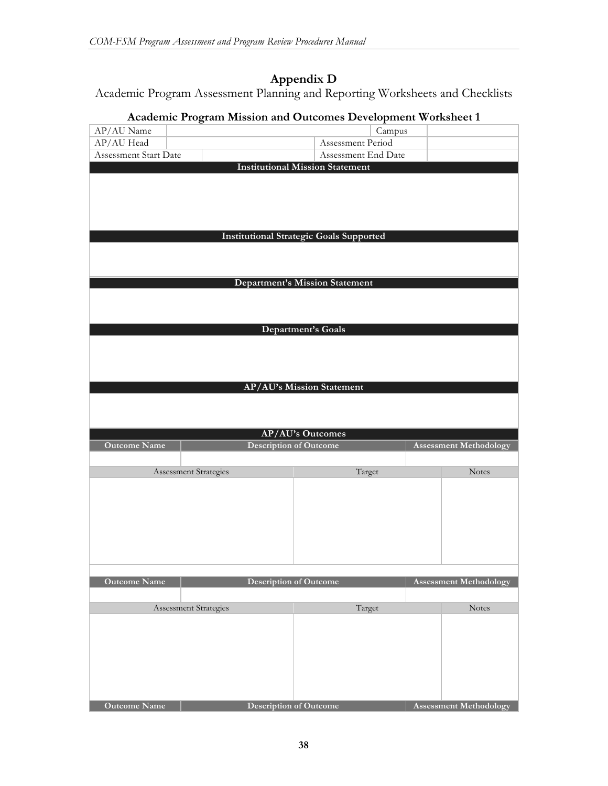# **Appendix D**

Academic Program Assessment Planning and Reporting Worksheets and Checklists

# **Academic Program Mission and Outcomes Development Worksheet 1**

| AP/AU Name            |                       | Campus                                         |                               |
|-----------------------|-----------------------|------------------------------------------------|-------------------------------|
| AP/AU Head            |                       | Assessment Period                              |                               |
| Assessment Start Date |                       | Assessment End Date                            |                               |
|                       |                       | <b>Institutional Mission Statement</b>         |                               |
|                       |                       |                                                |                               |
|                       |                       |                                                |                               |
|                       |                       |                                                |                               |
|                       |                       |                                                |                               |
|                       |                       | <b>Institutional Strategic Goals Supported</b> |                               |
|                       |                       |                                                |                               |
|                       |                       |                                                |                               |
|                       |                       |                                                |                               |
|                       |                       | <b>Department's Mission Statement</b>          |                               |
|                       |                       |                                                |                               |
|                       |                       |                                                |                               |
|                       |                       |                                                |                               |
|                       |                       | <b>Department's Goals</b>                      |                               |
|                       |                       |                                                |                               |
|                       |                       |                                                |                               |
|                       |                       |                                                |                               |
|                       |                       | <b>AP/AU's Mission Statement</b>               |                               |
|                       |                       |                                                |                               |
|                       |                       |                                                |                               |
|                       |                       |                                                |                               |
|                       |                       | <b>AP/AU's Outcomes</b>                        |                               |
| <b>Outcome Name</b>   |                       | <b>Description of Outcome</b>                  | <b>Assessment Methodology</b> |
|                       |                       |                                                |                               |
|                       | Assessment Strategies | Target                                         | <b>Notes</b>                  |
|                       |                       |                                                |                               |
|                       |                       |                                                |                               |
|                       |                       |                                                |                               |
|                       |                       |                                                |                               |
|                       |                       |                                                |                               |
|                       |                       |                                                |                               |
|                       |                       |                                                |                               |
| <b>Outcome Name</b>   |                       | <b>Description of Outcome</b>                  | <b>Assessment Methodology</b> |
|                       |                       |                                                |                               |
|                       | Assessment Strategies | Target                                         | <b>Notes</b>                  |
|                       |                       |                                                |                               |
|                       |                       |                                                |                               |
|                       |                       |                                                |                               |
|                       |                       |                                                |                               |
|                       |                       |                                                |                               |
|                       |                       |                                                |                               |
|                       |                       |                                                |                               |
| <b>Outcome Name</b>   |                       | Description of Outcome                         | Assessment Methodology        |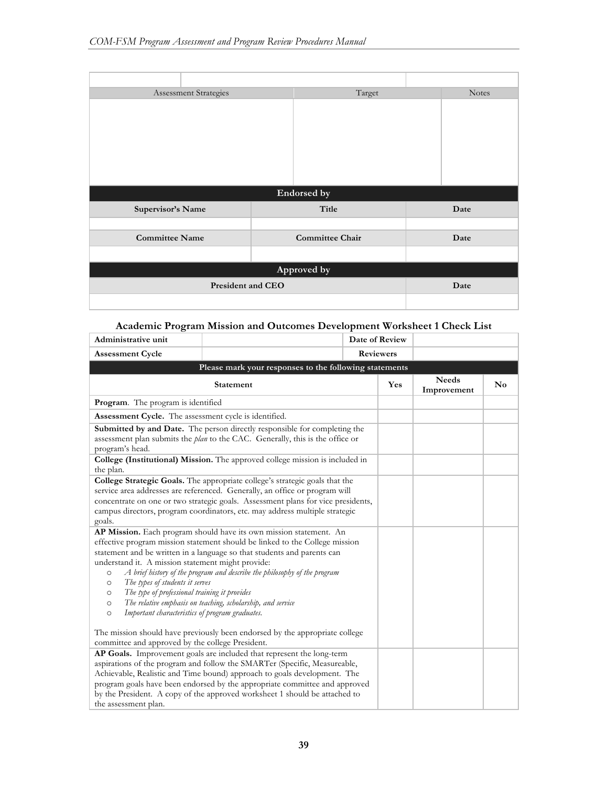| Assessment Strategies |                   | Target                 |  | <b>Notes</b> |  |
|-----------------------|-------------------|------------------------|--|--------------|--|
|                       |                   |                        |  |              |  |
|                       |                   | <b>Endorsed by</b>     |  |              |  |
| Supervisor's Name     |                   | Title                  |  | Date         |  |
|                       |                   |                        |  |              |  |
| <b>Committee Name</b> |                   | <b>Committee Chair</b> |  | Date         |  |
|                       |                   |                        |  |              |  |
| Approved by           |                   |                        |  |              |  |
|                       | President and CEO |                        |  | Date         |  |
|                       |                   |                        |  |              |  |

### **Academic Program Mission and Outcomes Development Worksheet 1 Check List**

| Administrative unit                                                                                                                                                                                                                                       |                                                                                                                                                                                                                                                                                                                                                                                                                                                                                                                                                                                                                                                                                                           | Date of Review   |  |  |  |  |  |
|-----------------------------------------------------------------------------------------------------------------------------------------------------------------------------------------------------------------------------------------------------------|-----------------------------------------------------------------------------------------------------------------------------------------------------------------------------------------------------------------------------------------------------------------------------------------------------------------------------------------------------------------------------------------------------------------------------------------------------------------------------------------------------------------------------------------------------------------------------------------------------------------------------------------------------------------------------------------------------------|------------------|--|--|--|--|--|
| <b>Assessment Cycle</b>                                                                                                                                                                                                                                   |                                                                                                                                                                                                                                                                                                                                                                                                                                                                                                                                                                                                                                                                                                           | <b>Reviewers</b> |  |  |  |  |  |
|                                                                                                                                                                                                                                                           | Please mark your responses to the following statements                                                                                                                                                                                                                                                                                                                                                                                                                                                                                                                                                                                                                                                    |                  |  |  |  |  |  |
|                                                                                                                                                                                                                                                           | <b>Statement</b><br>Yes                                                                                                                                                                                                                                                                                                                                                                                                                                                                                                                                                                                                                                                                                   |                  |  |  |  |  |  |
| Program. The program is identified                                                                                                                                                                                                                        |                                                                                                                                                                                                                                                                                                                                                                                                                                                                                                                                                                                                                                                                                                           |                  |  |  |  |  |  |
| Assessment Cycle. The assessment cycle is identified.                                                                                                                                                                                                     |                                                                                                                                                                                                                                                                                                                                                                                                                                                                                                                                                                                                                                                                                                           |                  |  |  |  |  |  |
| program's head.                                                                                                                                                                                                                                           | Submitted by and Date. The person directly responsible for completing the<br>assessment plan submits the <i>plan</i> to the CAC. Generally, this is the office or                                                                                                                                                                                                                                                                                                                                                                                                                                                                                                                                         |                  |  |  |  |  |  |
| the plan.                                                                                                                                                                                                                                                 | College (Institutional) Mission. The approved college mission is included in                                                                                                                                                                                                                                                                                                                                                                                                                                                                                                                                                                                                                              |                  |  |  |  |  |  |
| goals.<br>understand it. A mission statement might provide:<br>$\circ$<br>The types of students it serves<br>$\circ$<br>The type of professional training it provides<br>$\circ$<br>$\circ$<br>Important characteristics of program graduates.<br>$\circ$ | College Strategic Goals. The appropriate college's strategic goals that the<br>service area addresses are referenced. Generally, an office or program will<br>concentrate on one or two strategic goals. Assessment plans for vice presidents,<br>campus directors, program coordinators, etc. may address multiple strategic<br>AP Mission. Each program should have its own mission statement. An<br>effective program mission statement should be linked to the College mission<br>statement and be written in a language so that students and parents can<br>A brief history of the program and describe the philosophy of the program<br>The relative emphasis on teaching, scholarship, and service |                  |  |  |  |  |  |
| committee and approved by the college President.                                                                                                                                                                                                          | The mission should have previously been endorsed by the appropriate college                                                                                                                                                                                                                                                                                                                                                                                                                                                                                                                                                                                                                               |                  |  |  |  |  |  |
| the assessment plan.                                                                                                                                                                                                                                      | AP Goals. Improvement goals are included that represent the long-term<br>aspirations of the program and follow the SMARTer (Specific, Measureable,<br>Achievable, Realistic and Time bound) approach to goals development. The<br>program goals have been endorsed by the appropriate committee and approved<br>by the President. A copy of the approved worksheet 1 should be attached to                                                                                                                                                                                                                                                                                                                |                  |  |  |  |  |  |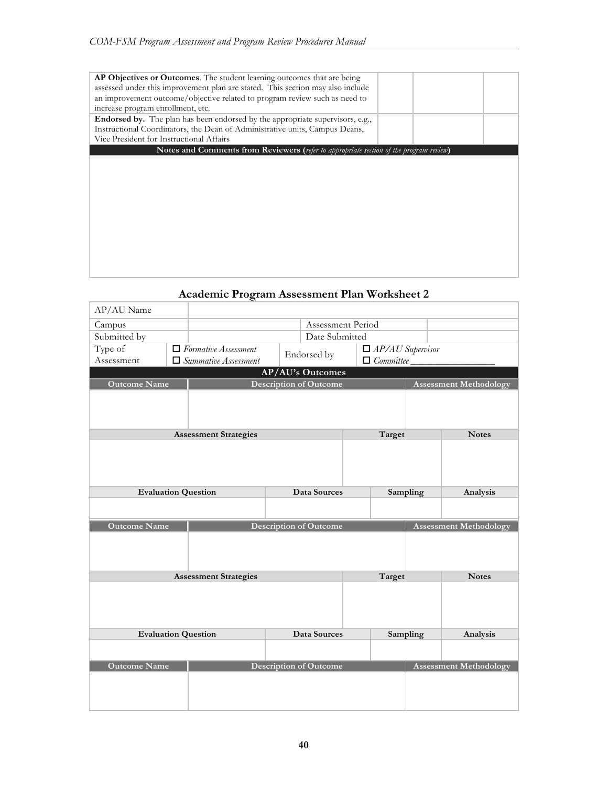| AP Objectives or Outcomes. The student learning outcomes that are being                |
|----------------------------------------------------------------------------------------|
| assessed under this improvement plan are stated. This section may also include         |
| an improvement outcome/objective related to program review such as need to             |
| increase program enrollment, etc.                                                      |
| <b>Endorsed by.</b> The plan has been endorsed by the appropriate supervisors, e.g.,   |
| Instructional Coordinators, the Dean of Administrative units, Campus Deans,            |
| Vice President for Instructional Affairs                                               |
| Notes and Comments from Reviewers (refer to appropriate section of the program review) |
|                                                                                        |
|                                                                                        |
|                                                                                        |
|                                                                                        |
|                                                                                        |
|                                                                                        |
|                                                                                        |
|                                                                                        |
|                                                                                        |
|                                                                                        |
|                                                                                        |
|                                                                                        |

**Academic Program Assessment Plan Worksheet 2**

| AP/AU Name                                |                              |                               |                |                                             |                               |  |
|-------------------------------------------|------------------------------|-------------------------------|----------------|---------------------------------------------|-------------------------------|--|
| Campus                                    |                              | Assessment Period             |                |                                             |                               |  |
| Submitted by                              |                              |                               | Date Submitted |                                             |                               |  |
| $\Box$ Formative Assessment<br>Type of    |                              |                               |                | $\Box$ AP/AU Supervisor<br>$\Box$ Committee |                               |  |
| Assessment<br>$\Box$ Summative Assessment |                              | Endorsed by                   |                |                                             |                               |  |
|                                           |                              | <b>AP/AU's Outcomes</b>       |                |                                             |                               |  |
| <b>Outcome Name</b>                       |                              | <b>Description of Outcome</b> |                |                                             | <b>Assessment Methodology</b> |  |
|                                           |                              |                               |                |                                             |                               |  |
|                                           |                              |                               |                |                                             |                               |  |
|                                           |                              |                               |                |                                             |                               |  |
|                                           | <b>Assessment Strategies</b> |                               | Target         |                                             | <b>Notes</b>                  |  |
|                                           |                              |                               |                |                                             |                               |  |
|                                           |                              |                               |                |                                             |                               |  |
|                                           |                              |                               |                |                                             |                               |  |
|                                           | <b>Evaluation Question</b>   | Data Sources                  | Sampling       |                                             | Analysis                      |  |
|                                           |                              |                               |                |                                             |                               |  |
|                                           |                              |                               |                |                                             |                               |  |
| <b>Outcome Name</b>                       |                              | <b>Description of Outcome</b> |                |                                             | <b>Assessment Methodology</b> |  |
|                                           |                              |                               |                |                                             |                               |  |
|                                           |                              |                               |                |                                             |                               |  |
|                                           |                              |                               |                |                                             |                               |  |
|                                           | <b>Assessment Strategies</b> |                               | Target         |                                             | <b>Notes</b>                  |  |
|                                           |                              |                               |                |                                             |                               |  |
|                                           |                              |                               |                |                                             |                               |  |
|                                           |                              |                               |                |                                             |                               |  |
|                                           | <b>Evaluation Question</b>   | Data Sources                  | Sampling       |                                             | Analysis                      |  |
|                                           |                              |                               |                |                                             |                               |  |
|                                           |                              |                               |                |                                             |                               |  |
| <b>Outcome Name</b>                       |                              | <b>Description of Outcome</b> |                |                                             | <b>Assessment Methodology</b> |  |
|                                           |                              |                               |                |                                             |                               |  |
|                                           |                              |                               |                |                                             |                               |  |
|                                           |                              |                               |                |                                             |                               |  |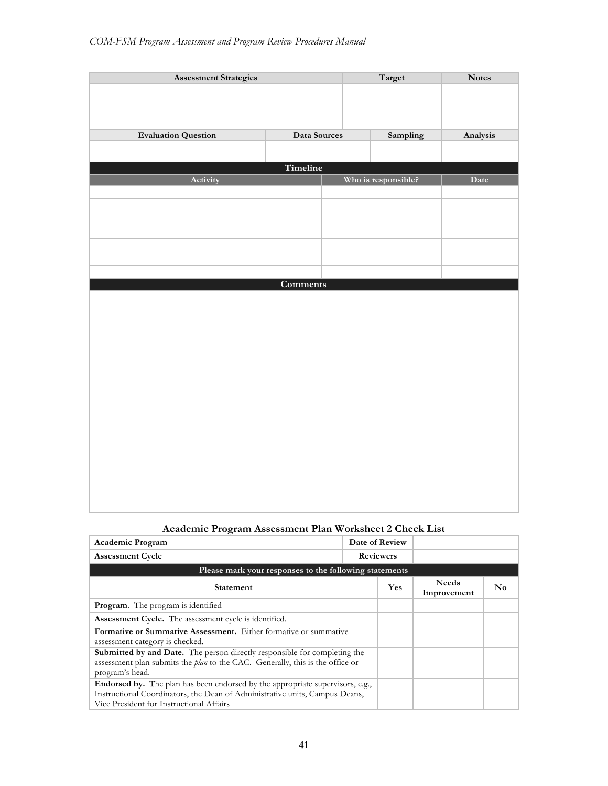| <b>Assessment Strategies</b> |                 | Target              | <b>Notes</b>             |
|------------------------------|-----------------|---------------------|--------------------------|
|                              |                 |                     |                          |
|                              |                 |                     |                          |
|                              |                 |                     |                          |
|                              |                 |                     |                          |
| <b>Evaluation Question</b>   | Data Sources    | Sampling            | Analysis                 |
|                              |                 |                     |                          |
|                              | Timeline        |                     |                          |
| Activity                     |                 | Who is responsible? | $\overline{\text{Date}}$ |
|                              |                 |                     |                          |
|                              |                 |                     |                          |
|                              |                 |                     |                          |
|                              |                 |                     |                          |
|                              |                 |                     |                          |
|                              |                 |                     |                          |
|                              |                 |                     |                          |
|                              |                 |                     |                          |
|                              | <b>Comments</b> |                     |                          |
|                              |                 |                     |                          |
|                              |                 |                     |                          |
|                              |                 |                     |                          |
|                              |                 |                     |                          |
|                              |                 |                     |                          |
|                              |                 |                     |                          |
|                              |                 |                     |                          |
|                              |                 |                     |                          |
|                              |                 |                     |                          |
|                              |                 |                     |                          |
|                              |                 |                     |                          |
|                              |                 |                     |                          |
|                              |                 |                     |                          |
|                              |                 |                     |                          |
|                              |                 |                     |                          |
|                              |                 |                     |                          |
|                              |                 |                     |                          |
|                              |                 |                     |                          |

# **Academic Program Assessment Plan Worksheet 2 Check List**

| <b>Academic Program</b>                                                                                                                                                                     |                                                                                                                                                              | Date of Review |     |                             |    |
|---------------------------------------------------------------------------------------------------------------------------------------------------------------------------------------------|--------------------------------------------------------------------------------------------------------------------------------------------------------------|----------------|-----|-----------------------------|----|
| <b>Assessment Cycle</b>                                                                                                                                                                     | <b>Reviewers</b>                                                                                                                                             |                |     |                             |    |
| Please mark your responses to the following statements                                                                                                                                      |                                                                                                                                                              |                |     |                             |    |
|                                                                                                                                                                                             | <b>Statement</b>                                                                                                                                             |                | Yes | <b>Needs</b><br>Improvement | No |
| <b>Program.</b> The program is identified                                                                                                                                                   |                                                                                                                                                              |                |     |                             |    |
| Assessment Cycle. The assessment cycle is identified.                                                                                                                                       |                                                                                                                                                              |                |     |                             |    |
| <b>Formative or Summative Assessment.</b> Either formative or summative<br>assessment category is checked.                                                                                  |                                                                                                                                                              |                |     |                             |    |
| <b>Submitted by and Date.</b> The person directly responsible for completing the<br>assessment plan submits the <i>plan</i> to the CAC. Generally, this is the office or<br>program's head. |                                                                                                                                                              |                |     |                             |    |
| Vice President for Instructional Affairs                                                                                                                                                    | Endorsed by. The plan has been endorsed by the appropriate supervisors, e.g.,<br>Instructional Coordinators, the Dean of Administrative units, Campus Deans, |                |     |                             |    |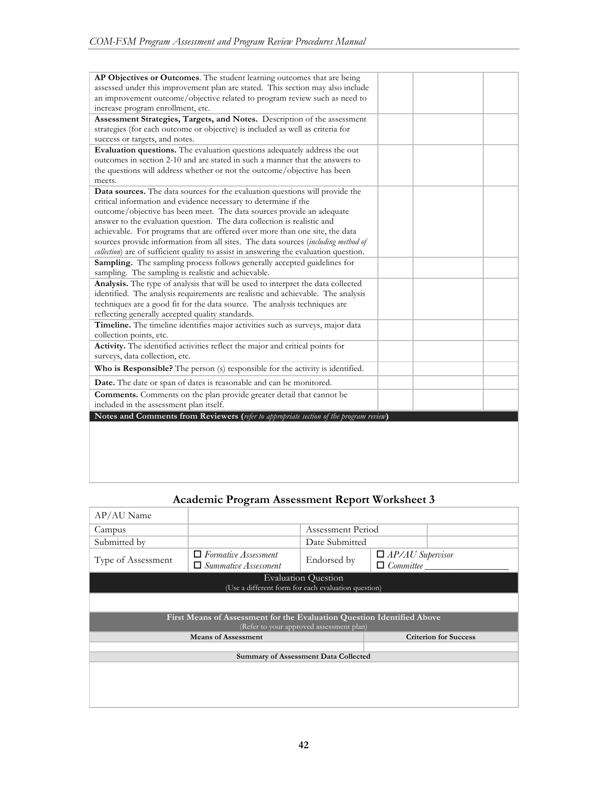| AP Objectives or Outcomes. The student learning outcomes that are being                |  |
|----------------------------------------------------------------------------------------|--|
| assessed under this improvement plan are stated. This section may also include         |  |
| an improvement outcome/objective related to program review such as need to             |  |
| increase program enrollment, etc.                                                      |  |
| Assessment Strategies, Targets, and Notes. Description of the assessment               |  |
| strategies (for each outcome or objective) is included as well as criteria for         |  |
| success or targets, and notes.                                                         |  |
| Evaluation questions. The evaluation questions adequately address the out              |  |
| outcomes in section 2-10 and are stated in such a manner that the answers to           |  |
| the questions will address whether or not the outcome/objective has been               |  |
| meets.                                                                                 |  |
| Data sources. The data sources for the evaluation questions will provide the           |  |
| critical information and evidence necessary to determine if the                        |  |
| outcome/objective has been meet. The data sources provide an adequate                  |  |
| answer to the evaluation question. The data collection is realistic and                |  |
| achievable. For programs that are offered over more than one site, the data            |  |
| sources provide information from all sites. The data sources (including method of      |  |
| collection) are of sufficient quality to assist in answering the evaluation question.  |  |
| Sampling. The sampling process follows generally accepted guidelines for               |  |
| sampling. The sampling is realistic and achievable.                                    |  |
| Analysis. The type of analysis that will be used to interpret the data collected       |  |
| identified. The analysis requirements are realistic and achievable. The analysis       |  |
| techniques are a good fit for the data source. The analysis techniques are             |  |
| reflecting generally accepted quality standards.                                       |  |
| Timeline. The timeline identifies major activities such as surveys, major data         |  |
| collection points, etc.                                                                |  |
| Activity. The identified activities reflect the major and critical points for          |  |
| surveys, data collection, etc.                                                         |  |
| Who is Responsible? The person (s) responsible for the activity is identified.         |  |
| Date. The date or span of dates is reasonable and can be monitored.                    |  |
| Comments. Comments on the plan provide greater detail that cannot be                   |  |
| included in the assessment plan itself.                                                |  |
| Notes and Comments from Reviewers (refer to appropriate section of the program review) |  |
|                                                                                        |  |
|                                                                                        |  |
|                                                                                        |  |
|                                                                                        |  |
|                                                                                        |  |

# **Academic Program Assessment Report Worksheet 3**

л

| $AP/AU$ Name       |                                                                        |                                             |                                             |  |  |  |
|--------------------|------------------------------------------------------------------------|---------------------------------------------|---------------------------------------------|--|--|--|
| Campus             |                                                                        | Assessment Period                           |                                             |  |  |  |
| Submitted by       |                                                                        | Date Submitted                              |                                             |  |  |  |
| Type of Assessment | $\Box$ Formative Assessment<br>$\Box$ Summative Assessment             | Endorsed by                                 | $\Box$ AP/AU Supervisor<br>$\Box$ Committee |  |  |  |
|                    | (Use a different form for each evaluation question)                    | <b>Evaluation Question</b>                  |                                             |  |  |  |
|                    |                                                                        |                                             |                                             |  |  |  |
|                    | First Means of Assessment for the Evaluation Question Identified Above | (Refer to your approved assessment plan)    |                                             |  |  |  |
|                    | <b>Means of Assessment</b>                                             |                                             | <b>Criterion for Success</b>                |  |  |  |
|                    |                                                                        | <b>Summary of Assessment Data Collected</b> |                                             |  |  |  |
|                    |                                                                        |                                             |                                             |  |  |  |
|                    |                                                                        |                                             |                                             |  |  |  |
|                    |                                                                        |                                             |                                             |  |  |  |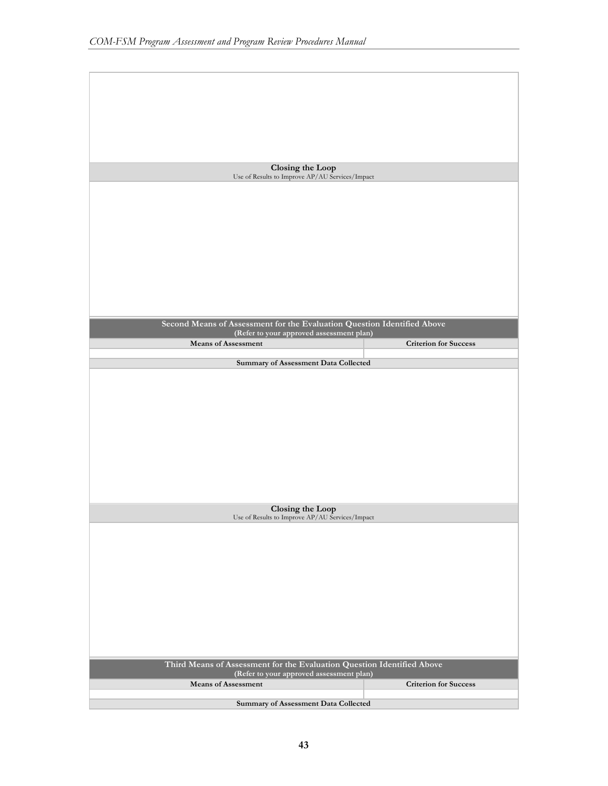| Closing the Loop                                                        |                              |
|-------------------------------------------------------------------------|------------------------------|
| Use of Results to Improve AP/AU Services/Impact                         |                              |
|                                                                         |                              |
|                                                                         |                              |
|                                                                         |                              |
|                                                                         |                              |
|                                                                         |                              |
|                                                                         |                              |
|                                                                         |                              |
|                                                                         |                              |
|                                                                         |                              |
|                                                                         |                              |
|                                                                         |                              |
|                                                                         |                              |
|                                                                         |                              |
|                                                                         |                              |
|                                                                         |                              |
|                                                                         |                              |
| Second Means of Assessment for the Evaluation Question Identified Above |                              |
| (Refer to your approved assessment plan)                                |                              |
| <b>Means of Assessment</b>                                              | <b>Criterion for Success</b> |
|                                                                         |                              |
| Summary of Assessment Data Collected                                    |                              |
|                                                                         |                              |
|                                                                         |                              |
|                                                                         |                              |
|                                                                         |                              |
|                                                                         |                              |
|                                                                         |                              |
|                                                                         |                              |
|                                                                         |                              |
|                                                                         |                              |
|                                                                         |                              |
|                                                                         |                              |
|                                                                         |                              |
|                                                                         |                              |
|                                                                         |                              |
|                                                                         |                              |
|                                                                         |                              |
|                                                                         |                              |
| Closing the Loop                                                        |                              |
| Use of Results to Improve AP/AU Services/Impact                         |                              |
|                                                                         |                              |
|                                                                         |                              |
|                                                                         |                              |
|                                                                         |                              |
|                                                                         |                              |
|                                                                         |                              |
|                                                                         |                              |
|                                                                         |                              |
|                                                                         |                              |
|                                                                         |                              |
|                                                                         |                              |
|                                                                         |                              |
|                                                                         |                              |
|                                                                         |                              |
|                                                                         |                              |
| Third Means of Assessment for the Evaluation Question Identified Above  |                              |
| (Refer to your approved assessment plan)                                |                              |
| <b>Means of Assessment</b>                                              | <b>Criterion for Success</b> |
| Summary of Assessment Data Collected                                    |                              |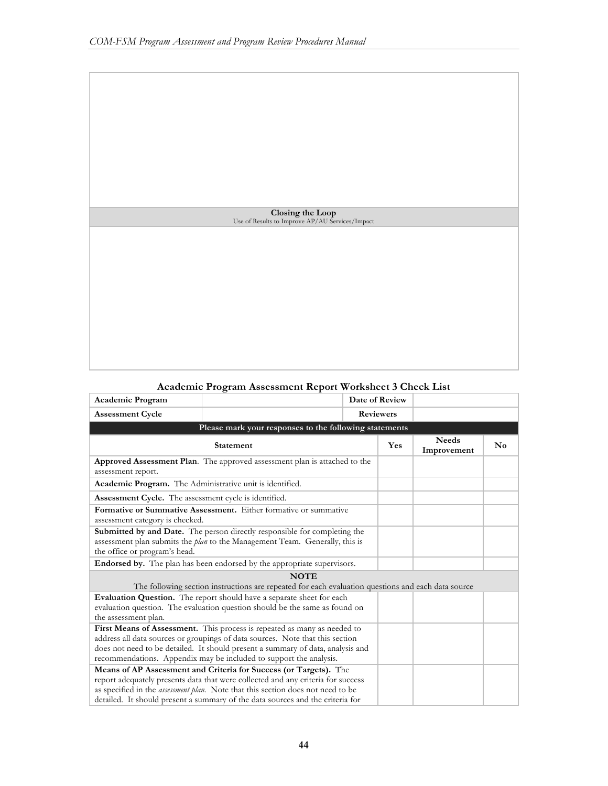| $\label{eq:lossing} \begin{minipage}{0.9\linewidth} \textbf{Closing the Loop} \\ \textbf{Use of Results to Improve AP/AU Services/Import} \end{minipage}$ |
|-----------------------------------------------------------------------------------------------------------------------------------------------------------|
|                                                                                                                                                           |
|                                                                                                                                                           |
|                                                                                                                                                           |
|                                                                                                                                                           |

| <b>Academic Program</b>                                                                                                                                                                          |                                                                                                                                                                           | Date of Review              |                           |  |  |
|--------------------------------------------------------------------------------------------------------------------------------------------------------------------------------------------------|---------------------------------------------------------------------------------------------------------------------------------------------------------------------------|-----------------------------|---------------------------|--|--|
| <b>Assessment Cycle</b>                                                                                                                                                                          |                                                                                                                                                                           | <b>Reviewers</b>            |                           |  |  |
|                                                                                                                                                                                                  | Please mark your responses to the following statements                                                                                                                    |                             |                           |  |  |
|                                                                                                                                                                                                  | Yes                                                                                                                                                                       | <b>Needs</b><br>Improvement | $\mathbf{N}$ <sub>0</sub> |  |  |
| assessment report.                                                                                                                                                                               | Approved Assessment Plan. The approved assessment plan is attached to the                                                                                                 |                             |                           |  |  |
| Academic Program. The Administrative unit is identified.                                                                                                                                         |                                                                                                                                                                           |                             |                           |  |  |
| Assessment Cycle. The assessment cycle is identified.                                                                                                                                            |                                                                                                                                                                           |                             |                           |  |  |
| assessment category is checked.                                                                                                                                                                  | Formative or Summative Assessment. Either formative or summative                                                                                                          |                             |                           |  |  |
| Submitted by and Date. The person directly responsible for completing the<br>assessment plan submits the <i>plan</i> to the Management Team. Generally, this is<br>the office or program's head. |                                                                                                                                                                           |                             |                           |  |  |
|                                                                                                                                                                                                  | Endorsed by. The plan has been endorsed by the appropriate supervisors.                                                                                                   |                             |                           |  |  |
|                                                                                                                                                                                                  | <b>NOTE</b>                                                                                                                                                               |                             |                           |  |  |
|                                                                                                                                                                                                  | The following section instructions are repeated for each evaluation questions and each data source                                                                        |                             |                           |  |  |
| Evaluation Question. The report should have a separate sheet for each<br>evaluation question. The evaluation question should be the same as found on<br>the assessment plan.                     |                                                                                                                                                                           |                             |                           |  |  |
|                                                                                                                                                                                                  | First Means of Assessment. This process is repeated as many as needed to                                                                                                  |                             |                           |  |  |
|                                                                                                                                                                                                  | address all data sources or groupings of data sources. Note that this section                                                                                             |                             |                           |  |  |
| does not need to be detailed. It should present a summary of data, analysis and<br>recommendations. Appendix may be included to support the analysis.                                            |                                                                                                                                                                           |                             |                           |  |  |
|                                                                                                                                                                                                  | Means of AP Assessment and Criteria for Success (or Targets). The                                                                                                         |                             |                           |  |  |
|                                                                                                                                                                                                  | report adequately presents data that were collected and any criteria for success                                                                                          |                             |                           |  |  |
|                                                                                                                                                                                                  | as specified in the <i>assessment plan</i> . Note that this section does not need to be<br>detailed. It should present a summary of the data sources and the criteria for |                             |                           |  |  |

# **Academic Program Assessment Report Worksheet 3 Check List**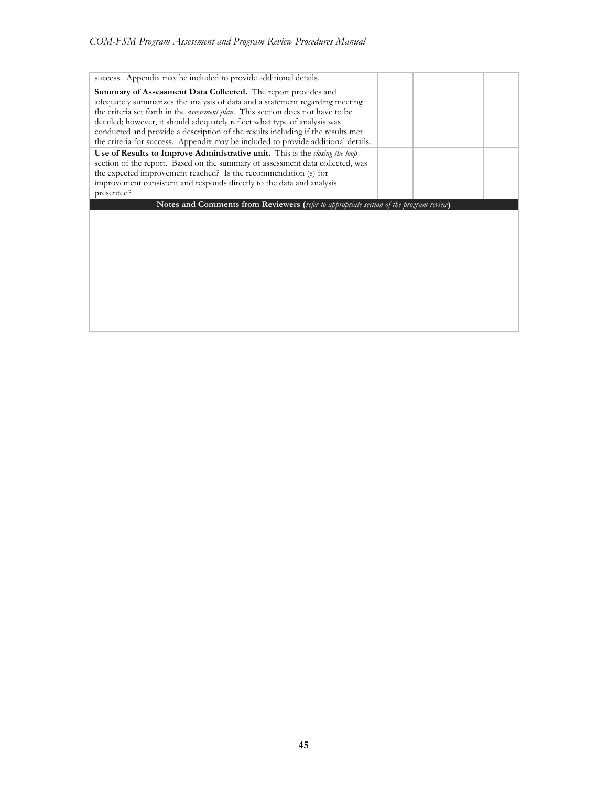| success. Appendix may be included to provide additional details.                       |  |
|----------------------------------------------------------------------------------------|--|
| <b>Summary of Assessment Data Collected.</b> The report provides and                   |  |
| adequately summarizes the analysis of data and a statement regarding meeting           |  |
| the criteria set forth in the <i>assesment plan</i> . This section does not have to be |  |
| detailed; however, it should adequately reflect what type of analysis was              |  |
| conducted and provide a description of the results including if the results met        |  |
| the criteria for success. Appendix may be included to provide additional details.      |  |
| Use of Results to Improve Administrative unit. This is the closing the loop            |  |
| section of the report. Based on the summary of assessment data collected, was          |  |
| the expected improvement reached? Is the recommendation (s) for                        |  |
| improvement consistent and responds directly to the data and analysis                  |  |
| presented?                                                                             |  |
| Notes and Comments from Reviewers (refer to appropriate section of the program review) |  |
|                                                                                        |  |
|                                                                                        |  |
|                                                                                        |  |
|                                                                                        |  |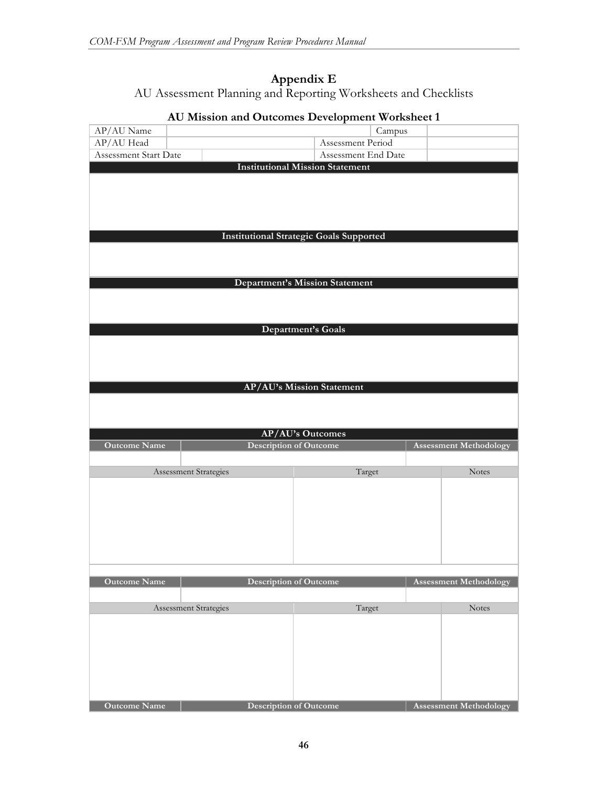# **Appendix E**

AU Assessment Planning and Reporting Worksheets and Checklists

| AP/AU Name                   |                       | Campus                                         |                               |
|------------------------------|-----------------------|------------------------------------------------|-------------------------------|
| AP/AU Head                   |                       | Assessment Period                              |                               |
| <b>Assessment Start Date</b> |                       | Assessment End Date                            |                               |
|                              |                       | <b>Institutional Mission Statement</b>         |                               |
|                              |                       |                                                |                               |
|                              |                       |                                                |                               |
|                              |                       |                                                |                               |
|                              |                       |                                                |                               |
|                              |                       | <b>Institutional Strategic Goals Supported</b> |                               |
|                              |                       |                                                |                               |
|                              |                       |                                                |                               |
|                              |                       | <b>Department's Mission Statement</b>          |                               |
|                              |                       |                                                |                               |
|                              |                       |                                                |                               |
|                              |                       |                                                |                               |
|                              |                       | <b>Department's Goals</b>                      |                               |
|                              |                       |                                                |                               |
|                              |                       |                                                |                               |
|                              |                       |                                                |                               |
|                              |                       | <b>AP/AU's Mission Statement</b>               |                               |
|                              |                       |                                                |                               |
|                              |                       |                                                |                               |
|                              |                       | <b>AP/AU's Outcomes</b>                        |                               |
| <b>Outcome Name</b>          |                       | <b>Description of Outcome</b>                  | <b>Assessment Methodology</b> |
|                              |                       |                                                |                               |
|                              | Assessment Strategies | Target                                         | Notes                         |
|                              |                       |                                                |                               |
|                              |                       |                                                |                               |
|                              |                       |                                                |                               |
|                              |                       |                                                |                               |
|                              |                       |                                                |                               |
|                              |                       |                                                |                               |
|                              |                       |                                                |                               |
|                              |                       |                                                |                               |
| <b>Outcome Name</b>          |                       | <b>Description of Outcome</b>                  | <b>Assessment Methodology</b> |
|                              |                       |                                                |                               |
|                              | Assessment Strategies | Target                                         | <b>Notes</b>                  |
|                              |                       |                                                |                               |
|                              |                       |                                                |                               |
|                              |                       |                                                |                               |
|                              |                       |                                                |                               |
|                              |                       |                                                |                               |
|                              |                       |                                                |                               |

# **AU Mission and Outcomes Development Worksheet 1**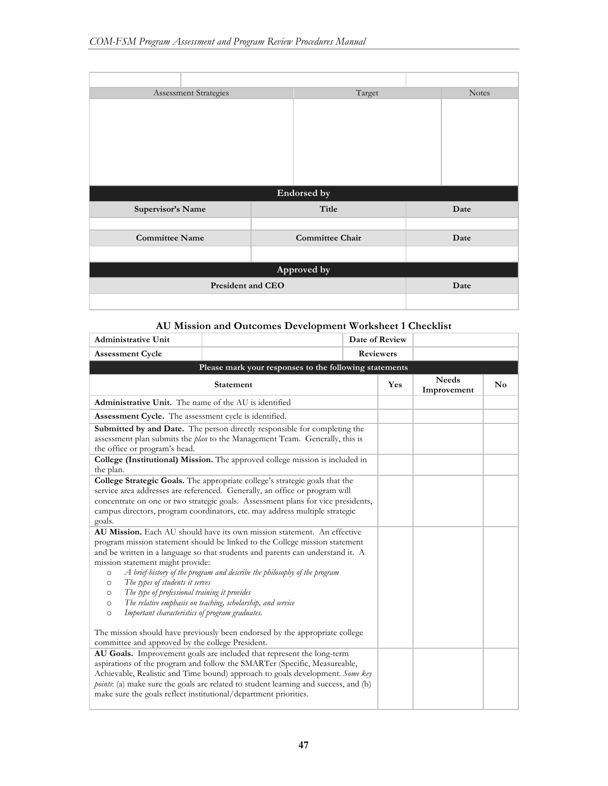| Assessment Strategies |                   | Target                 | <b>Notes</b> |  |
|-----------------------|-------------------|------------------------|--------------|--|
|                       |                   |                        |              |  |
|                       |                   |                        |              |  |
|                       |                   | <b>Endorsed by</b>     |              |  |
| Supervisor's Name     |                   | Title                  | Date         |  |
|                       |                   |                        |              |  |
| <b>Committee Name</b> |                   | <b>Committee Chair</b> | Date         |  |
|                       |                   |                        |              |  |
|                       |                   | Approved by            |              |  |
|                       | President and CEO |                        | Date         |  |
|                       |                   |                        |              |  |

#### **AU Mission and Outcomes Development Worksheet 1 Checklist**

| <b>Administrative Unit</b>                                                                                                                                                                                                                                                              |                                                                                                                                                                                                                                                                                                                                                                                                                                                                                                                                                                                                                                                                                                                       | Date of Review   |     |                             |                |  |
|-----------------------------------------------------------------------------------------------------------------------------------------------------------------------------------------------------------------------------------------------------------------------------------------|-----------------------------------------------------------------------------------------------------------------------------------------------------------------------------------------------------------------------------------------------------------------------------------------------------------------------------------------------------------------------------------------------------------------------------------------------------------------------------------------------------------------------------------------------------------------------------------------------------------------------------------------------------------------------------------------------------------------------|------------------|-----|-----------------------------|----------------|--|
| <b>Assessment Cycle</b>                                                                                                                                                                                                                                                                 |                                                                                                                                                                                                                                                                                                                                                                                                                                                                                                                                                                                                                                                                                                                       | <b>Reviewers</b> |     |                             |                |  |
| Please mark your responses to the following statements                                                                                                                                                                                                                                  |                                                                                                                                                                                                                                                                                                                                                                                                                                                                                                                                                                                                                                                                                                                       |                  |     |                             |                |  |
|                                                                                                                                                                                                                                                                                         | Statement                                                                                                                                                                                                                                                                                                                                                                                                                                                                                                                                                                                                                                                                                                             |                  | Yes | <b>Needs</b><br>Improvement | N <sub>0</sub> |  |
| <b>Administrative Unit.</b> The name of the AU is identified                                                                                                                                                                                                                            |                                                                                                                                                                                                                                                                                                                                                                                                                                                                                                                                                                                                                                                                                                                       |                  |     |                             |                |  |
| Assessment Cycle. The assessment cycle is identified.                                                                                                                                                                                                                                   |                                                                                                                                                                                                                                                                                                                                                                                                                                                                                                                                                                                                                                                                                                                       |                  |     |                             |                |  |
| <b>Submitted by and Date.</b> The person directly responsible for completing the<br>assessment plan submits the <i>plan</i> to the Management Team. Generally, this is<br>the office or program's head.<br>College (Institutional) Mission. The approved college mission is included in |                                                                                                                                                                                                                                                                                                                                                                                                                                                                                                                                                                                                                                                                                                                       |                  |     |                             |                |  |
| the plan.                                                                                                                                                                                                                                                                               |                                                                                                                                                                                                                                                                                                                                                                                                                                                                                                                                                                                                                                                                                                                       |                  |     |                             |                |  |
| goals.<br>mission statement might provide:<br>$\circ$<br>The types of students it serves<br>$\circ$<br>The type of professional training it provides<br>$\circ$<br>$\circ$<br>Important characteristics of program graduates.<br>$\circ$                                                | College Strategic Goals. The appropriate college's strategic goals that the<br>service area addresses are referenced. Generally, an office or program will<br>concentrate on one or two strategic goals. Assessment plans for vice presidents,<br>campus directors, program coordinators, etc. may address multiple strategic<br>AU Mission. Each AU should have its own mission statement. An effective<br>program mission statement should be linked to the College mission statement<br>and be written in a language so that students and parents can understand it. A<br>A brief history of the program and describe the philosophy of the program<br>The relative emphasis on teaching, scholarship, and service |                  |     |                             |                |  |
| committee and approved by the college President.<br>make sure the goals reflect institutional/department priorities.                                                                                                                                                                    | The mission should have previously been endorsed by the appropriate college<br>AU Goals. Improvement goals are included that represent the long-term<br>aspirations of the program and follow the SMARTer (Specific, Measureable,<br>Achievable, Realistic and Time bound) approach to goals development. Some key<br>points: (a) make sure the goals are related to student learning and success, and (b)                                                                                                                                                                                                                                                                                                            |                  |     |                             |                |  |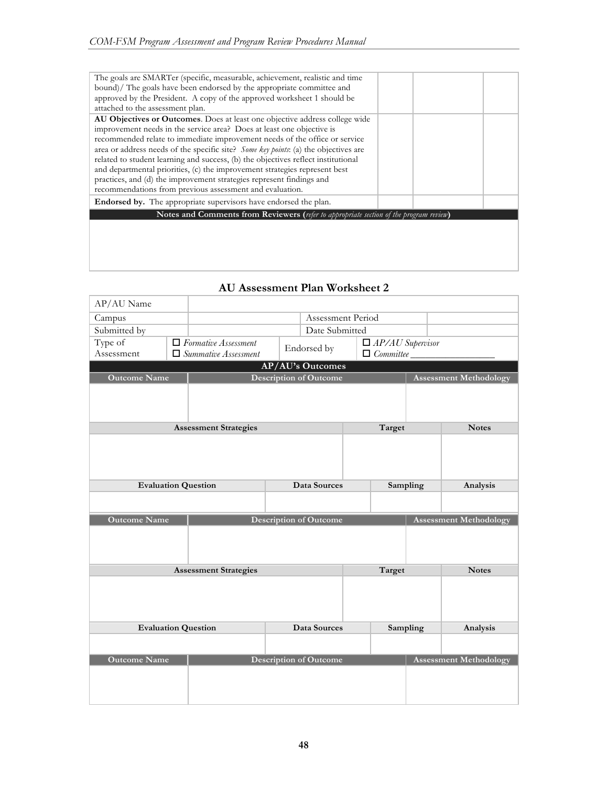| The goals are SMARTer (specific, measurable, achievement, realistic and time           |  |  |
|----------------------------------------------------------------------------------------|--|--|
|                                                                                        |  |  |
| bound)/ The goals have been endorsed by the appropriate committee and                  |  |  |
| approved by the President. A copy of the approved worksheet 1 should be                |  |  |
| attached to the assessment plan.                                                       |  |  |
| AU Objectives or Outcomes. Does at least one objective address college wide            |  |  |
| improvement needs in the service area? Does at least one objective is                  |  |  |
| recommended relate to immediate improvement needs of the office or service             |  |  |
| area or address needs of the specific site? Some key points: (a) the objectives are    |  |  |
| related to student learning and success, (b) the objectives reflect institutional      |  |  |
| and departmental priorities, (c) the improvement strategies represent best             |  |  |
| practices, and (d) the improvement strategies represent findings and                   |  |  |
| recommendations from previous assessment and evaluation.                               |  |  |
| <b>Endorsed by.</b> The appropriate supervisors have endorsed the plan.                |  |  |
| Notes and Comments from Reviewers (refer to appropriate section of the program review) |  |  |
|                                                                                        |  |  |
|                                                                                        |  |  |
|                                                                                        |  |  |

| AP/AU Name          |                              |                               |                         |          |                               |
|---------------------|------------------------------|-------------------------------|-------------------------|----------|-------------------------------|
| Campus              |                              | Assessment Period             |                         |          |                               |
| Submitted by        |                              | Date Submitted                |                         |          |                               |
| Type of             | $\Box$ Formative Assessment  |                               | $\Box$ AP/AU Supervisor |          |                               |
| Assessment          | $\Box$ Summative Assessment  | Endorsed by                   | $\Box$ Committee        |          |                               |
|                     |                              | <b>AP/AU's Outcomes</b>       |                         |          |                               |
| <b>Outcome Name</b> |                              | <b>Description of Outcome</b> |                         |          | <b>Assessment Methodology</b> |
|                     |                              |                               |                         |          |                               |
|                     |                              |                               |                         |          |                               |
|                     |                              |                               |                         |          |                               |
|                     | <b>Assessment Strategies</b> |                               | Target                  |          | <b>Notes</b>                  |
|                     |                              |                               |                         |          |                               |
|                     |                              |                               |                         |          |                               |
|                     |                              |                               |                         |          |                               |
|                     |                              | Data Sources                  |                         |          |                               |
|                     | <b>Evaluation Question</b>   |                               |                         | Sampling | Analysis                      |
|                     |                              |                               |                         |          |                               |
| <b>Outcome Name</b> |                              | <b>Description of Outcome</b> |                         |          | <b>Assessment Methodology</b> |
|                     |                              |                               |                         |          |                               |
|                     |                              |                               |                         |          |                               |
|                     |                              |                               |                         |          |                               |
|                     | <b>Assessment Strategies</b> |                               | Target                  |          | <b>Notes</b>                  |
|                     |                              |                               |                         |          |                               |
|                     |                              |                               |                         |          |                               |
|                     |                              |                               |                         |          |                               |
|                     |                              |                               |                         |          |                               |
|                     | <b>Evaluation Question</b>   | Data Sources                  |                         | Sampling | Analysis                      |
|                     |                              |                               |                         |          |                               |
| <b>Outcome Name</b> |                              | <b>Description of Outcome</b> |                         |          | <b>Assessment Methodology</b> |
|                     |                              |                               |                         |          |                               |
|                     |                              |                               |                         |          |                               |
|                     |                              |                               |                         |          |                               |
|                     |                              |                               |                         |          |                               |

# **AU Assessment Plan Worksheet 2**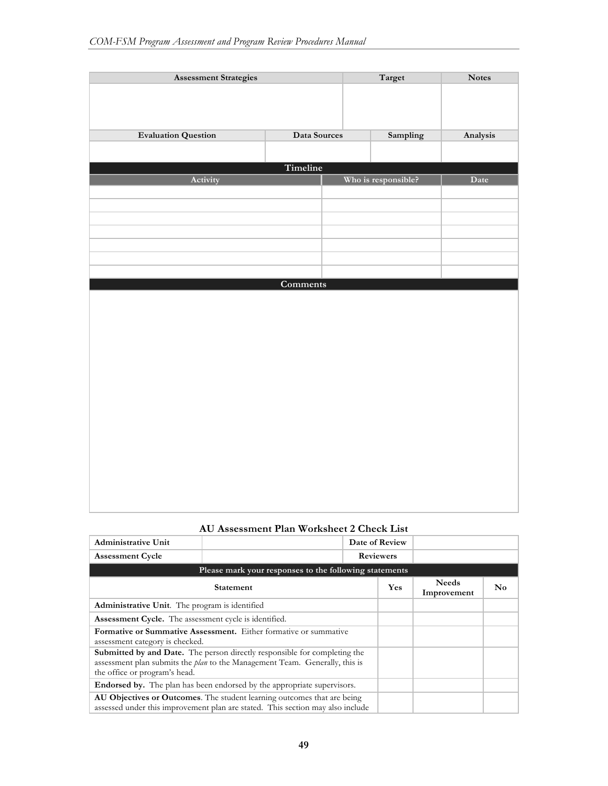| <b>Assessment Strategies</b> |              | Target |                     | <b>Notes</b>             |
|------------------------------|--------------|--------|---------------------|--------------------------|
|                              |              |        |                     |                          |
|                              |              |        |                     |                          |
|                              |              |        |                     |                          |
|                              |              |        |                     |                          |
| <b>Evaluation Question</b>   | Data Sources |        | Sampling            | Analysis                 |
|                              |              |        |                     |                          |
|                              | Timeline     |        |                     |                          |
| Activity                     |              |        | Who is responsible? | $\overline{\text{Date}}$ |
|                              |              |        |                     |                          |
|                              |              |        |                     |                          |
|                              |              |        |                     |                          |
|                              |              |        |                     |                          |
|                              |              |        |                     |                          |
|                              |              |        |                     |                          |
|                              |              |        |                     |                          |
|                              |              |        |                     |                          |
|                              | Comments     |        |                     |                          |
|                              |              |        |                     |                          |
|                              |              |        |                     |                          |
|                              |              |        |                     |                          |
|                              |              |        |                     |                          |
|                              |              |        |                     |                          |
|                              |              |        |                     |                          |
|                              |              |        |                     |                          |
|                              |              |        |                     |                          |
|                              |              |        |                     |                          |
|                              |              |        |                     |                          |
|                              |              |        |                     |                          |
|                              |              |        |                     |                          |
|                              |              |        |                     |                          |
|                              |              |        |                     |                          |
|                              |              |        |                     |                          |
|                              |              |        |                     |                          |
|                              |              |        |                     |                          |
|                              |              |        |                     |                          |

# **AU Assessment Plan Worksheet 2 Check List**

| <b>Administrative Unit</b>                                                                                                                                                                              |                                                                                                                                                           | Date of Review   |            |                             |          |
|---------------------------------------------------------------------------------------------------------------------------------------------------------------------------------------------------------|-----------------------------------------------------------------------------------------------------------------------------------------------------------|------------------|------------|-----------------------------|----------|
| <b>Assessment Cycle</b>                                                                                                                                                                                 |                                                                                                                                                           | <b>Reviewers</b> |            |                             |          |
|                                                                                                                                                                                                         | Please mark your responses to the following statements                                                                                                    |                  |            |                             |          |
|                                                                                                                                                                                                         | <b>Statement</b>                                                                                                                                          |                  | <b>Yes</b> | <b>Needs</b><br>Improvement | $\bf No$ |
| <b>Administrative Unit.</b> The program is identified                                                                                                                                                   |                                                                                                                                                           |                  |            |                             |          |
| <b>Assessment Cycle.</b> The assessment cycle is identified.                                                                                                                                            |                                                                                                                                                           |                  |            |                             |          |
| <b>Formative or Summative Assessment.</b> Either formative or summative<br>assessment category is checked.                                                                                              |                                                                                                                                                           |                  |            |                             |          |
| <b>Submitted by and Date.</b> The person directly responsible for completing the<br>assessment plan submits the <i>plan</i> to the Management Team. Generally, this is<br>the office or program's head. |                                                                                                                                                           |                  |            |                             |          |
|                                                                                                                                                                                                         | <b>Endorsed by.</b> The plan has been endorsed by the appropriate supervisors.                                                                            |                  |            |                             |          |
|                                                                                                                                                                                                         | AU Objectives or Outcomes. The student learning outcomes that are being<br>assessed under this improvement plan are stated. This section may also include |                  |            |                             |          |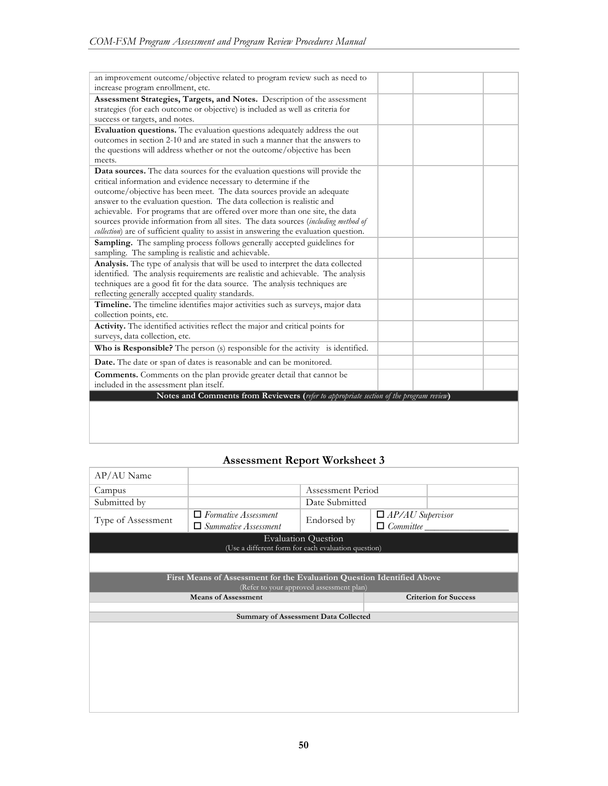| an improvement outcome/objective related to program review such as need to             |  |
|----------------------------------------------------------------------------------------|--|
| increase program enrollment, etc.                                                      |  |
| Assessment Strategies, Targets, and Notes. Description of the assessment               |  |
| strategies (for each outcome or objective) is included as well as criteria for         |  |
| success or targets, and notes.                                                         |  |
| Evaluation questions. The evaluation questions adequately address the out              |  |
| outcomes in section 2-10 and are stated in such a manner that the answers to           |  |
| the questions will address whether or not the outcome/objective has been<br>meets.     |  |
| Data sources. The data sources for the evaluation questions will provide the           |  |
| critical information and evidence necessary to determine if the                        |  |
| outcome/objective has been meet. The data sources provide an adequate                  |  |
| answer to the evaluation question. The data collection is realistic and                |  |
| achievable. For programs that are offered over more than one site, the data            |  |
| sources provide information from all sites. The data sources (including method of      |  |
| collection) are of sufficient quality to assist in answering the evaluation question.  |  |
| Sampling. The sampling process follows generally accepted guidelines for               |  |
| sampling. The sampling is realistic and achievable.                                    |  |
| Analysis. The type of analysis that will be used to interpret the data collected       |  |
| identified. The analysis requirements are realistic and achievable. The analysis       |  |
| techniques are a good fit for the data source. The analysis techniques are             |  |
| reflecting generally accepted quality standards.                                       |  |
| Timeline. The timeline identifies major activities such as surveys, major data         |  |
| collection points, etc.                                                                |  |
| Activity. The identified activities reflect the major and critical points for          |  |
| surveys, data collection, etc.                                                         |  |
| Who is Responsible? The person (s) responsible for the activity is identified.         |  |
| Date. The date or span of dates is reasonable and can be monitored.                    |  |
| <b>Comments.</b> Comments on the plan provide greater detail that cannot be            |  |
| included in the assessment plan itself.                                                |  |
| Notes and Comments from Reviewers (refer to appropriate section of the program review) |  |
|                                                                                        |  |
|                                                                                        |  |

# **Assessment Report Worksheet 3**

| AP/AU Name                                                                                                         |                                                            |                                      |                                             |                              |
|--------------------------------------------------------------------------------------------------------------------|------------------------------------------------------------|--------------------------------------|---------------------------------------------|------------------------------|
| Campus                                                                                                             |                                                            | Assessment Period                    |                                             |                              |
| Submitted by                                                                                                       |                                                            | Date Submitted                       |                                             |                              |
| Type of Assessment                                                                                                 | $\Box$ Formative Assessment<br>$\Box$ Summative Assessment | Endorsed by                          | $\Box$ AP/AU Supervisor<br>$\Box$ Committee |                              |
|                                                                                                                    | (Use a different form for each evaluation question)        | <b>Evaluation Question</b>           |                                             |                              |
|                                                                                                                    |                                                            |                                      |                                             |                              |
| First Means of Assessment for the Evaluation Question Identified Above<br>(Refer to your approved assessment plan) |                                                            |                                      |                                             |                              |
|                                                                                                                    |                                                            |                                      |                                             |                              |
|                                                                                                                    | <b>Means of Assessment</b>                                 |                                      |                                             | <b>Criterion for Success</b> |
|                                                                                                                    |                                                            |                                      |                                             |                              |
|                                                                                                                    |                                                            | Summary of Assessment Data Collected |                                             |                              |
|                                                                                                                    |                                                            |                                      |                                             |                              |
|                                                                                                                    |                                                            |                                      |                                             |                              |
|                                                                                                                    |                                                            |                                      |                                             |                              |
|                                                                                                                    |                                                            |                                      |                                             |                              |
|                                                                                                                    |                                                            |                                      |                                             |                              |
|                                                                                                                    |                                                            |                                      |                                             |                              |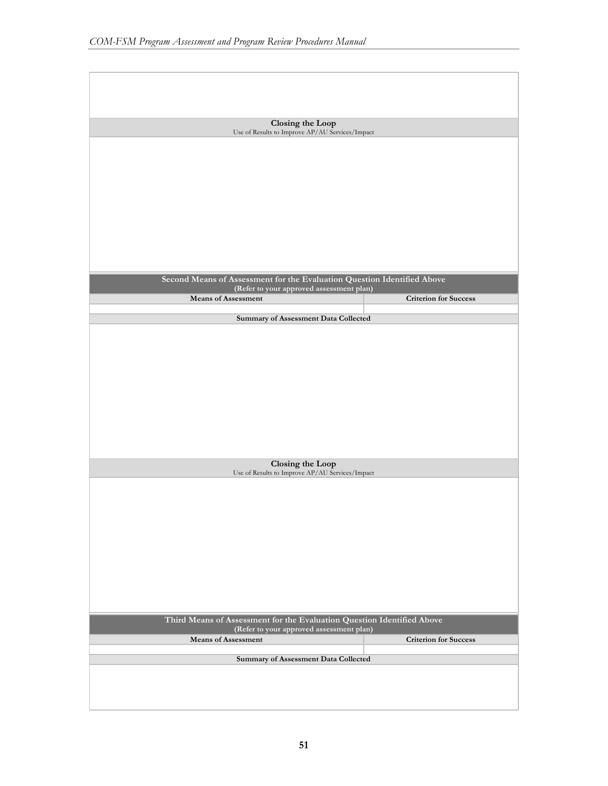| Closing the Loop                                                                                                    |                              |
|---------------------------------------------------------------------------------------------------------------------|------------------------------|
| Use of Results to Improve AP/AU Services/Impact                                                                     |                              |
|                                                                                                                     |                              |
|                                                                                                                     |                              |
|                                                                                                                     |                              |
|                                                                                                                     |                              |
|                                                                                                                     |                              |
|                                                                                                                     |                              |
|                                                                                                                     |                              |
| Second Means of Assessment for the Evaluation Question Identified Above<br>(Refer to your approved assessment plan) |                              |
| <b>Means of Assessment</b>                                                                                          | <b>Criterion for Success</b> |
| Summary of Assessment Data Collected                                                                                |                              |
|                                                                                                                     |                              |
|                                                                                                                     |                              |
|                                                                                                                     |                              |
|                                                                                                                     |                              |
|                                                                                                                     |                              |
|                                                                                                                     |                              |
|                                                                                                                     |                              |
| Closing the Loop<br>Use of Results to Improve AP/AU Services/Impact                                                 |                              |
|                                                                                                                     |                              |
|                                                                                                                     |                              |
|                                                                                                                     |                              |
|                                                                                                                     |                              |
|                                                                                                                     |                              |
|                                                                                                                     |                              |
|                                                                                                                     |                              |
|                                                                                                                     |                              |
| Third Means of Assessment for the Evaluation Question Identified Above<br>(Refer to your approved assessment plan)  |                              |
| <b>Means of Assessment</b>                                                                                          | <b>Criterion for Success</b> |
| Summary of Assessment Data Collected                                                                                |                              |
|                                                                                                                     |                              |
|                                                                                                                     |                              |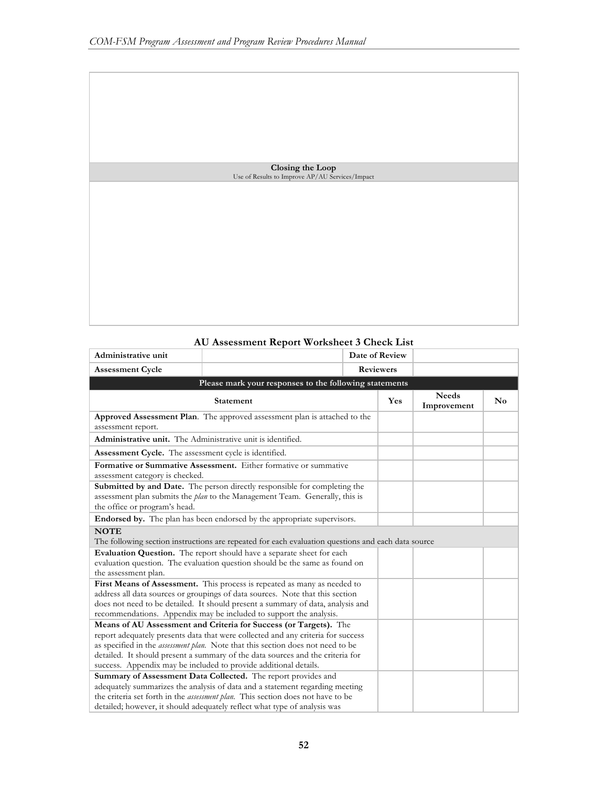| Closing the Loop                                |  |
|-------------------------------------------------|--|
| Use of Results to Improve AP/AU Services/Impact |  |

|  | <b>AU Assessment Report Worksheet 3 Check List</b> |  |  |  |  |
|--|----------------------------------------------------|--|--|--|--|
|--|----------------------------------------------------|--|--|--|--|

| Administrative unit                                                                                                                                                                                                                                                                                                               |                                                                                                                                                                                                                                                                                                                       | Date of Review   |     |                             |                           |
|-----------------------------------------------------------------------------------------------------------------------------------------------------------------------------------------------------------------------------------------------------------------------------------------------------------------------------------|-----------------------------------------------------------------------------------------------------------------------------------------------------------------------------------------------------------------------------------------------------------------------------------------------------------------------|------------------|-----|-----------------------------|---------------------------|
| <b>Assessment Cycle</b>                                                                                                                                                                                                                                                                                                           |                                                                                                                                                                                                                                                                                                                       | <b>Reviewers</b> |     |                             |                           |
|                                                                                                                                                                                                                                                                                                                                   | Please mark your responses to the following statements                                                                                                                                                                                                                                                                |                  |     |                             |                           |
|                                                                                                                                                                                                                                                                                                                                   | <b>Statement</b>                                                                                                                                                                                                                                                                                                      |                  | Yes | <b>Needs</b><br>Improvement | $\mathbf{N}$ <sub>0</sub> |
| assessment report.                                                                                                                                                                                                                                                                                                                | Approved Assessment Plan. The approved assessment plan is attached to the                                                                                                                                                                                                                                             |                  |     |                             |                           |
| Administrative unit. The Administrative unit is identified.                                                                                                                                                                                                                                                                       |                                                                                                                                                                                                                                                                                                                       |                  |     |                             |                           |
| <b>Assessment Cycle.</b> The assessment cycle is identified.                                                                                                                                                                                                                                                                      |                                                                                                                                                                                                                                                                                                                       |                  |     |                             |                           |
| assessment category is checked.                                                                                                                                                                                                                                                                                                   | Formative or Summative Assessment. Either formative or summative                                                                                                                                                                                                                                                      |                  |     |                             |                           |
| Submitted by and Date. The person directly responsible for completing the<br>assessment plan submits the <i>plan</i> to the Management Team. Generally, this is<br>the office or program's head.                                                                                                                                  |                                                                                                                                                                                                                                                                                                                       |                  |     |                             |                           |
|                                                                                                                                                                                                                                                                                                                                   | <b>Endorsed by.</b> The plan has been endorsed by the appropriate supervisors.                                                                                                                                                                                                                                        |                  |     |                             |                           |
| <b>NOTE</b>                                                                                                                                                                                                                                                                                                                       | The following section instructions are repeated for each evaluation questions and each data source                                                                                                                                                                                                                    |                  |     |                             |                           |
| Evaluation Question. The report should have a separate sheet for each<br>evaluation question. The evaluation question should be the same as found on<br>the assessment plan.                                                                                                                                                      |                                                                                                                                                                                                                                                                                                                       |                  |     |                             |                           |
| First Means of Assessment. This process is repeated as many as needed to<br>address all data sources or groupings of data sources. Note that this section<br>does not need to be detailed. It should present a summary of data, analysis and<br>recommendations. Appendix may be included to support the analysis.                |                                                                                                                                                                                                                                                                                                                       |                  |     |                             |                           |
|                                                                                                                                                                                                                                                                                                                                   | Means of AU Assessment and Criteria for Success (or Targets). The                                                                                                                                                                                                                                                     |                  |     |                             |                           |
| report adequately presents data that were collected and any criteria for success<br>as specified in the <i>assessment plan</i> . Note that this section does not need to be<br>detailed. It should present a summary of the data sources and the criteria for<br>success. Appendix may be included to provide additional details. |                                                                                                                                                                                                                                                                                                                       |                  |     |                             |                           |
|                                                                                                                                                                                                                                                                                                                                   | Summary of Assessment Data Collected. The report provides and<br>adequately summarizes the analysis of data and a statement regarding meeting<br>the criteria set forth in the <i>assessment plan</i> . This section does not have to be<br>detailed; however, it should adequately reflect what type of analysis was |                  |     |                             |                           |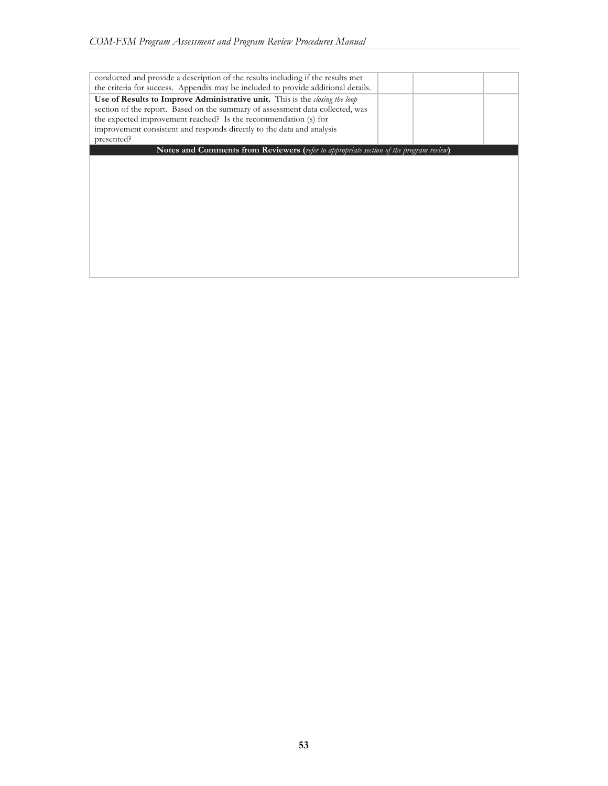| conducted and provide a description of the results including if the results met        |  |  |
|----------------------------------------------------------------------------------------|--|--|
| the criteria for success. Appendix may be included to provide additional details.      |  |  |
| Use of Results to Improve Administrative unit. This is the <i>closing the loop</i>     |  |  |
| section of the report. Based on the summary of assessment data collected, was          |  |  |
| the expected improvement reached? Is the recommendation (s) for                        |  |  |
| improvement consistent and responds directly to the data and analysis                  |  |  |
| presented?                                                                             |  |  |
| Notes and Comments from Reviewers (refer to appropriate section of the program review) |  |  |
|                                                                                        |  |  |
|                                                                                        |  |  |
|                                                                                        |  |  |
|                                                                                        |  |  |
|                                                                                        |  |  |
|                                                                                        |  |  |
|                                                                                        |  |  |
|                                                                                        |  |  |
|                                                                                        |  |  |
|                                                                                        |  |  |
|                                                                                        |  |  |
|                                                                                        |  |  |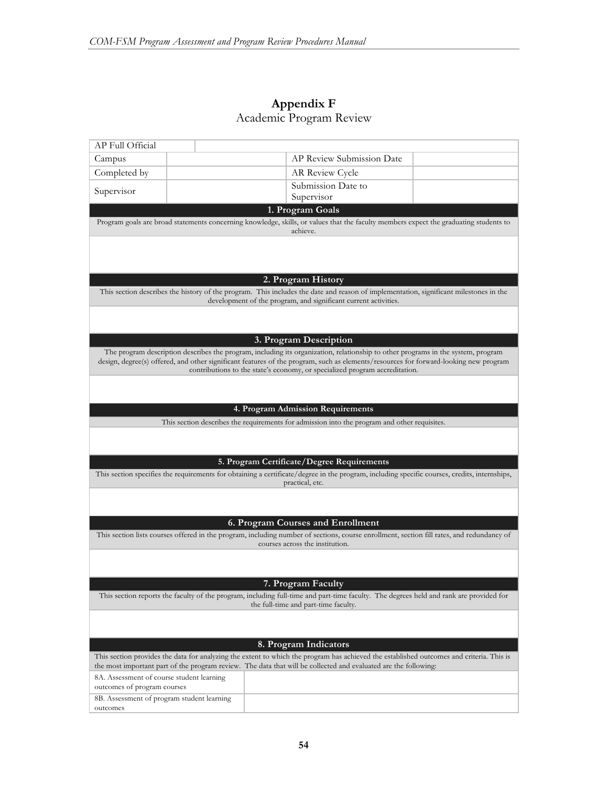# **Appendix F** Academic Program Review

| AP Full Official                                                         |                                                                                                                                                                                                                                                                                                                                                         |
|--------------------------------------------------------------------------|---------------------------------------------------------------------------------------------------------------------------------------------------------------------------------------------------------------------------------------------------------------------------------------------------------------------------------------------------------|
| Campus                                                                   | AP Review Submission Date                                                                                                                                                                                                                                                                                                                               |
| Completed by                                                             | AR Review Cycle                                                                                                                                                                                                                                                                                                                                         |
| Supervisor                                                               | Submission Date to                                                                                                                                                                                                                                                                                                                                      |
|                                                                          | Supervisor                                                                                                                                                                                                                                                                                                                                              |
|                                                                          | 1. Program Goals                                                                                                                                                                                                                                                                                                                                        |
|                                                                          | Program goals are broad statements concerning knowledge, skills, or values that the faculty members expect the graduating students to<br>achieve.                                                                                                                                                                                                       |
|                                                                          |                                                                                                                                                                                                                                                                                                                                                         |
|                                                                          |                                                                                                                                                                                                                                                                                                                                                         |
|                                                                          | 2. Program History                                                                                                                                                                                                                                                                                                                                      |
|                                                                          | This section describes the history of the program. This includes the date and reason of implementation, significant milestones in the<br>development of the program, and significant current activities.                                                                                                                                                |
|                                                                          |                                                                                                                                                                                                                                                                                                                                                         |
|                                                                          |                                                                                                                                                                                                                                                                                                                                                         |
|                                                                          | 3. Program Description                                                                                                                                                                                                                                                                                                                                  |
|                                                                          | The program description describes the program, including its organization, relationship to other programs in the system, program<br>design, degree(s) offered, and other significant features of the program, such as elements/resources for forward-looking new program<br>contributions to the state's economy, or specialized program accreditation. |
|                                                                          |                                                                                                                                                                                                                                                                                                                                                         |
|                                                                          |                                                                                                                                                                                                                                                                                                                                                         |
|                                                                          | 4. Program Admission Requirements                                                                                                                                                                                                                                                                                                                       |
|                                                                          | This section describes the requirements for admission into the program and other requisites.                                                                                                                                                                                                                                                            |
|                                                                          |                                                                                                                                                                                                                                                                                                                                                         |
|                                                                          |                                                                                                                                                                                                                                                                                                                                                         |
|                                                                          | 5. Program Certificate/Degree Requirements                                                                                                                                                                                                                                                                                                              |
|                                                                          | This section specifies the requirements for obtaining a certificate/degree in the program, including specific courses, credits, internships,<br>practical, etc.                                                                                                                                                                                         |
|                                                                          |                                                                                                                                                                                                                                                                                                                                                         |
|                                                                          |                                                                                                                                                                                                                                                                                                                                                         |
|                                                                          | 6. Program Courses and Enrollment                                                                                                                                                                                                                                                                                                                       |
|                                                                          | This section lists courses offered in the program, including number of sections, course enrollment, section fill rates, and redundancy of<br>courses across the institution.                                                                                                                                                                            |
|                                                                          |                                                                                                                                                                                                                                                                                                                                                         |
|                                                                          |                                                                                                                                                                                                                                                                                                                                                         |
|                                                                          | 7. Program Faculty                                                                                                                                                                                                                                                                                                                                      |
|                                                                          | This section reports the faculty of the program, including full-time and part-time faculty. The degrees held and rank are provided for<br>the full-time and part-time faculty.                                                                                                                                                                          |
|                                                                          |                                                                                                                                                                                                                                                                                                                                                         |
|                                                                          |                                                                                                                                                                                                                                                                                                                                                         |
|                                                                          | 8. Program Indicators                                                                                                                                                                                                                                                                                                                                   |
|                                                                          | This section provides the data for analyzing the extent to which the program has achieved the established outcomes and criteria. This is<br>the most important part of the program review. The data that will be collected and evaluated are the following:                                                                                             |
| 8A. Assessment of course student learning<br>outcomes of program courses |                                                                                                                                                                                                                                                                                                                                                         |
| 8B. Assessment of program student learning                               |                                                                                                                                                                                                                                                                                                                                                         |
| outcomes                                                                 |                                                                                                                                                                                                                                                                                                                                                         |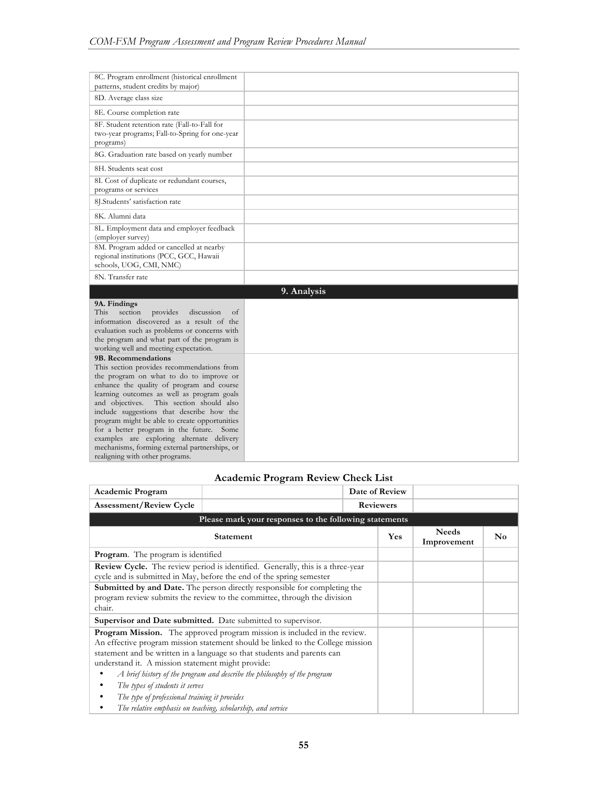| 8C. Program enrollment (historical enrollment<br>patterns, student credits by major)                                                                                                                                                                                                                                                                                                                                                                                                                                           |             |
|--------------------------------------------------------------------------------------------------------------------------------------------------------------------------------------------------------------------------------------------------------------------------------------------------------------------------------------------------------------------------------------------------------------------------------------------------------------------------------------------------------------------------------|-------------|
| 8D. Average class size                                                                                                                                                                                                                                                                                                                                                                                                                                                                                                         |             |
| 8E. Course completion rate                                                                                                                                                                                                                                                                                                                                                                                                                                                                                                     |             |
| 8F. Student retention rate (Fall-to-Fall for<br>two-year programs; Fall-to-Spring for one-year<br>programs)                                                                                                                                                                                                                                                                                                                                                                                                                    |             |
| 8G. Graduation rate based on yearly number                                                                                                                                                                                                                                                                                                                                                                                                                                                                                     |             |
| 8H. Students seat cost                                                                                                                                                                                                                                                                                                                                                                                                                                                                                                         |             |
| 8I. Cost of duplicate or redundant courses,<br>programs or services                                                                                                                                                                                                                                                                                                                                                                                                                                                            |             |
| 8J.Students' satisfaction rate                                                                                                                                                                                                                                                                                                                                                                                                                                                                                                 |             |
| 8K. Alumni data                                                                                                                                                                                                                                                                                                                                                                                                                                                                                                                |             |
| 8L. Employment data and employer feedback<br>(employer survey)                                                                                                                                                                                                                                                                                                                                                                                                                                                                 |             |
| 8M. Program added or cancelled at nearby<br>regional institutions (PCC, GCC, Hawaii<br>schools, UOG, CMI, NMC)                                                                                                                                                                                                                                                                                                                                                                                                                 |             |
| 8N. Transfer rate                                                                                                                                                                                                                                                                                                                                                                                                                                                                                                              |             |
|                                                                                                                                                                                                                                                                                                                                                                                                                                                                                                                                | 9. Analysis |
| 9A. Findings<br>This<br>section<br>provides<br>discussion<br>of<br>information discovered as a result of the<br>evaluation such as problems or concerns with<br>the program and what part of the program is<br>working well and meeting expectation.                                                                                                                                                                                                                                                                           |             |
| 9B. Recommendations<br>This section provides recommendations from<br>the program on what to do to improve or<br>enhance the quality of program and course<br>learning outcomes as well as program goals<br>and objectives. This section should also<br>include suggestions that describe how the<br>program might be able to create opportunities<br>for a better program in the future. Some<br>examples are exploring alternate delivery<br>mechanisms, forming external partnerships, or<br>realigning with other programs. |             |

# **Academic Program Review Check List**

| Academic Program                                                                                                                                                                                                                                                                                                                                                                                                                                                                                                           |                                                                     | Date of Review   |            |                             |                        |
|----------------------------------------------------------------------------------------------------------------------------------------------------------------------------------------------------------------------------------------------------------------------------------------------------------------------------------------------------------------------------------------------------------------------------------------------------------------------------------------------------------------------------|---------------------------------------------------------------------|------------------|------------|-----------------------------|------------------------|
| <b>Assessment/Review Cycle</b>                                                                                                                                                                                                                                                                                                                                                                                                                                                                                             |                                                                     | <b>Reviewers</b> |            |                             |                        |
|                                                                                                                                                                                                                                                                                                                                                                                                                                                                                                                            | Please mark your responses to the following statements              |                  |            |                             |                        |
|                                                                                                                                                                                                                                                                                                                                                                                                                                                                                                                            | <b>Statement</b>                                                    |                  | <b>Yes</b> | <b>Needs</b><br>Improvement | $\mathbf{N}\mathbf{o}$ |
| <b>Program.</b> The program is identified                                                                                                                                                                                                                                                                                                                                                                                                                                                                                  |                                                                     |                  |            |                             |                        |
| <b>Review Cycle.</b> The review period is identified. Generally, this is a three-year<br>cycle and is submitted in May, before the end of the spring semester                                                                                                                                                                                                                                                                                                                                                              |                                                                     |                  |            |                             |                        |
| <b>Submitted by and Date.</b> The person directly responsible for completing the<br>program review submits the review to the committee, through the division<br>chair.                                                                                                                                                                                                                                                                                                                                                     |                                                                     |                  |            |                             |                        |
|                                                                                                                                                                                                                                                                                                                                                                                                                                                                                                                            | <b>Supervisor and Date submitted.</b> Date submitted to supervisor. |                  |            |                             |                        |
| Program Mission. The approved program mission is included in the review.<br>An effective program mission statement should be linked to the College mission<br>statement and be written in a language so that students and parents can<br>understand it. A mission statement might provide:<br>A brief history of the program and describe the philosophy of the program<br>The types of students it serves<br>The type of professional training it provides<br>The relative emphasis on teaching, scholarship, and service |                                                                     |                  |            |                             |                        |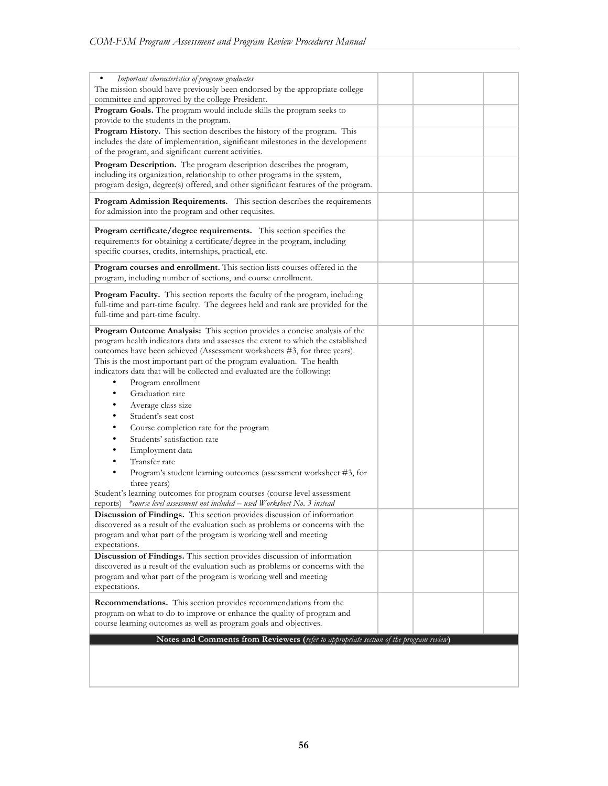| Important characteristics of program graduates<br>$\bullet$<br>The mission should have previously been endorsed by the appropriate college                                                                                                                                                                                                                                                                                                                                                                                                                                                                                                                                                                                                                                                                                                                                                                                                                                                                                     |  |  |
|--------------------------------------------------------------------------------------------------------------------------------------------------------------------------------------------------------------------------------------------------------------------------------------------------------------------------------------------------------------------------------------------------------------------------------------------------------------------------------------------------------------------------------------------------------------------------------------------------------------------------------------------------------------------------------------------------------------------------------------------------------------------------------------------------------------------------------------------------------------------------------------------------------------------------------------------------------------------------------------------------------------------------------|--|--|
| committee and approved by the college President.                                                                                                                                                                                                                                                                                                                                                                                                                                                                                                                                                                                                                                                                                                                                                                                                                                                                                                                                                                               |  |  |
| Program Goals. The program would include skills the program seeks to<br>provide to the students in the program.                                                                                                                                                                                                                                                                                                                                                                                                                                                                                                                                                                                                                                                                                                                                                                                                                                                                                                                |  |  |
| Program History. This section describes the history of the program. This<br>includes the date of implementation, significant milestones in the development<br>of the program, and significant current activities.                                                                                                                                                                                                                                                                                                                                                                                                                                                                                                                                                                                                                                                                                                                                                                                                              |  |  |
| Program Description. The program description describes the program,<br>including its organization, relationship to other programs in the system,<br>program design, degree(s) offered, and other significant features of the program.                                                                                                                                                                                                                                                                                                                                                                                                                                                                                                                                                                                                                                                                                                                                                                                          |  |  |
| Program Admission Requirements. This section describes the requirements<br>for admission into the program and other requisites.                                                                                                                                                                                                                                                                                                                                                                                                                                                                                                                                                                                                                                                                                                                                                                                                                                                                                                |  |  |
| Program certificate/degree requirements. This section specifies the<br>requirements for obtaining a certificate/degree in the program, including<br>specific courses, credits, internships, practical, etc.                                                                                                                                                                                                                                                                                                                                                                                                                                                                                                                                                                                                                                                                                                                                                                                                                    |  |  |
| Program courses and enrollment. This section lists courses offered in the<br>program, including number of sections, and course enrollment.                                                                                                                                                                                                                                                                                                                                                                                                                                                                                                                                                                                                                                                                                                                                                                                                                                                                                     |  |  |
| <b>Program Faculty.</b> This section reports the faculty of the program, including<br>full-time and part-time faculty. The degrees held and rank are provided for the<br>full-time and part-time faculty.                                                                                                                                                                                                                                                                                                                                                                                                                                                                                                                                                                                                                                                                                                                                                                                                                      |  |  |
| Program Outcome Analysis: This section provides a concise analysis of the<br>program health indicators data and assesses the extent to which the established<br>outcomes have been achieved (Assessment worksheets #3, for three years).<br>This is the most important part of the program evaluation. The health<br>indicators data that will be collected and evaluated are the following:<br>Program enrollment<br>Graduation rate<br>Average class size<br>Student's seat cost<br>Course completion rate for the program<br>Students' satisfaction rate<br>Employment data<br>Transfer rate<br>Program's student learning outcomes (assessment worksheet #3, for<br>$\bullet$<br>three years)<br>Student's learning outcomes for program courses (course level assessment<br>*course level assessment not included - used Worksheet No. 3 instead<br>reports)<br>Discussion of Findings. This section provides discussion of information<br>discovered as a result of the evaluation such as problems or concerns with the |  |  |
| program and what part of the program is working well and meeting<br>expectations.                                                                                                                                                                                                                                                                                                                                                                                                                                                                                                                                                                                                                                                                                                                                                                                                                                                                                                                                              |  |  |
| Discussion of Findings. This section provides discussion of information<br>discovered as a result of the evaluation such as problems or concerns with the<br>program and what part of the program is working well and meeting<br>expectations.                                                                                                                                                                                                                                                                                                                                                                                                                                                                                                                                                                                                                                                                                                                                                                                 |  |  |
| <b>Recommendations.</b> This section provides recommendations from the<br>program on what to do to improve or enhance the quality of program and<br>course learning outcomes as well as program goals and objectives.                                                                                                                                                                                                                                                                                                                                                                                                                                                                                                                                                                                                                                                                                                                                                                                                          |  |  |
| Notes and Comments from Reviewers (refer to appropriate section of the program review)                                                                                                                                                                                                                                                                                                                                                                                                                                                                                                                                                                                                                                                                                                                                                                                                                                                                                                                                         |  |  |
|                                                                                                                                                                                                                                                                                                                                                                                                                                                                                                                                                                                                                                                                                                                                                                                                                                                                                                                                                                                                                                |  |  |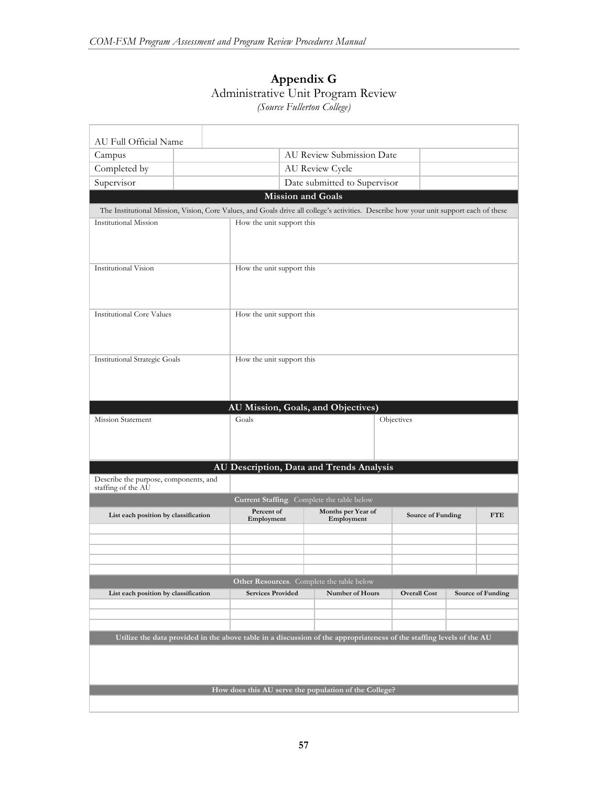# **Appendix G**

Administrative Unit Program Review

*(Source Fullerton College)*

| AU Full Official Name                                                                                                                  |                                                                                                                      |                                                       |                     |                   |                   |  |  |
|----------------------------------------------------------------------------------------------------------------------------------------|----------------------------------------------------------------------------------------------------------------------|-------------------------------------------------------|---------------------|-------------------|-------------------|--|--|
| Campus                                                                                                                                 |                                                                                                                      | <b>AU Review Submission Date</b>                      |                     |                   |                   |  |  |
| Completed by                                                                                                                           |                                                                                                                      | AU Review Cycle                                       |                     |                   |                   |  |  |
| Supervisor                                                                                                                             |                                                                                                                      | Date submitted to Supervisor                          |                     |                   |                   |  |  |
|                                                                                                                                        |                                                                                                                      | <b>Mission and Goals</b>                              |                     |                   |                   |  |  |
| The Institutional Mission, Vision, Core Values, and Goals drive all college's activities. Describe how your unit support each of these |                                                                                                                      |                                                       |                     |                   |                   |  |  |
| <b>Institutional Mission</b>                                                                                                           | How the unit support this                                                                                            |                                                       |                     |                   |                   |  |  |
| Institutional Vision                                                                                                                   |                                                                                                                      | How the unit support this                             |                     |                   |                   |  |  |
| <b>Institutional Core Values</b><br>How the unit support this                                                                          |                                                                                                                      |                                                       |                     |                   |                   |  |  |
| <b>Institutional Strategic Goals</b>                                                                                                   | How the unit support this                                                                                            |                                                       |                     |                   |                   |  |  |
|                                                                                                                                        |                                                                                                                      | AU Mission, Goals, and Objectives)                    |                     |                   |                   |  |  |
| Mission Statement                                                                                                                      | Goals                                                                                                                |                                                       | Objectives          |                   |                   |  |  |
| Describe the purpose, components, and<br>staffing of the AU                                                                            |                                                                                                                      | AU Description, Data and Trends Analysis              |                     |                   |                   |  |  |
|                                                                                                                                        |                                                                                                                      | Current Staffing. Complete the table below            |                     |                   |                   |  |  |
| List each position by classification                                                                                                   | Percent of<br>Employment                                                                                             | Months per Year of<br>Employment                      |                     | Source of Funding | <b>FTE</b>        |  |  |
|                                                                                                                                        |                                                                                                                      |                                                       |                     |                   |                   |  |  |
|                                                                                                                                        |                                                                                                                      | Other Resources. Complete the table below             |                     |                   |                   |  |  |
| List each position by classification                                                                                                   | <b>Services Provided</b>                                                                                             | Number of Hours                                       | <b>Overall Cost</b> |                   | Source of Funding |  |  |
|                                                                                                                                        |                                                                                                                      |                                                       |                     |                   |                   |  |  |
|                                                                                                                                        | Utilize the data provided in the above table in a discussion of the appropriateness of the staffing levels of the AU |                                                       |                     |                   |                   |  |  |
|                                                                                                                                        |                                                                                                                      |                                                       |                     |                   |                   |  |  |
|                                                                                                                                        |                                                                                                                      | How does this AU serve the population of the College? |                     |                   |                   |  |  |
|                                                                                                                                        |                                                                                                                      |                                                       |                     |                   |                   |  |  |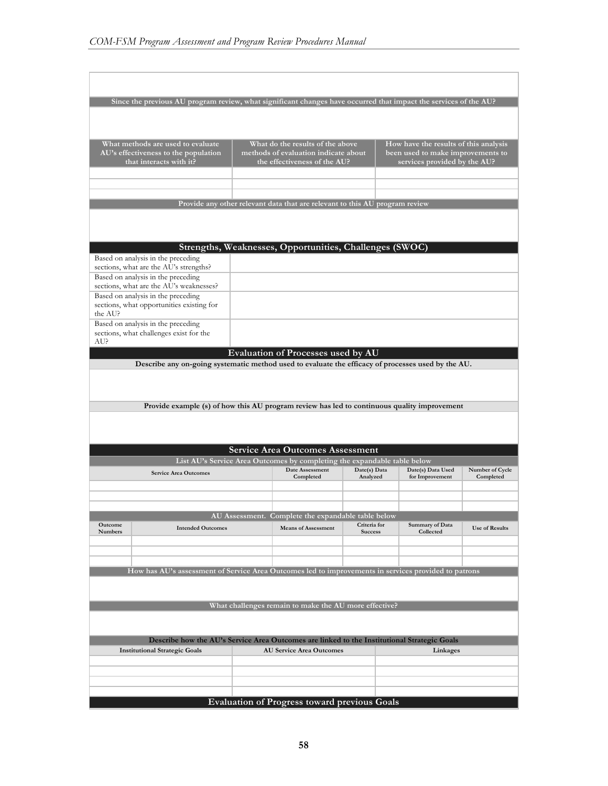| Since the previous AU program review, what significant changes have occurred that impact the services of the AU? |                          |                                                                                                          |                                                                                             |                                                                                                            |                              |  |  |  |  |  |
|------------------------------------------------------------------------------------------------------------------|--------------------------|----------------------------------------------------------------------------------------------------------|---------------------------------------------------------------------------------------------|------------------------------------------------------------------------------------------------------------|------------------------------|--|--|--|--|--|
|                                                                                                                  |                          |                                                                                                          |                                                                                             |                                                                                                            |                              |  |  |  |  |  |
| What methods are used to evaluate<br>AU's effectiveness to the population<br>that interacts with it?             |                          | What do the results of the above<br>methods of evaluation indicate about<br>the effectiveness of the AU? |                                                                                             | How have the results of this analysis<br>been used to make improvements to<br>services provided by the AU? |                              |  |  |  |  |  |
|                                                                                                                  |                          |                                                                                                          |                                                                                             |                                                                                                            |                              |  |  |  |  |  |
|                                                                                                                  |                          |                                                                                                          |                                                                                             |                                                                                                            |                              |  |  |  |  |  |
|                                                                                                                  |                          | Provide any other relevant data that are relevant to this AU program review                              |                                                                                             |                                                                                                            |                              |  |  |  |  |  |
|                                                                                                                  |                          |                                                                                                          |                                                                                             |                                                                                                            |                              |  |  |  |  |  |
|                                                                                                                  |                          | Strengths, Weaknesses, Opportunities, Challenges (SWOC)                                                  |                                                                                             |                                                                                                            |                              |  |  |  |  |  |
| Based on analysis in the preceding<br>sections, what are the AU's strengths?                                     |                          |                                                                                                          |                                                                                             |                                                                                                            |                              |  |  |  |  |  |
| Based on analysis in the preceding                                                                               |                          |                                                                                                          |                                                                                             |                                                                                                            |                              |  |  |  |  |  |
| sections, what are the AU's weaknesses?<br>Based on analysis in the preceding                                    |                          |                                                                                                          |                                                                                             |                                                                                                            |                              |  |  |  |  |  |
| sections, what opportunities existing for<br>the AU?                                                             |                          |                                                                                                          |                                                                                             |                                                                                                            |                              |  |  |  |  |  |
| Based on analysis in the preceding<br>sections, what challenges exist for the                                    |                          |                                                                                                          |                                                                                             |                                                                                                            |                              |  |  |  |  |  |
| AU?                                                                                                              |                          | Evaluation of Processes used by AU                                                                       |                                                                                             |                                                                                                            |                              |  |  |  |  |  |
|                                                                                                                  |                          | Describe any on-going systematic method used to evaluate the efficacy of processes used by the AU.       |                                                                                             |                                                                                                            |                              |  |  |  |  |  |
|                                                                                                                  |                          |                                                                                                          |                                                                                             |                                                                                                            |                              |  |  |  |  |  |
|                                                                                                                  |                          |                                                                                                          |                                                                                             |                                                                                                            |                              |  |  |  |  |  |
|                                                                                                                  |                          | Provide example (s) of how this AU program review has led to continuous quality improvement              |                                                                                             |                                                                                                            |                              |  |  |  |  |  |
|                                                                                                                  |                          |                                                                                                          |                                                                                             |                                                                                                            |                              |  |  |  |  |  |
|                                                                                                                  |                          | <b>Service Area Outcomes Assessment</b>                                                                  |                                                                                             |                                                                                                            |                              |  |  |  |  |  |
|                                                                                                                  |                          | List AU's Service Area Outcomes by completing the expandable table below                                 | Date(s) Data                                                                                |                                                                                                            |                              |  |  |  |  |  |
| <b>Service Area Outcomes</b>                                                                                     |                          | Date Assessment<br>Completed                                                                             | Analyzed                                                                                    | Date(s) Data Used<br>for Improvement                                                                       | Number of Cycle<br>Completed |  |  |  |  |  |
|                                                                                                                  |                          |                                                                                                          |                                                                                             |                                                                                                            |                              |  |  |  |  |  |
|                                                                                                                  |                          |                                                                                                          |                                                                                             |                                                                                                            |                              |  |  |  |  |  |
|                                                                                                                  |                          | AU Assessment. Complete the expandable table below                                                       |                                                                                             |                                                                                                            |                              |  |  |  |  |  |
| Outcome<br>Numbers                                                                                               | <b>Intended Outcomes</b> | <b>Means of Assessment</b>                                                                               | Criteria for<br><b>Success</b>                                                              | Summary of Data<br>Collected                                                                               | <b>Use of Results</b>        |  |  |  |  |  |
|                                                                                                                  |                          |                                                                                                          |                                                                                             |                                                                                                            |                              |  |  |  |  |  |
|                                                                                                                  |                          | How has AU's assessment of Service Area Outcomes led to improvements in services provided to patrons     |                                                                                             |                                                                                                            |                              |  |  |  |  |  |
|                                                                                                                  |                          |                                                                                                          |                                                                                             |                                                                                                            |                              |  |  |  |  |  |
|                                                                                                                  |                          | What challenges remain to make the AU more effective?                                                    |                                                                                             |                                                                                                            |                              |  |  |  |  |  |
|                                                                                                                  |                          |                                                                                                          |                                                                                             |                                                                                                            |                              |  |  |  |  |  |
|                                                                                                                  |                          |                                                                                                          | Describe how the AU's Service Area Outcomes are linked to the Institutional Strategic Goals |                                                                                                            |                              |  |  |  |  |  |
|                                                                                                                  |                          |                                                                                                          |                                                                                             |                                                                                                            |                              |  |  |  |  |  |
| <b>Institutional Strategic Goals</b>                                                                             |                          | <b>AU Service Area Outcomes</b>                                                                          |                                                                                             | Linkages                                                                                                   |                              |  |  |  |  |  |
|                                                                                                                  |                          |                                                                                                          |                                                                                             |                                                                                                            |                              |  |  |  |  |  |
|                                                                                                                  |                          |                                                                                                          |                                                                                             |                                                                                                            |                              |  |  |  |  |  |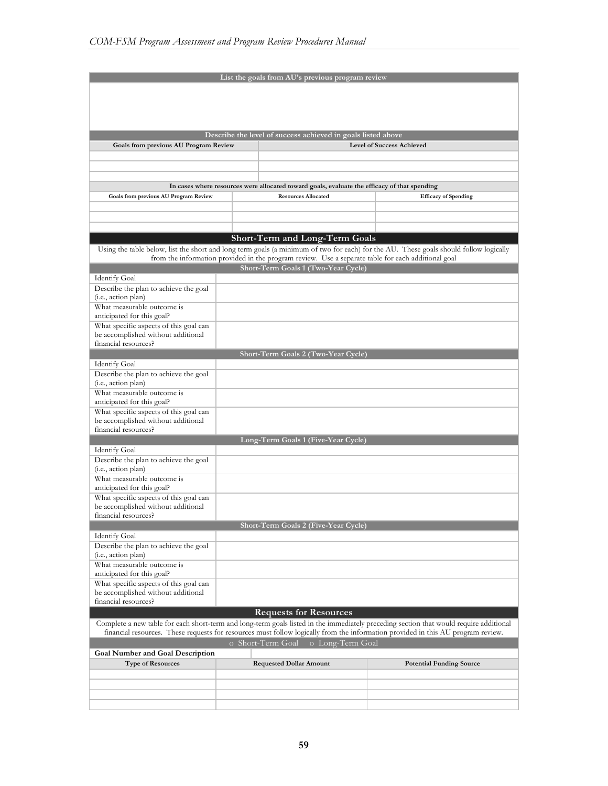|                                                            | List the goals from AU's previous program review                                             |                                                                                                                                                                                                                                                                            |
|------------------------------------------------------------|----------------------------------------------------------------------------------------------|----------------------------------------------------------------------------------------------------------------------------------------------------------------------------------------------------------------------------------------------------------------------------|
|                                                            |                                                                                              |                                                                                                                                                                                                                                                                            |
|                                                            |                                                                                              |                                                                                                                                                                                                                                                                            |
|                                                            |                                                                                              |                                                                                                                                                                                                                                                                            |
|                                                            |                                                                                              |                                                                                                                                                                                                                                                                            |
|                                                            |                                                                                              |                                                                                                                                                                                                                                                                            |
|                                                            | Describe the level of success achieved in goals listed above                                 |                                                                                                                                                                                                                                                                            |
| Goals from previous AU Program Review                      |                                                                                              | <b>Level of Success Achieved</b>                                                                                                                                                                                                                                           |
|                                                            |                                                                                              |                                                                                                                                                                                                                                                                            |
|                                                            |                                                                                              |                                                                                                                                                                                                                                                                            |
|                                                            |                                                                                              |                                                                                                                                                                                                                                                                            |
|                                                            | In cases where resources were allocated toward goals, evaluate the efficacy of that spending |                                                                                                                                                                                                                                                                            |
| Goals from previous AU Program Review                      | <b>Resources Allocated</b>                                                                   | <b>Efficacy of Spending</b>                                                                                                                                                                                                                                                |
|                                                            |                                                                                              |                                                                                                                                                                                                                                                                            |
|                                                            |                                                                                              |                                                                                                                                                                                                                                                                            |
|                                                            |                                                                                              |                                                                                                                                                                                                                                                                            |
|                                                            | <b>Short-Term and Long-Term Goals</b>                                                        |                                                                                                                                                                                                                                                                            |
|                                                            |                                                                                              | Using the table below, list the short and long term goals (a minimum of two for each) for the AU. These goals should follow logically                                                                                                                                      |
|                                                            |                                                                                              | from the information provided in the program review. Use a separate table for each additional goal                                                                                                                                                                         |
|                                                            | Short-Term Goals 1 (Two-Year Cycle)                                                          |                                                                                                                                                                                                                                                                            |
| <b>Identify Goal</b>                                       |                                                                                              |                                                                                                                                                                                                                                                                            |
| Describe the plan to achieve the goal                      |                                                                                              |                                                                                                                                                                                                                                                                            |
| (i.e., action plan)<br>What measurable outcome is          |                                                                                              |                                                                                                                                                                                                                                                                            |
| anticipated for this goal?                                 |                                                                                              |                                                                                                                                                                                                                                                                            |
| What specific aspects of this goal can                     |                                                                                              |                                                                                                                                                                                                                                                                            |
| be accomplished without additional                         |                                                                                              |                                                                                                                                                                                                                                                                            |
| financial resources?                                       |                                                                                              |                                                                                                                                                                                                                                                                            |
|                                                            | Short-Term Goals 2 (Two-Year Cycle)                                                          |                                                                                                                                                                                                                                                                            |
| Identify Goal                                              |                                                                                              |                                                                                                                                                                                                                                                                            |
| Describe the plan to achieve the goal                      |                                                                                              |                                                                                                                                                                                                                                                                            |
| (i.e., action plan)                                        |                                                                                              |                                                                                                                                                                                                                                                                            |
| What measurable outcome is                                 |                                                                                              |                                                                                                                                                                                                                                                                            |
| anticipated for this goal?                                 |                                                                                              |                                                                                                                                                                                                                                                                            |
| What specific aspects of this goal can                     |                                                                                              |                                                                                                                                                                                                                                                                            |
| be accomplished without additional<br>financial resources? |                                                                                              |                                                                                                                                                                                                                                                                            |
|                                                            | Long-Term Goals 1 (Five-Year Cycle)                                                          |                                                                                                                                                                                                                                                                            |
| <b>Identify Goal</b>                                       |                                                                                              |                                                                                                                                                                                                                                                                            |
| Describe the plan to achieve the goal                      |                                                                                              |                                                                                                                                                                                                                                                                            |
| (i.e., action plan)                                        |                                                                                              |                                                                                                                                                                                                                                                                            |
| What measurable outcome is                                 |                                                                                              |                                                                                                                                                                                                                                                                            |
| anticipated for this goal?                                 |                                                                                              |                                                                                                                                                                                                                                                                            |
| What specific aspects of this goal can                     |                                                                                              |                                                                                                                                                                                                                                                                            |
| be accomplished without additional                         |                                                                                              |                                                                                                                                                                                                                                                                            |
| financial resources?                                       |                                                                                              |                                                                                                                                                                                                                                                                            |
|                                                            | Short-Term Goals 2 (Five-Year Cycle)                                                         |                                                                                                                                                                                                                                                                            |
| <b>Identify Goal</b>                                       |                                                                                              |                                                                                                                                                                                                                                                                            |
| Describe the plan to achieve the goal                      |                                                                                              |                                                                                                                                                                                                                                                                            |
| (i.e., action plan)                                        |                                                                                              |                                                                                                                                                                                                                                                                            |
| What measurable outcome is                                 |                                                                                              |                                                                                                                                                                                                                                                                            |
| anticipated for this goal?                                 |                                                                                              |                                                                                                                                                                                                                                                                            |
| What specific aspects of this goal can                     |                                                                                              |                                                                                                                                                                                                                                                                            |
| be accomplished without additional<br>financial resources? |                                                                                              |                                                                                                                                                                                                                                                                            |
|                                                            | <b>Requests for Resources</b>                                                                |                                                                                                                                                                                                                                                                            |
|                                                            |                                                                                              |                                                                                                                                                                                                                                                                            |
|                                                            |                                                                                              | Complete a new table for each short-term and long-term goals listed in the immediately preceding section that would require additional<br>financial resources. These requests for resources must follow logically from the information provided in this AU program review. |
|                                                            | o Short-Term Goal<br>o Long-Term Goal                                                        |                                                                                                                                                                                                                                                                            |
| <b>Goal Number and Goal Description</b>                    |                                                                                              |                                                                                                                                                                                                                                                                            |
| <b>Type of Resources</b>                                   | <b>Requested Dollar Amount</b>                                                               | <b>Potential Funding Source</b>                                                                                                                                                                                                                                            |
|                                                            |                                                                                              |                                                                                                                                                                                                                                                                            |
|                                                            |                                                                                              |                                                                                                                                                                                                                                                                            |
|                                                            |                                                                                              |                                                                                                                                                                                                                                                                            |
|                                                            |                                                                                              |                                                                                                                                                                                                                                                                            |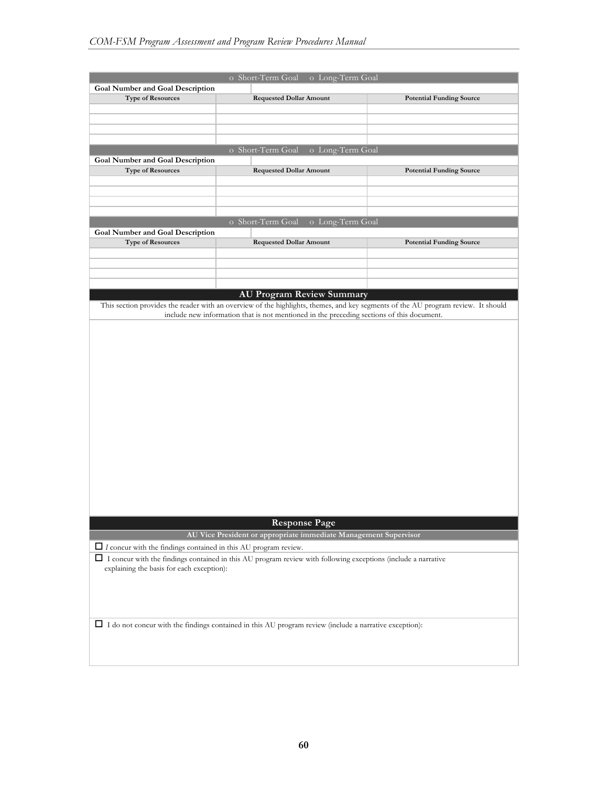|                                                                        | o Short-Term Goal<br>o Long-Term Goal                                                                                             |                                 |
|------------------------------------------------------------------------|-----------------------------------------------------------------------------------------------------------------------------------|---------------------------------|
| <b>Goal Number and Goal Description</b>                                |                                                                                                                                   |                                 |
| <b>Type of Resources</b>                                               | <b>Requested Dollar Amount</b>                                                                                                    | <b>Potential Funding Source</b> |
|                                                                        |                                                                                                                                   |                                 |
|                                                                        |                                                                                                                                   |                                 |
|                                                                        |                                                                                                                                   |                                 |
|                                                                        |                                                                                                                                   |                                 |
|                                                                        | o Short-Term Goal<br>o Long-Term Goal                                                                                             |                                 |
| <b>Goal Number and Goal Description</b>                                |                                                                                                                                   |                                 |
| <b>Type of Resources</b>                                               | <b>Requested Dollar Amount</b>                                                                                                    | <b>Potential Funding Source</b> |
|                                                                        |                                                                                                                                   |                                 |
|                                                                        |                                                                                                                                   |                                 |
|                                                                        |                                                                                                                                   |                                 |
|                                                                        | o Long-Term Goal<br>o Short-Term Goal                                                                                             |                                 |
| <b>Goal Number and Goal Description</b>                                |                                                                                                                                   |                                 |
| <b>Type of Resources</b>                                               | <b>Requested Dollar Amount</b>                                                                                                    | <b>Potential Funding Source</b> |
|                                                                        |                                                                                                                                   |                                 |
|                                                                        |                                                                                                                                   |                                 |
|                                                                        |                                                                                                                                   |                                 |
|                                                                        |                                                                                                                                   |                                 |
|                                                                        | <b>AU Program Review Summary</b>                                                                                                  |                                 |
|                                                                        | This section provides the reader with an overview of the highlights, themes, and key segments of the AU program review. It should |                                 |
|                                                                        | include new information that is not mentioned in the preceding sections of this document.                                         |                                 |
|                                                                        |                                                                                                                                   |                                 |
|                                                                        |                                                                                                                                   |                                 |
|                                                                        |                                                                                                                                   |                                 |
|                                                                        |                                                                                                                                   |                                 |
|                                                                        |                                                                                                                                   |                                 |
|                                                                        |                                                                                                                                   |                                 |
|                                                                        |                                                                                                                                   |                                 |
|                                                                        |                                                                                                                                   |                                 |
|                                                                        |                                                                                                                                   |                                 |
|                                                                        |                                                                                                                                   |                                 |
|                                                                        |                                                                                                                                   |                                 |
|                                                                        |                                                                                                                                   |                                 |
|                                                                        |                                                                                                                                   |                                 |
|                                                                        |                                                                                                                                   |                                 |
|                                                                        |                                                                                                                                   |                                 |
|                                                                        |                                                                                                                                   |                                 |
|                                                                        |                                                                                                                                   |                                 |
|                                                                        |                                                                                                                                   |                                 |
|                                                                        | <b>Response Page</b>                                                                                                              |                                 |
|                                                                        | AU Vice President or appropriate immediate Management Supervisor                                                                  |                                 |
| $\Box$ I concur with the findings contained in this AU program review. |                                                                                                                                   |                                 |
|                                                                        | □ I concur with the findings contained in this AU program review with following exceptions (include a narrative                   |                                 |
| explaining the basis for each exception):                              |                                                                                                                                   |                                 |
|                                                                        |                                                                                                                                   |                                 |
|                                                                        |                                                                                                                                   |                                 |
|                                                                        |                                                                                                                                   |                                 |
|                                                                        |                                                                                                                                   |                                 |
|                                                                        | □ I do not concur with the findings contained in this AU program review (include a narrative exception):                          |                                 |
|                                                                        |                                                                                                                                   |                                 |
|                                                                        |                                                                                                                                   |                                 |
|                                                                        |                                                                                                                                   |                                 |
|                                                                        |                                                                                                                                   |                                 |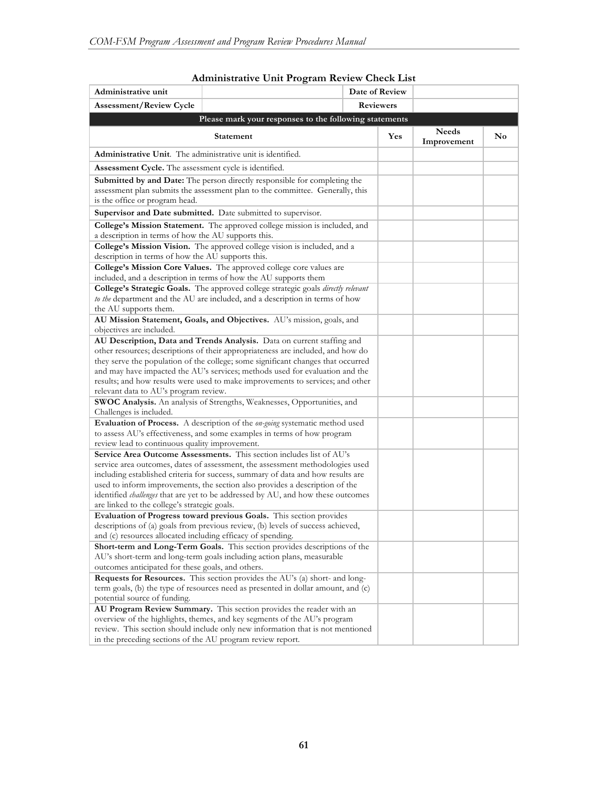| Administrative unit                                                                                                                                                                                                                                                                                                                                                                        | Date of Review                                                                                                                                                    |  |     |                             |          |
|--------------------------------------------------------------------------------------------------------------------------------------------------------------------------------------------------------------------------------------------------------------------------------------------------------------------------------------------------------------------------------------------|-------------------------------------------------------------------------------------------------------------------------------------------------------------------|--|-----|-----------------------------|----------|
| <b>Assessment/Review Cycle</b>                                                                                                                                                                                                                                                                                                                                                             | <b>Reviewers</b>                                                                                                                                                  |  |     |                             |          |
|                                                                                                                                                                                                                                                                                                                                                                                            | Please mark your responses to the following statements                                                                                                            |  |     |                             |          |
|                                                                                                                                                                                                                                                                                                                                                                                            | <b>Statement</b>                                                                                                                                                  |  | Yes | <b>Needs</b><br>Improvement | $\bf No$ |
| <b>Administrative Unit.</b> The administrative unit is identified.                                                                                                                                                                                                                                                                                                                         |                                                                                                                                                                   |  |     |                             |          |
| Assessment Cycle. The assessment cycle is identified.                                                                                                                                                                                                                                                                                                                                      |                                                                                                                                                                   |  |     |                             |          |
| is the office or program head.                                                                                                                                                                                                                                                                                                                                                             | <b>Submitted by and Date:</b> The person directly responsible for completing the<br>assessment plan submits the assessment plan to the committee. Generally, this |  |     |                             |          |
|                                                                                                                                                                                                                                                                                                                                                                                            | <b>Supervisor and Date submitted.</b> Date submitted to supervisor.                                                                                               |  |     |                             |          |
| a description in terms of how the AU supports this.                                                                                                                                                                                                                                                                                                                                        | College's Mission Statement. The approved college mission is included, and                                                                                        |  |     |                             |          |
| description in terms of how the AU supports this.                                                                                                                                                                                                                                                                                                                                          | College's Mission Vision. The approved college vision is included, and a                                                                                          |  |     |                             |          |
|                                                                                                                                                                                                                                                                                                                                                                                            | College's Mission Core Values. The approved college core values are                                                                                               |  |     |                             |          |
|                                                                                                                                                                                                                                                                                                                                                                                            | included, and a description in terms of how the AU supports them                                                                                                  |  |     |                             |          |
| the AU supports them.                                                                                                                                                                                                                                                                                                                                                                      | College's Strategic Goals. The approved college strategic goals directly relevant<br>to the department and the AU are included, and a description in terms of how |  |     |                             |          |
|                                                                                                                                                                                                                                                                                                                                                                                            | AU Mission Statement, Goals, and Objectives. AU's mission, goals, and                                                                                             |  |     |                             |          |
| objectives are included.                                                                                                                                                                                                                                                                                                                                                                   |                                                                                                                                                                   |  |     |                             |          |
|                                                                                                                                                                                                                                                                                                                                                                                            | AU Description, Data and Trends Analysis. Data on current staffing and                                                                                            |  |     |                             |          |
|                                                                                                                                                                                                                                                                                                                                                                                            | other resources; descriptions of their appropriateness are included, and how do                                                                                   |  |     |                             |          |
|                                                                                                                                                                                                                                                                                                                                                                                            | they serve the population of the college; some significant changes that occurred                                                                                  |  |     |                             |          |
|                                                                                                                                                                                                                                                                                                                                                                                            | and may have impacted the AU's services; methods used for evaluation and the                                                                                      |  |     |                             |          |
|                                                                                                                                                                                                                                                                                                                                                                                            | results; and how results were used to make improvements to services; and other                                                                                    |  |     |                             |          |
| relevant data to AU's program review.                                                                                                                                                                                                                                                                                                                                                      |                                                                                                                                                                   |  |     |                             |          |
|                                                                                                                                                                                                                                                                                                                                                                                            | SWOC Analysis. An analysis of Strengths, Weaknesses, Opportunities, and                                                                                           |  |     |                             |          |
| Challenges is included.                                                                                                                                                                                                                                                                                                                                                                    |                                                                                                                                                                   |  |     |                             |          |
|                                                                                                                                                                                                                                                                                                                                                                                            | Evaluation of Process. A description of the on-going systematic method used                                                                                       |  |     |                             |          |
|                                                                                                                                                                                                                                                                                                                                                                                            | to assess AU's effectiveness, and some examples in terms of how program                                                                                           |  |     |                             |          |
| review lead to continuous quality improvement.                                                                                                                                                                                                                                                                                                                                             |                                                                                                                                                                   |  |     |                             |          |
|                                                                                                                                                                                                                                                                                                                                                                                            | Service Area Outcome Assessments. This section includes list of AU's                                                                                              |  |     |                             |          |
| service area outcomes, dates of assessment, the assessment methodologies used<br>including established criteria for success, summary of data and how results are<br>used to inform improvements, the section also provides a description of the<br>identified <i>challenges</i> that are yet to be addressed by AU, and how these outcomes<br>are linked to the college's strategic goals. |                                                                                                                                                                   |  |     |                             |          |
|                                                                                                                                                                                                                                                                                                                                                                                            | Evaluation of Progress toward previous Goals. This section provides                                                                                               |  |     |                             |          |
|                                                                                                                                                                                                                                                                                                                                                                                            | descriptions of (a) goals from previous review, (b) levels of success achieved,                                                                                   |  |     |                             |          |
| and (c) resources allocated including efficacy of spending.                                                                                                                                                                                                                                                                                                                                |                                                                                                                                                                   |  |     |                             |          |
| Short-term and Long-Term Goals. This section provides descriptions of the                                                                                                                                                                                                                                                                                                                  |                                                                                                                                                                   |  |     |                             |          |
| AU's short-term and long-term goals including action plans, measurable                                                                                                                                                                                                                                                                                                                     |                                                                                                                                                                   |  |     |                             |          |
| outcomes anticipated for these goals, and others.                                                                                                                                                                                                                                                                                                                                          |                                                                                                                                                                   |  |     |                             |          |
|                                                                                                                                                                                                                                                                                                                                                                                            | <b>Requests for Resources.</b> This section provides the AU's (a) short- and long-                                                                                |  |     |                             |          |
| potential source of funding.                                                                                                                                                                                                                                                                                                                                                               | term goals, (b) the type of resources need as presented in dollar amount, and (c)                                                                                 |  |     |                             |          |
|                                                                                                                                                                                                                                                                                                                                                                                            | AU Program Review Summary. This section provides the reader with an                                                                                               |  |     |                             |          |
|                                                                                                                                                                                                                                                                                                                                                                                            | overview of the highlights, themes, and key segments of the AU's program                                                                                          |  |     |                             |          |
|                                                                                                                                                                                                                                                                                                                                                                                            | review. This section should include only new information that is not mentioned                                                                                    |  |     |                             |          |
| in the preceding sections of the AU program review report.                                                                                                                                                                                                                                                                                                                                 |                                                                                                                                                                   |  |     |                             |          |

# **Administrative Unit Program Review Check List**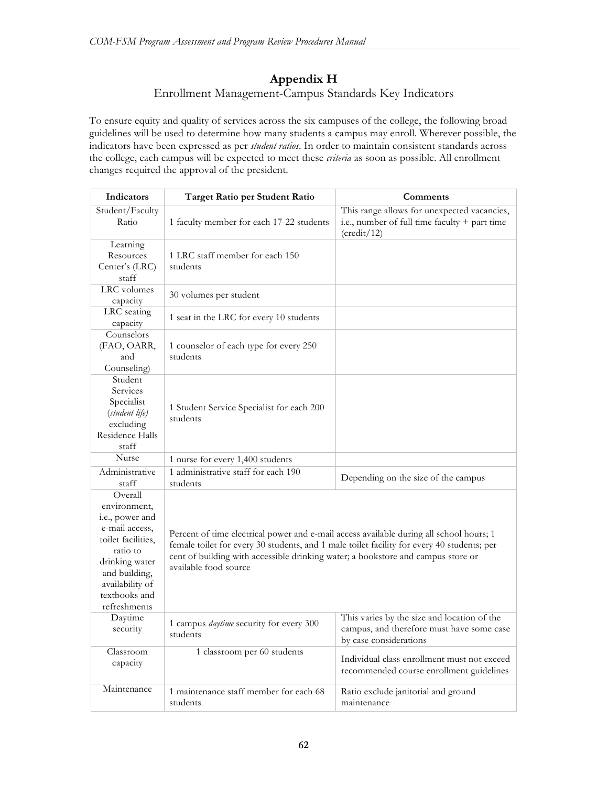# **Appendix H** Enrollment Management-Campus Standards Key Indicators

To ensure equity and quality of services across the six campuses of the college, the following broad guidelines will be used to determine how many students a campus may enroll. Wherever possible, the indicators have been expressed as per *student ratios*. In order to maintain consistent standards across the college, each campus will be expected to meet these *criteria* as soon as possible. All enrollment changes required the approval of the president.

| Indicators                                                                                                                                                                            | Target Ratio per Student Ratio                                                                                                                                                                                                                                                                     | Comments                                                                                                           |
|---------------------------------------------------------------------------------------------------------------------------------------------------------------------------------------|----------------------------------------------------------------------------------------------------------------------------------------------------------------------------------------------------------------------------------------------------------------------------------------------------|--------------------------------------------------------------------------------------------------------------------|
| Student/Faculty<br>Ratio                                                                                                                                                              | 1 faculty member for each 17-22 students                                                                                                                                                                                                                                                           | This range allows for unexpected vacancies,<br>i.e., number of full time faculty + part time<br>(credit/12)        |
| Learning<br>Resources<br>Center's (LRC)<br>staff                                                                                                                                      | 1 LRC staff member for each 150<br>students                                                                                                                                                                                                                                                        |                                                                                                                    |
| LRC volumes<br>capacity                                                                                                                                                               | 30 volumes per student                                                                                                                                                                                                                                                                             |                                                                                                                    |
| LRC seating<br>capacity                                                                                                                                                               | 1 seat in the LRC for every 10 students                                                                                                                                                                                                                                                            |                                                                                                                    |
| Counselors<br>(FAO, OARR,<br>and<br>Counseling)                                                                                                                                       | 1 counselor of each type for every 250<br>students                                                                                                                                                                                                                                                 |                                                                                                                    |
| Student<br>Services<br>Specialist<br>(student life)<br>excluding<br>Residence Halls<br>staff                                                                                          | 1 Student Service Specialist for each 200<br>students                                                                                                                                                                                                                                              |                                                                                                                    |
| Nurse                                                                                                                                                                                 | 1 nurse for every 1,400 students                                                                                                                                                                                                                                                                   |                                                                                                                    |
| Administrative<br>staff                                                                                                                                                               | 1 administrative staff for each 190<br>students                                                                                                                                                                                                                                                    | Depending on the size of the campus                                                                                |
| Overall<br>environment,<br>i.e., power and<br>e-mail access,<br>toilet facilities,<br>ratio to<br>drinking water<br>and building,<br>availability of<br>textbooks and<br>refreshments | Percent of time electrical power and e-mail access available during all school hours; 1<br>female toilet for every 30 students, and 1 male toilet facility for every 40 students; per<br>cent of building with accessible drinking water; a bookstore and campus store or<br>available food source |                                                                                                                    |
| Daytime<br>security                                                                                                                                                                   | 1 campus <i>daytime</i> security for every 300<br>students                                                                                                                                                                                                                                         | This varies by the size and location of the<br>campus, and therefore must have some case<br>by case considerations |
| Classroom<br>capacity                                                                                                                                                                 | 1 classroom per 60 students                                                                                                                                                                                                                                                                        | Individual class enrollment must not exceed<br>recommended course enrollment guidelines                            |
| Maintenance                                                                                                                                                                           | 1 maintenance staff member for each 68<br>students                                                                                                                                                                                                                                                 | Ratio exclude janitorial and ground<br>maintenance                                                                 |